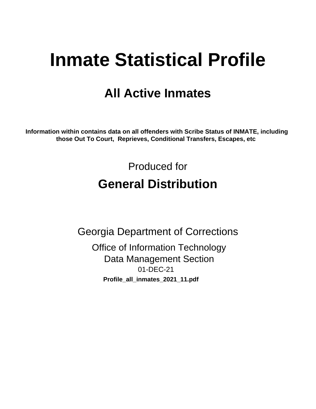# **Inmate Statistical Profile**

# **All Active Inmates**

Information within contains data on all offenders with Scribe Status of INMATE, including those Out To Court, Reprieves, Conditional Transfers, Escapes, etc

> Produced for **General Distribution**

**Georgia Department of Corrections Office of Information Technology Data Management Section** 01-DEC-21

Profile\_all\_inmates\_2021\_11.pdf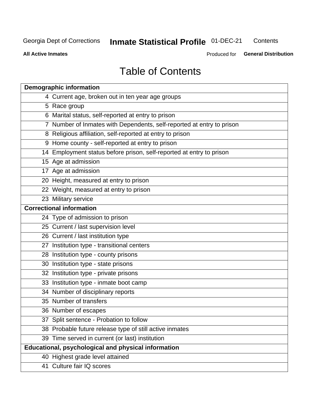#### **Inmate Statistical Profile 01-DEC-21** Contents

**All Active Inmates** 

Produced for General Distribution

# **Table of Contents**

| <b>Demographic information</b>                                        |
|-----------------------------------------------------------------------|
| 4 Current age, broken out in ten year age groups                      |
| 5 Race group                                                          |
| 6 Marital status, self-reported at entry to prison                    |
| 7 Number of Inmates with Dependents, self-reported at entry to prison |
| 8 Religious affiliation, self-reported at entry to prison             |
| 9 Home county - self-reported at entry to prison                      |
| 14 Employment status before prison, self-reported at entry to prison  |
| 15 Age at admission                                                   |
| 17 Age at admission                                                   |
| 20 Height, measured at entry to prison                                |
| 22 Weight, measured at entry to prison                                |
| 23 Military service                                                   |
| <b>Correctional information</b>                                       |
| 24 Type of admission to prison                                        |
| 25 Current / last supervision level                                   |
| 26 Current / last institution type                                    |
| 27 Institution type - transitional centers                            |
| 28 Institution type - county prisons                                  |
| 30 Institution type - state prisons                                   |
| 32 Institution type - private prisons                                 |
| 33 Institution type - inmate boot camp                                |
| 34 Number of disciplinary reports                                     |
| 35 Number of transfers                                                |
| 36 Number of escapes                                                  |
| 37 Split sentence - Probation to follow                               |
| 38 Probable future release type of still active inmates               |
| 39 Time served in current (or last) institution                       |
| <b>Educational, psychological and physical information</b>            |
| 40 Highest grade level attained                                       |
| 41 Culture fair IQ scores                                             |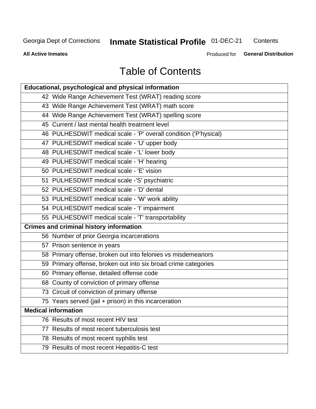# **Inmate Statistical Profile 01-DEC-21**

Contents

**All Active Inmates** 

Produced for General Distribution

# **Table of Contents**

| Educational, psychological and physical information              |
|------------------------------------------------------------------|
| 42 Wide Range Achievement Test (WRAT) reading score              |
| 43 Wide Range Achievement Test (WRAT) math score                 |
| 44 Wide Range Achievement Test (WRAT) spelling score             |
| 45 Current / last mental health treatment level                  |
| 46 PULHESDWIT medical scale - 'P' overall condition ('P'hysical) |
| 47 PULHESDWIT medical scale - 'U' upper body                     |
| 48 PULHESDWIT medical scale - 'L' lower body                     |
| 49 PULHESDWIT medical scale - 'H' hearing                        |
| 50 PULHESDWIT medical scale - 'E' vision                         |
| 51 PULHESDWIT medical scale -'S' psychiatric                     |
| 52 PULHESDWIT medical scale - 'D' dental                         |
| 53 PULHESDWIT medical scale - 'W' work ability                   |
| 54 PULHESDWIT medical scale - 'I' impairment                     |
| 55 PULHESDWIT medical scale - 'T' transportability               |
| <b>Crimes and criminal history information</b>                   |
| 56 Number of prior Georgia incarcerations                        |
| 57 Prison sentence in years                                      |
| 58 Primary offense, broken out into felonies vs misdemeanors     |
| 59 Primary offense, broken out into six broad crime categories   |
| 60 Primary offense, detailed offense code                        |
| 68 County of conviction of primary offense                       |
| 73 Circuit of conviction of primary offense                      |
| 75 Years served (jail + prison) in this incarceration            |
| <b>Medical information</b>                                       |
| 76 Results of most recent HIV test                               |
| 77 Results of most recent tuberculosis test                      |
| 78 Results of most recent syphilis test                          |
| 79 Results of most recent Hepatitis-C test                       |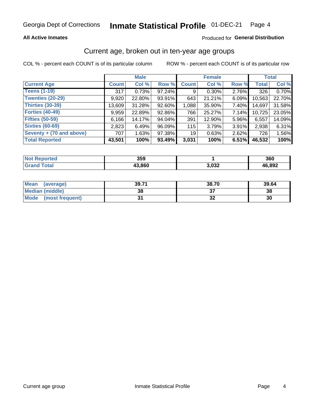#### Inmate Statistical Profile 01-DEC-21 Page 4

#### **All Active Inmates**

#### Produced for General Distribution

### Current age, broken out in ten-year age groups

COL % - percent each COUNT is of its particular column

|                          | <b>Male</b>  |        |        | <b>Female</b>   |          |          | <b>Total</b> |        |
|--------------------------|--------------|--------|--------|-----------------|----------|----------|--------------|--------|
| <b>Current Age</b>       | <b>Count</b> | Col %  | Row %  | <b>Count</b>    | Col %    | Row %    | <b>Total</b> | Col %  |
| <b>Teens (1-19)</b>      | 317          | 0.73%  | 97.24% | 9               | $0.30\%$ | 2.76%    | 326          | 0.70%  |
| <b>Twenties (20-29)</b>  | 9,920        | 22.80% | 93.91% | 643             | 21.21%   | 6.09%    | 10,563       | 22.70% |
| Thirties (30-39)         | 13,609       | 31.28% | 92.60% | 1,088           | 35.90%   | 7.40%    | 14,697       | 31.58% |
| <b>Forties (40-49)</b>   | 9,959        | 22.89% | 92.86% | 766             | 25.27%   | 7.14%    | 10,725       | 23.05% |
| <b>Fifties (50-59)</b>   | 6,166        | 14.17% | 94.04% | 391             | 12.90%   | 5.96%    | 6,557        | 14.09% |
| <b>Sixties (60-69)</b>   | 2,823        | 6.49%  | 96.09% | 115             | 3.79%    | 3.91%    | 2,938        | 6.31%  |
| Seventy + (70 and above) | 707          | 1.63%  | 97.38% | 19 <sup>1</sup> | 0.63%    | $2.62\%$ | 726          | 1.56%  |
| <b>Total Reported</b>    | 43,501       | 100%   | 93.49% | 3,031           | 100%     | 6.51%    | 46,532       | 100%   |

| <b>Not</b><br><b>ported</b> | 359    |       | 360    |
|-----------------------------|--------|-------|--------|
| <b>Total</b>                | 43,860 | 3,032 | 46.892 |

| <b>Mean</b><br>(average) | 39.71 | 38.70 | 39.64 |
|--------------------------|-------|-------|-------|
| Median (middle)          | 38    |       | 38    |
| Mode<br>(most frequent)  |       | ◡▵    | 30    |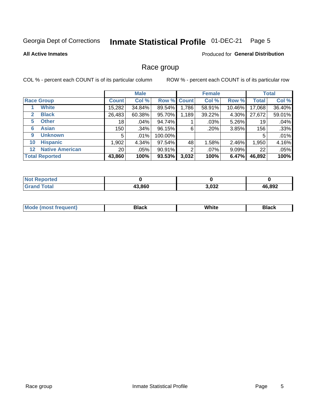#### Inmate Statistical Profile 01-DEC-21 Page 5

#### **All Active Inmates**

#### Produced for General Distribution

#### Race group

COL % - percent each COUNT is of its particular column

|                                   |                 | <b>Male</b> |             |       | <b>Female</b> |          |              | <b>Total</b> |  |
|-----------------------------------|-----------------|-------------|-------------|-------|---------------|----------|--------------|--------------|--|
| <b>Race Group</b>                 | <b>Count</b>    | Col %       | Row % Count |       | Col %         | Row %    | <b>Total</b> | Col %        |  |
| <b>White</b>                      | 15,282          | 34.84%      | 89.54%      | 1,786 | 58.91%        | 10.46%   | 17,068       | 36.40%       |  |
| <b>Black</b><br>2                 | 26,483          | 60.38%      | 95.70%      | 1,189 | 39.22%        | 4.30%    | 27,672       | 59.01%       |  |
| <b>Other</b><br>5.                | 18 <sub>1</sub> | .04%        | 94.74%      |       | .03%          | 5.26%    | 19           | .04%         |  |
| <b>Asian</b><br>6                 | 150             | .34%        | 96.15%      | 6     | .20%          | 3.85%    | 156          | .33%         |  |
| <b>Unknown</b><br>9               | 5               | $.01\%$     | 100.00%     |       |               |          | 5            | .01%         |  |
| <b>Hispanic</b><br>10             | .902            | 4.34%       | 97.54%      | 48    | 1.58%         | 2.46%    | 1,950        | 4.16%        |  |
| <b>Native American</b><br>$12 \,$ | 20 <sub>1</sub> | $.05\%$     | 90.91%      | 2     | $.07\%$       | $9.09\%$ | 22           | .05%         |  |
| <b>Total Reported</b>             | 43,860          | 100%        | 93.53%      | 3,032 | 100%          | 6.47%    | 46,892       | 100%         |  |

| orted<br>NO.   |        |       |        |
|----------------|--------|-------|--------|
| `otal<br>"Gran | 43,860 | 3,032 | 46,892 |

| m | <br>w |  |
|---|-------|--|
|   |       |  |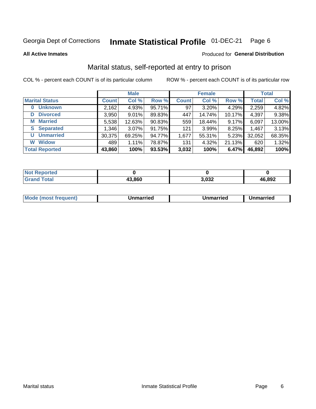#### Inmate Statistical Profile 01-DEC-21 Page 6

**All Active Inmates** 

#### Produced for General Distribution

### Marital status, self-reported at entry to prison

COL % - percent each COUNT is of its particular column

|                            | <b>Male</b>  |          |        |              | <b>Female</b> | <b>Total</b> |              |        |
|----------------------------|--------------|----------|--------|--------------|---------------|--------------|--------------|--------|
| <b>Marital Status</b>      | <b>Count</b> | Col %    | Row %  | <b>Count</b> | Col %         | Row %        | <b>Total</b> | Col %  |
| <b>Unknown</b><br>$\bf{0}$ | 2,162        | 4.93%    | 95.71% | 97           | 3.20%         | 4.29%        | 2,259        | 4.82%  |
| <b>Divorced</b><br>D       | 3,950        | 9.01%    | 89.83% | 447          | 14.74%        | 10.17%       | 4,397        | 9.38%  |
| <b>Married</b><br>М        | 5,538        | 12.63%   | 90.83% | 559          | 18.44%        | 9.17%        | 6,097        | 13.00% |
| <b>Separated</b><br>S.     | 1,346        | $3.07\%$ | 91.75% | 121          | 3.99%         | 8.25%        | 1,467        | 3.13%  |
| <b>Unmarried</b><br>U      | 30,375       | 69.25%   | 94.77% | 1,677        | 55.31%        | 5.23%        | 32,052       | 68.35% |
| <b>Widow</b><br>W          | 489          | 1.11%    | 78.87% | 131          | 4.32%         | 21.13%       | 620          | 1.32%  |
| <b>Total Reported</b>      | 43,860       | 100%     | 93.53% | 3,032        | 100%          | 6.47%        | 46,892       | 100%   |

| <b>Not Repo</b><br>≅norted |       |                        |        |
|----------------------------|-------|------------------------|--------|
| <b>Total</b>               | 3,860 | ഹം<br>, , , , <u>,</u> | 46,892 |

|--|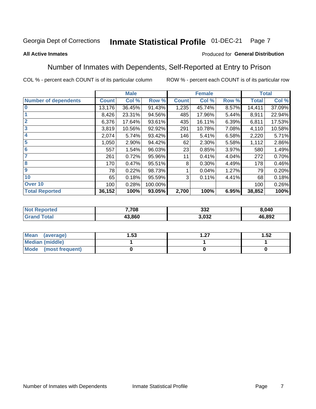#### Inmate Statistical Profile 01-DEC-21 Page 7

#### **All Active Inmates**

#### Produced for General Distribution

### Number of Inmates with Dependents, Self-Reported at Entry to Prison

COL % - percent each COUNT is of its particular column

|                             | <b>Male</b>  |        |         |              | <b>Female</b> | <b>Total</b> |              |        |
|-----------------------------|--------------|--------|---------|--------------|---------------|--------------|--------------|--------|
| <b>Number of dependents</b> | <b>Count</b> | Col %  | Row %   | <b>Count</b> | Col %         | Row %        | <b>Total</b> | Col %  |
| 10                          | 13,176       | 36.45% | 91.43%  | 1,235        | 45.74%        | 8.57%        | 14,411       | 37.09% |
|                             | 8,426        | 23.31% | 94.56%  | 485          | 17.96%        | 5.44%        | 8,911        | 22.94% |
| $\overline{2}$              | 6,376        | 17.64% | 93.61%  | 435          | 16.11%        | 6.39%        | 6,811        | 17.53% |
| $\overline{\mathbf{3}}$     | 3,819        | 10.56% | 92.92%  | 291          | 10.78%        | 7.08%        | 4,110        | 10.58% |
| 4                           | 2,074        | 5.74%  | 93.42%  | 146          | 5.41%         | 6.58%        | 2,220        | 5.71%  |
| 5                           | 1,050        | 2.90%  | 94.42%  | 62           | 2.30%         | 5.58%        | 1,112        | 2.86%  |
| 6                           | 557          | 1.54%  | 96.03%  | 23           | 0.85%         | 3.97%        | 580          | 1.49%  |
| 7                           | 261          | 0.72%  | 95.96%  | 11           | 0.41%         | 4.04%        | 272          | 0.70%  |
| $\overline{\mathbf{8}}$     | 170          | 0.47%  | 95.51%  | 8            | 0.30%         | 4.49%        | 178          | 0.46%  |
| 9                           | 78           | 0.22%  | 98.73%  |              | 0.04%         | 1.27%        | 79           | 0.20%  |
| 10                          | 65           | 0.18%  | 95.59%  | 3            | 0.11%         | 4.41%        | 68           | 0.18%  |
| Over 10                     | 100          | 0.28%  | 100.00% |              |               |              | 100          | 0.26%  |
| <b>Total Reported</b>       | 36,152       | 100%   | 93.05%  | 2,700        | 100%          | 6.95%        | 38,852       | 100%   |

| тес.              | 7,708  | າາາ<br>∠دد | 8,040  |
|-------------------|--------|------------|--------|
| $T \sim$ follows: | 43.860 | nnn<br>ບວ∠ | 46,892 |

| Mean (average)       | l.53 | דר | 1.52 |
|----------------------|------|----|------|
| Median (middle)      |      |    |      |
| Mode (most frequent) |      |    |      |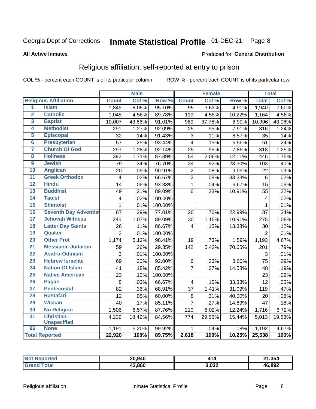#### Inmate Statistical Profile 01-DEC-21 Page 8

#### **All Active Inmates**

#### Produced for General Distribution

### Religious affiliation, self-reported at entry to prison

COL % - percent each COUNT is of its particular column

|                         |                              |                 | <b>Male</b> |         |                         | <b>Female</b> |                  |                 | <b>Total</b> |
|-------------------------|------------------------------|-----------------|-------------|---------|-------------------------|---------------|------------------|-----------------|--------------|
|                         | <b>Religious Affiliation</b> | <b>Count</b>    | Col %       | Row %   | <b>Count</b>            | Col %         | Row <sup>%</sup> | <b>Total</b>    | Col %        |
| $\overline{1}$          | <b>Islam</b>                 | 1,845           | 8.05%       | 95.10%  | $\overline{95}$         | 3.63%         | 4.90%            | 1,940           | 7.60%        |
| $\overline{2}$          | <b>Catholic</b>              | 1,045           | 4.56%       | 89.78%  | 119                     | 4.55%         | 10.22%           | 1,164           | 4.56%        |
| 3                       | <b>Baptist</b>               | 10,007          | 43.66%      | 91.01%  | 989                     | 37.78%        | 8.99%            | 10,996          | 43.06%       |
| 4                       | <b>Methodist</b>             | 291             | 1.27%       | 92.09%  | 25                      | .95%          | 7.91%            | 316             | 1.24%        |
| 5                       | <b>Episcopal</b>             | 32              | .14%        | 91.43%  | 3                       | .11%          | 8.57%            | 35              | .14%         |
| $\overline{\bf{6}}$     | <b>Presbyterian</b>          | 57              | .25%        | 93.44%  | $\overline{\mathbf{4}}$ | .15%          | 6.56%            | 61              | .24%         |
| 7                       | <b>Church Of God</b>         | 293             | 1.28%       | 92.14%  | 25                      | .95%          | 7.86%            | 318             | 1.25%        |
| $\overline{\mathbf{8}}$ | <b>Holiness</b>              | 392             | 1.71%       | 87.89%  | 54                      | 2.06%         | 12.11%           | 446             | 1.75%        |
| $\overline{9}$          | <b>Jewish</b>                | 79              | .34%        | 76.70%  | 24                      | .92%          | 23.30%           | 103             | .40%         |
| 10                      | <b>Anglican</b>              | 20              | .09%        | 90.91%  | $\boldsymbol{2}$        | .08%          | 9.09%            | 22              | .09%         |
| $\overline{11}$         | <b>Greek Orthodox</b>        | $\overline{4}$  | .02%        | 66.67%  | $\overline{2}$          | .08%          | 33.33%           | $\,6$           | .02%         |
| 12                      | <b>Hindu</b>                 | 14              | .06%        | 93.33%  | $\overline{1}$          | .04%          | 6.67%            | 15              | .06%         |
| 13                      | <b>Buddhist</b>              | 49              | .21%        | 89.09%  | 6                       | .23%          | 10.91%           | 55              | .22%         |
| 14                      | <b>Taoist</b>                | $\overline{4}$  | .02%        | 100.00% |                         |               |                  | 4               | .02%         |
| 15                      | <b>Shintoist</b>             | $\mathbf{1}$    | .01%        | 100.00% |                         |               |                  | 1               | .01%         |
| 16                      | <b>Seventh Day Adventist</b> | 67              | .29%        | 77.01%  | 20                      | .76%          | 22.99%           | 87              | .34%         |
| 17                      | <b>Jehovah Witness</b>       | 245             | 1.07%       | 89.09%  | 30                      | 1.15%         | 10.91%           | 275             | 1.08%        |
| 18                      | <b>Latter Day Saints</b>     | 26              | .11%        | 86.67%  | 4                       | .15%          | 13.33%           | 30              | .12%         |
| 19                      | Quaker                       | $\overline{2}$  | .01%        | 100.00% |                         |               |                  | $\overline{2}$  | .01%         |
| 20                      | <b>Other Prot</b>            | 1,174           | 5.12%       | 98.41%  | 19                      | .73%          | 1.59%            | 1,193           | 4.67%        |
| 21                      | <b>Messianic Judaism</b>     | 59              | .26%        | 29.35%  | 142                     | 5.42%         | 70.65%           | 201             | .79%         |
| 22                      | <b>Asatru-Odinism</b>        | 3               | .01%        | 100.00% |                         |               |                  | 3               | .01%         |
| 23                      | <b>Hebrew Israelite</b>      | 69              | .30%        | 92.00%  | 6                       | .23%          | 8.00%            | $\overline{75}$ | .29%         |
| 24                      | <b>Nation Of Islam</b>       | 41              | .18%        | 85.42%  | $\overline{7}$          | .27%          | 14.58%           | 48              | .19%         |
| 25                      | <b>Native American</b>       | $\overline{23}$ | .10%        | 100.00% |                         |               |                  | $\overline{23}$ | .09%         |
| 26                      | Pagan                        | 8               | .03%        | 66.67%  | $\overline{\mathbf{4}}$ | .15%          | 33.33%           | 12              | .05%         |
| 27                      | <b>Pentecostal</b>           | 82              | .36%        | 68.91%  | 37                      | 1.41%         | 31.09%           | 119             | .47%         |
| 28                      | <b>Rastafari</b>             | 12              | .05%        | 60.00%  | 8                       | .31%          | 40.00%           | 20              | .08%         |
| 29                      | <b>Wiccan</b>                | 40              | .17%        | 85.11%  | $\overline{7}$          | .27%          | 14.89%           | 47              | .18%         |
| 30                      | <b>No Religion</b>           | 1,506           | 6.57%       | 87.76%  | 210                     | 8.02%         | 12.24%           | 1,716           | 6.72%        |
| 31                      | Christian -                  | 4,239           | 18.49%      | 84.56%  | 774                     | 29.56%        | 15.44%           | 5,013           | 19.63%       |
|                         | <b>Unspecified</b>           |                 |             |         |                         |               |                  |                 |              |
| 96                      | <b>None</b>                  | 1,191           | 5.20%       | 99.92%  | 1                       | .04%          | .08%             | 1,192           | 4.67%        |
|                         | <b>Total Reported</b>        | 22,920          | 100%        | 89.75%  | 2,618                   | 100%          | 10.25%           | 25,538          | 100%         |

| тес. | 20,940 |       | 21,354 |
|------|--------|-------|--------|
|      | 43.860 | 3,032 | 46.892 |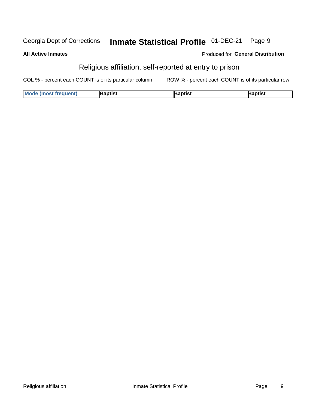#### Inmate Statistical Profile 01-DEC-21 Georgia Dept of Corrections Page 9

#### **All Active Inmates**

#### Produced for General Distribution

# Religious affiliation, self-reported at entry to prison

COL % - percent each COUNT is of its particular column ROW % - percent each COUNT is of its particular row

| <b>Mode (most frequent)</b> | 3aptist | aptist | Baptist |
|-----------------------------|---------|--------|---------|
|-----------------------------|---------|--------|---------|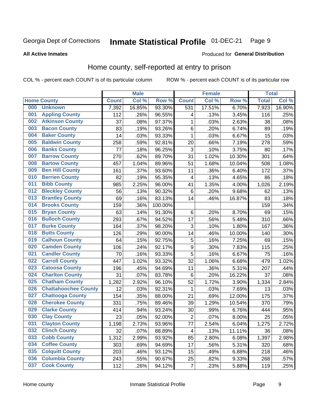#### Inmate Statistical Profile 01-DEC-21 Page 9

**All Active Inmates** 

#### Produced for General Distribution

### Home county, self-reported at entry to prison

COL % - percent each COUNT is of its particular column

|     |                             |              | <b>Male</b> |                  |                  | <b>Female</b> |        | <b>Total</b> |        |
|-----|-----------------------------|--------------|-------------|------------------|------------------|---------------|--------|--------------|--------|
|     | <b>Home County</b>          | <b>Count</b> | Col %       | Row <sup>%</sup> | <b>Count</b>     | Col %         | Row %  | <b>Total</b> | Col %  |
| 000 | <b>Unknown</b>              | 7,392        | 16.85%      | 93.30%           | 531              | 17.51%        | 6.70%  | 7,923        | 16.90% |
| 001 | <b>Appling County</b>       | 112          | .26%        | 96.55%           | 4                | .13%          | 3.45%  | 116          | .25%   |
| 002 | <b>Atkinson County</b>      | 37           | .08%        | 97.37%           | 1                | .03%          | 2.63%  | 38           | .08%   |
| 003 | <b>Bacon County</b>         | 83           | .19%        | 93.26%           | $\,6$            | .20%          | 6.74%  | 89           | .19%   |
| 004 | <b>Baker County</b>         | 14           | .03%        | 93.33%           | $\mathbf 1$      | .03%          | 6.67%  | 15           | .03%   |
| 005 | <b>Baldwin County</b>       | 258          | .59%        | 92.81%           | 20               | .66%          | 7.19%  | 278          | .59%   |
| 006 | <b>Banks County</b>         | 77           | .18%        | 96.25%           | $\mathbf{3}$     | .10%          | 3.75%  | 80           | .17%   |
| 007 | <b>Barrow County</b>        | 270          | .62%        | 89.70%           | 31               | 1.02%         | 10.30% | 301          | .64%   |
| 008 | <b>Bartow County</b>        | 457          | 1.04%       | 89.96%           | 51               | 1.68%         | 10.04% | 508          | 1.08%  |
| 009 | <b>Ben Hill County</b>      | 161          | .37%        | 93.60%           | 11               | .36%          | 6.40%  | 172          | .37%   |
| 010 | <b>Berrien County</b>       | 82           | .19%        | 95.35%           | 4                | .13%          | 4.65%  | 86           | .18%   |
| 011 | <b>Bibb County</b>          | 985          | 2.25%       | 96.00%           | 41               | 1.35%         | 4.00%  | 1,026        | 2.19%  |
| 012 | <b>Bleckley County</b>      | 56           | .13%        | 90.32%           | $\,6$            | .20%          | 9.68%  | 62           | .13%   |
| 013 | <b>Brantley County</b>      | 69           | .16%        | 83.13%           | 14               | .46%          | 16.87% | 83           | .18%   |
| 014 | <b>Brooks County</b>        | 159          | .36%        | 100.00%          |                  |               |        | 159          | .34%   |
| 015 | <b>Bryan County</b>         | 63           | .14%        | 91.30%           | $\,6$            | .20%          | 8.70%  | 69           | .15%   |
| 016 | <b>Bulloch County</b>       | 293          | .67%        | 94.52%           | 17               | .56%          | 5.48%  | 310          | .66%   |
| 017 | <b>Burke County</b>         | 164          | .37%        | 98.20%           | $\mathbf{3}$     | .10%          | 1.80%  | 167          | .36%   |
| 018 | <b>Butts County</b>         | 126          | .29%        | 90.00%           | 14               | .46%          | 10.00% | 140          | .30%   |
| 019 | <b>Calhoun County</b>       | 64           | .15%        | 92.75%           | 5                | .16%          | 7.25%  | 69           | .15%   |
| 020 | <b>Camden County</b>        | 106          | .24%        | 92.17%           | $\boldsymbol{9}$ | .30%          | 7.83%  | 115          | .25%   |
| 021 | <b>Candler County</b>       | 70           | .16%        | 93.33%           | 5                | .16%          | 6.67%  | 75           | .16%   |
| 022 | <b>Carroll County</b>       | 447          | 1.02%       | 93.32%           | 32               | 1.06%         | 6.68%  | 479          | 1.02%  |
| 023 | <b>Catoosa County</b>       | 196          | .45%        | 94.69%           | 11               | .36%          | 5.31%  | 207          | .44%   |
| 024 | <b>Charlton County</b>      | 31           | .07%        | 83.78%           | 6                | .20%          | 16.22% | 37           | .08%   |
| 025 | <b>Chatham County</b>       | 1,282        | 2.92%       | 96.10%           | 52               | 1.72%         | 3.90%  | 1,334        | 2.84%  |
| 026 | <b>Chattahoochee County</b> | 12           | .03%        | 92.31%           | 1                | .03%          | 7.69%  | 13           | .03%   |
| 027 | <b>Chattooga County</b>     | 154          | .35%        | 88.00%           | 21               | .69%          | 12.00% | 175          | .37%   |
| 028 | <b>Cherokee County</b>      | 331          | .75%        | 89.46%           | 39               | 1.29%         | 10.54% | 370          | .79%   |
| 029 | <b>Clarke County</b>        | 414          | .94%        | 93.24%           | 30               | .99%          | 6.76%  | 444          | .95%   |
| 030 | <b>Clay County</b>          | 23           | .05%        | 92.00%           | $\overline{2}$   | .07%          | 8.00%  | 25           | .05%   |
| 031 | <b>Clayton County</b>       | 1,198        | 2.73%       | 93.96%           | 77               | 2.54%         | 6.04%  | 1,275        | 2.72%  |
| 032 | <b>Clinch County</b>        | 32           | .07%        | 88.89%           | 4                | .13%          | 11.11% | 36           | .08%   |
| 033 | <b>Cobb County</b>          | 1,312        | 2.99%       | 93.92%           | 85               | 2.80%         | 6.08%  | 1,397        | 2.98%  |
| 034 | <b>Coffee County</b>        | 303          | .69%        | 94.69%           | 17               | .56%          | 5.31%  | 320          | .68%   |
| 035 | <b>Colquitt County</b>      | 203          | .46%        | 93.12%           | 15               | .49%          | 6.88%  | 218          | .46%   |
| 036 | <b>Columbia County</b>      | 243          | .55%        | 90.67%           | 25               | .82%          | 9.33%  | 268          | .57%   |
| 037 | <b>Cook County</b>          | 112          | .26%        | 94.12%           | $\overline{7}$   | .23%          | 5.88%  | 119          | .25%   |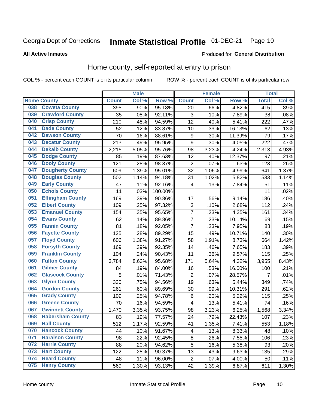#### Inmate Statistical Profile 01-DEC-21 Page 10

Produced for General Distribution

#### **All Active Inmates**

#### Home county, self-reported at entry to prison

COL % - percent each COUNT is of its particular column

|     |                         |              | <b>Male</b> |                  |                  | <b>Female</b> |                  | <b>Total</b>   |         |
|-----|-------------------------|--------------|-------------|------------------|------------------|---------------|------------------|----------------|---------|
|     | <b>Home County</b>      | <b>Count</b> | Col %       | Row <sup>%</sup> | <b>Count</b>     | Col %         | Row <sup>%</sup> | <b>Total</b>   | Col %   |
| 038 | <b>Coweta County</b>    | 395          | .90%        | 95.18%           | 20               | .66%          | 4.82%            | 415            | .89%    |
| 039 | <b>Crawford County</b>  | 35           | .08%        | 92.11%           | 3                | .10%          | 7.89%            | 38             | .08%    |
| 040 | <b>Crisp County</b>     | 210          | .48%        | 94.59%           | 12               | .40%          | 5.41%            | 222            | .47%    |
| 041 | <b>Dade County</b>      | 52           | .12%        | 83.87%           | 10               | .33%          | 16.13%           | 62             | .13%    |
| 042 | <b>Dawson County</b>    | 70           | .16%        | 88.61%           | 9                | .30%          | 11.39%           | 79             | .17%    |
| 043 | <b>Decatur County</b>   | 213          | .49%        | 95.95%           | 9                | .30%          | 4.05%            | 222            | .47%    |
| 044 | <b>Dekalb County</b>    | 2,215        | 5.05%       | 95.76%           | 98               | 3.23%         | 4.24%            | 2,313          | 4.93%   |
| 045 | <b>Dodge County</b>     | 85           | .19%        | 87.63%           | 12               | .40%          | 12.37%           | 97             | .21%    |
| 046 | <b>Dooly County</b>     | 121          | .28%        | 98.37%           | $\overline{2}$   | .07%          | 1.63%            | 123            | .26%    |
| 047 | <b>Dougherty County</b> | 609          | 1.39%       | 95.01%           | 32               | 1.06%         | 4.99%            | 641            | 1.37%   |
| 048 | <b>Douglas County</b>   | 502          | 1.14%       | 94.18%           | 31               | 1.02%         | 5.82%            | 533            | 1.14%   |
| 049 | <b>Early County</b>     | 47           | .11%        | 92.16%           | 4                | .13%          | 7.84%            | 51             | .11%    |
| 050 | <b>Echols County</b>    | 11           | .03%        | 100.00%          |                  |               |                  | 11             | .02%    |
| 051 | <b>Effingham County</b> | 169          | .39%        | 90.86%           | 17               | .56%          | 9.14%            | 186            | .40%    |
| 052 | <b>Elbert County</b>    | 109          | .25%        | 97.32%           | 3                | .10%          | 2.68%            | 112            | .24%    |
| 053 | <b>Emanuel County</b>   | 154          | .35%        | 95.65%           | $\overline{7}$   | .23%          | 4.35%            | 161            | .34%    |
| 054 | <b>Evans County</b>     | 62           | .14%        | 89.86%           | $\overline{7}$   | .23%          | 10.14%           | 69             | .15%    |
| 055 | <b>Fannin County</b>    | 81           | .18%        | 92.05%           | $\overline{7}$   | .23%          | 7.95%            | 88             | .19%    |
| 056 | <b>Fayette County</b>   | 125          | .28%        | 89.29%           | 15               | .49%          | 10.71%           | 140            | $.30\%$ |
| 057 | <b>Floyd County</b>     | 606          | 1.38%       | 91.27%           | 58               | 1.91%         | 8.73%            | 664            | 1.42%   |
| 058 | <b>Forsyth County</b>   | 169          | .39%        | 92.35%           | 14               | .46%          | 7.65%            | 183            | $.39\%$ |
| 059 | <b>Franklin County</b>  | 104          | .24%        | 90.43%           | 11               | .36%          | 9.57%            | 115            | .25%    |
| 060 | <b>Fulton County</b>    | 3,784        | 8.63%       | 95.68%           | 171              | 5.64%         | 4.32%            | 3,955          | 8.43%   |
| 061 | <b>Gilmer County</b>    | 84           | .19%        | 84.00%           | 16               | .53%          | 16.00%           | 100            | .21%    |
| 062 | <b>Glascock County</b>  | 5            | .01%        | 71.43%           | $\overline{2}$   | .07%          | 28.57%           | $\overline{7}$ | .01%    |
| 063 | <b>Glynn County</b>     | 330          | .75%        | 94.56%           | 19               | .63%          | 5.44%            | 349            | .74%    |
| 064 | <b>Gordon County</b>    | 261          | .60%        | 89.69%           | 30               | .99%          | 10.31%           | 291            | .62%    |
| 065 | <b>Grady County</b>     | 109          | .25%        | 94.78%           | 6                | .20%          | 5.22%            | 115            | .25%    |
| 066 | <b>Greene County</b>    | 70           | .16%        | 94.59%           | 4                | .13%          | 5.41%            | 74             | .16%    |
| 067 | <b>Gwinnett County</b>  | 1,470        | 3.35%       | 93.75%           | 98               | 3.23%         | 6.25%            | 1,568          | 3.34%   |
| 068 | <b>Habersham County</b> | 83           | .19%        | 77.57%           | 24               | .79%          | 22.43%           | 107            | .23%    |
| 069 | <b>Hall County</b>      | 512          | 1.17%       | 92.59%           | 41               | 1.35%         | 7.41%            | 553            | 1.18%   |
| 070 | <b>Hancock County</b>   | 44           | .10%        | 91.67%           | 4                | .13%          | 8.33%            | 48             | .10%    |
| 071 | <b>Haralson County</b>  | 98           | .22%        | 92.45%           | 8                | .26%          | 7.55%            | 106            | .23%    |
| 072 | <b>Harris County</b>    | 88           | .20%        | 94.62%           | 5                | .16%          | 5.38%            | 93             | .20%    |
| 073 | <b>Hart County</b>      | 122          | .28%        | 90.37%           | 13               | .43%          | 9.63%            | 135            | .29%    |
| 074 | <b>Heard County</b>     | 48           | .11%        | 96.00%           | $\boldsymbol{2}$ | .07%          | 4.00%            | 50             | .11%    |
| 075 | <b>Henry County</b>     | 569          | 1.30%       | 93.13%           | 42               | 1.39%         | 6.87%            | 611            | 1.30%   |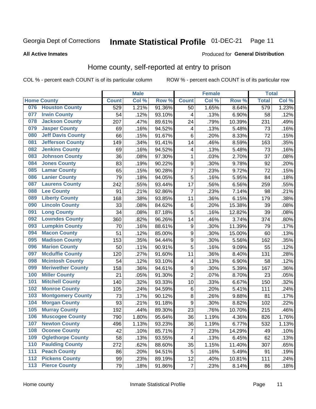#### Inmate Statistical Profile 01-DEC-21 Page 11

**All Active Inmates** 

#### Produced for General Distribution

### Home county, self-reported at entry to prison

COL % - percent each COUNT is of its particular column

|                  |                          |              | <b>Male</b> |        |                  | <b>Female</b> |                  | <b>Total</b>    |       |
|------------------|--------------------------|--------------|-------------|--------|------------------|---------------|------------------|-----------------|-------|
|                  | <b>Home County</b>       | <b>Count</b> | Col %       | Row %  | <b>Count</b>     | Col %         | Row <sup>%</sup> | <b>Total</b>    | Col % |
| 076              | <b>Houston County</b>    | 529          | 1.21%       | 91.36% | 50               | 1.65%         | 8.64%            | 579             | 1.23% |
| 077              | <b>Irwin County</b>      | 54           | .12%        | 93.10% | 4                | .13%          | 6.90%            | 58              | .12%  |
| 078              | <b>Jackson County</b>    | 207          | .47%        | 89.61% | 24               | .79%          | 10.39%           | 231             | .49%  |
| 079              | <b>Jasper County</b>     | 69           | .16%        | 94.52% | 4                | .13%          | 5.48%            | 73              | .16%  |
| 080              | <b>Jeff Davis County</b> | 66           | .15%        | 91.67% | 6                | .20%          | 8.33%            | 72              | .15%  |
| 081              | <b>Jefferson County</b>  | 149          | .34%        | 91.41% | 14               | .46%          | 8.59%            | 163             | .35%  |
| 082              | <b>Jenkins County</b>    | 69           | .16%        | 94.52% | 4                | .13%          | 5.48%            | 73              | .16%  |
| 083              | <b>Johnson County</b>    | 36           | .08%        | 97.30% | $\mathbf 1$      | .03%          | 2.70%            | 37              | .08%  |
| 084              | <b>Jones County</b>      | 83           | .19%        | 90.22% | $\boldsymbol{9}$ | .30%          | 9.78%            | 92              | .20%  |
| 085              | <b>Lamar County</b>      | 65           | .15%        | 90.28% | $\overline{7}$   | .23%          | 9.72%            | $\overline{72}$ | .15%  |
| 086              | <b>Lanier County</b>     | 79           | .18%        | 94.05% | $\overline{5}$   | .16%          | 5.95%            | 84              | .18%  |
| 087              | <b>Laurens County</b>    | 242          | .55%        | 93.44% | 17               | .56%          | 6.56%            | 259             | .55%  |
| 088              | <b>Lee County</b>        | 91           | .21%        | 92.86% | 7                | .23%          | 7.14%            | 98              | .21%  |
| 089              | <b>Liberty County</b>    | 168          | .38%        | 93.85% | 11               | .36%          | 6.15%            | 179             | .38%  |
| 090              | <b>Lincoln County</b>    | 33           | .08%        | 84.62% | $\,6$            | .20%          | 15.38%           | 39              | .08%  |
| 091              | <b>Long County</b>       | 34           | .08%        | 87.18% | 5                | .16%          | 12.82%           | 39              | .08%  |
| 092              | <b>Lowndes County</b>    | 360          | .82%        | 96.26% | 14               | .46%          | 3.74%            | 374             | .80%  |
| 093              | <b>Lumpkin County</b>    | 70           | .16%        | 88.61% | $\boldsymbol{9}$ | .30%          | 11.39%           | 79              | .17%  |
| 094              | <b>Macon County</b>      | 51           | .12%        | 85.00% | $\boldsymbol{9}$ | .30%          | 15.00%           | 60              | .13%  |
| 095              | <b>Madison County</b>    | 153          | .35%        | 94.44% | 9                | .30%          | 5.56%            | 162             | .35%  |
| 096              | <b>Marion County</b>     | 50           | .11%        | 90.91% | 5                | .16%          | 9.09%            | 55              | .12%  |
| 097              | <b>Mcduffie County</b>   | 120          | .27%        | 91.60% | 11               | .36%          | 8.40%            | 131             | .28%  |
| 098              | <b>Mcintosh County</b>   | 54           | .12%        | 93.10% | 4                | .13%          | 6.90%            | 58              | .12%  |
| 099              | <b>Meriwether County</b> | 158          | .36%        | 94.61% | 9                | .30%          | 5.39%            | 167             | .36%  |
| 100              | <b>Miller County</b>     | 21           | .05%        | 91.30% | $\overline{2}$   | .07%          | 8.70%            | 23              | .05%  |
| 101              | <b>Mitchell County</b>   | 140          | .32%        | 93.33% | 10               | .33%          | 6.67%            | 150             | .32%  |
| 102              | <b>Monroe County</b>     | 105          | .24%        | 94.59% | $\,6$            | .20%          | 5.41%            | 111             | .24%  |
| 103              | <b>Montgomery County</b> | 73           | .17%        | 90.12% | 8                | .26%          | 9.88%            | 81              | .17%  |
| 104              | <b>Morgan County</b>     | 93           | .21%        | 91.18% | 9                | .30%          | 8.82%            | 102             | .22%  |
| 105              | <b>Murray County</b>     | 192          | .44%        | 89.30% | 23               | .76%          | 10.70%           | 215             | .46%  |
| 106              | <b>Muscogee County</b>   | 790          | 1.80%       | 95.64% | 36               | 1.19%         | 4.36%            | 826             | 1.76% |
| 107              | <b>Newton County</b>     | 496          | 1.13%       | 93.23% | 36               | 1.19%         | 6.77%            | 532             | 1.13% |
| 108              | <b>Oconee County</b>     | 42           | .10%        | 85.71% | 7                | .23%          | 14.29%           | 49              | .10%  |
| 109              | <b>Oglethorpe County</b> | 58           | .13%        | 93.55% | 4                | .13%          | 6.45%            | 62              | .13%  |
| 110              | <b>Paulding County</b>   | 272          | .62%        | 88.60% | 35               | 1.15%         | 11.40%           | 307             | .65%  |
| 111              | <b>Peach County</b>      | 86           | .20%        | 94.51% | 5                | .16%          | 5.49%            | 91              | .19%  |
| $\overline{112}$ | <b>Pickens County</b>    | 99           | .23%        | 89.19% | 12               | .40%          | 10.81%           | 111             | .24%  |
| 113              | <b>Pierce County</b>     | 79           | .18%        | 91.86% | $\overline{7}$   | .23%          | 8.14%            | 86              | .18%  |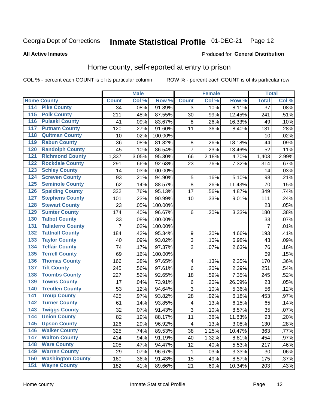# Inmate Statistical Profile 01-DEC-21 Page 12

#### **All Active Inmates**

#### Produced for General Distribution

#### Home county, self-reported at entry to prison

COL % - percent each COUNT is of its particular column

|                  |                          |                  | <b>Male</b> |         |                         | <b>Female</b> |        | <b>Total</b>    |       |
|------------------|--------------------------|------------------|-------------|---------|-------------------------|---------------|--------|-----------------|-------|
|                  | <b>Home County</b>       | <b>Count</b>     | Col %       | Row %   | <b>Count</b>            | Col %         | Row %  | <b>Total</b>    | Col % |
| 114              | <b>Pike County</b>       | 34               | .08%        | 91.89%  | 3                       | .10%          | 8.11%  | $\overline{37}$ | .08%  |
| 115              | <b>Polk County</b>       | $\overline{2}11$ | .48%        | 87.55%  | 30                      | .99%          | 12.45% | 241             | .51%  |
| 116              | <b>Pulaski County</b>    | 41               | .09%        | 83.67%  | 8                       | .26%          | 16.33% | 49              | .10%  |
| 117              | <b>Putnam County</b>     | 120              | .27%        | 91.60%  | 11                      | .36%          | 8.40%  | 131             | .28%  |
| 118              | <b>Quitman County</b>    | 10               | .02%        | 100.00% |                         |               |        | 10              | .02%  |
| 119              | <b>Rabun County</b>      | 36               | .08%        | 81.82%  | 8                       | .26%          | 18.18% | 44              | .09%  |
| 120              | <b>Randolph County</b>   | 45               | .10%        | 86.54%  | $\overline{7}$          | .23%          | 13.46% | 52              | .11%  |
| 121              | <b>Richmond County</b>   | 1,337            | 3.05%       | 95.30%  | 66                      | 2.18%         | 4.70%  | 1,403           | 2.99% |
| 122              | <b>Rockdale County</b>   | 291              | .66%        | 92.68%  | 23                      | .76%          | 7.32%  | 314             | .67%  |
| 123              | <b>Schley County</b>     | 14               | .03%        | 100.00% |                         |               |        | 14              | .03%  |
| 124              | <b>Screven County</b>    | 93               | .21%        | 94.90%  | 5                       | .16%          | 5.10%  | 98              | .21%  |
| 125              | <b>Seminole County</b>   | 62               | .14%        | 88.57%  | 8                       | .26%          | 11.43% | 70              | .15%  |
| 126              | <b>Spalding County</b>   | 332              | .76%        | 95.13%  | 17                      | .56%          | 4.87%  | 349             | .74%  |
| 127              | <b>Stephens County</b>   | 101              | .23%        | 90.99%  | 10                      | .33%          | 9.01%  | 111             | .24%  |
| 128              | <b>Stewart County</b>    | 23               | .05%        | 100.00% |                         |               |        | 23              | .05%  |
| 129              | <b>Sumter County</b>     | 174              | .40%        | 96.67%  | $\,6$                   | .20%          | 3.33%  | 180             | .38%  |
| 130              | <b>Talbot County</b>     | 33               | .08%        | 100.00% |                         |               |        | 33              | .07%  |
| 131              | <b>Taliaferro County</b> | 7                | .02%        | 100.00% |                         |               |        | $\overline{7}$  | .01%  |
| 132              | <b>Tattnall County</b>   | 184              | .42%        | 95.34%  | $\boldsymbol{9}$        | .30%          | 4.66%  | 193             | .41%  |
| 133              | <b>Taylor County</b>     | 40               | .09%        | 93.02%  | 3                       | .10%          | 6.98%  | 43              | .09%  |
| 134              | <b>Telfair County</b>    | 74               | .17%        | 97.37%  | $\overline{2}$          | .07%          | 2.63%  | 76              | .16%  |
| 135              | <b>Terrell County</b>    | 69               | .16%        | 100.00% |                         |               |        | 69              | .15%  |
| 136              | <b>Thomas County</b>     | 166              | .38%        | 97.65%  | 4                       | .13%          | 2.35%  | 170             | .36%  |
| 137              | <b>Tift County</b>       | 245              | .56%        | 97.61%  | $\,6$                   | .20%          | 2.39%  | 251             | .54%  |
| 138              | <b>Toombs County</b>     | 227              | .52%        | 92.65%  | 18                      | .59%          | 7.35%  | 245             | .52%  |
| 139              | <b>Towns County</b>      | 17               | .04%        | 73.91%  | $\,6$                   | .20%          | 26.09% | 23              | .05%  |
| 140              | <b>Treutlen County</b>   | 53               | .12%        | 94.64%  | 3                       | .10%          | 5.36%  | 56              | .12%  |
| 141              | <b>Troup County</b>      | 425              | .97%        | 93.82%  | 28                      | .92%          | 6.18%  | 453             | .97%  |
| $\overline{142}$ | <b>Turner County</b>     | 61               | .14%        | 93.85%  | 4                       | .13%          | 6.15%  | 65              | .14%  |
| 143              | <b>Twiggs County</b>     | 32               | .07%        | 91.43%  | $\overline{3}$          | .10%          | 8.57%  | 35              | .07%  |
| 144              | <b>Union County</b>      | 82               | .19%        | 88.17%  | 11                      | .36%          | 11.83% | 93              | .20%  |
| 145              | <b>Upson County</b>      | 126              | .29%        | 96.92%  | $\overline{\mathbf{4}}$ | .13%          | 3.08%  | 130             | .28%  |
| 146              | <b>Walker County</b>     | 325              | .74%        | 89.53%  | 38                      | 1.25%         | 10.47% | 363             | .77%  |
| 147              | <b>Walton County</b>     | 414              | .94%        | 91.19%  | 40                      | 1.32%         | 8.81%  | 454             | .97%  |
| 148              | <b>Ware County</b>       | 205              | .47%        | 94.47%  | 12                      | .40%          | 5.53%  | 217             | .46%  |
| 149              | <b>Warren County</b>     | 29               | .07%        | 96.67%  | 1                       | .03%          | 3.33%  | 30              | .06%  |
| 150              | <b>Washington County</b> | 160              | .36%        | 91.43%  | 15                      | .49%          | 8.57%  | 175             | .37%  |
| 151              | <b>Wayne County</b>      | 182              | .41%        | 89.66%  | 21                      | .69%          | 10.34% | 203             | .43%  |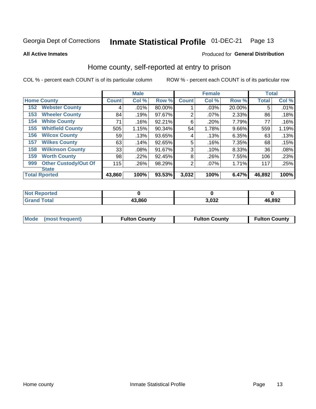#### Inmate Statistical Profile 01-DEC-21 Page 13

**All Active Inmates** 

#### Produced for General Distribution

#### Home county, self-reported at entry to prison

COL % - percent each COUNT is of its particular column

|     |                             |              | <b>Male</b> |        |              | <b>Female</b> |        | <b>Total</b> |       |
|-----|-----------------------------|--------------|-------------|--------|--------------|---------------|--------|--------------|-------|
|     | <b>Home County</b>          | <b>Count</b> | Col %       | Row %  | <b>Count</b> | Col %         | Row %  | <b>Total</b> | Col % |
| 152 | <b>Webster County</b>       | 4            | .01%        | 80.00% |              | .03%          | 20.00% | 5            | .01%  |
| 153 | <b>Wheeler County</b>       | 84           | .19%        | 97.67% | 2            | .07%          | 2.33%  | 86           | .18%  |
| 154 | <b>White County</b>         | 71           | .16%        | 92.21% | 6            | .20%          | 7.79%  | 77           | .16%  |
| 155 | <b>Whitfield County</b>     | 505          | 1.15%       | 90.34% | 54           | 1.78%         | 9.66%  | 559          | 1.19% |
| 156 | <b>Wilcox County</b>        | 59           | .13%        | 93.65% | 4            | .13%          | 6.35%  | 63           | .13%  |
| 157 | <b>Wilkes County</b>        | 63           | .14%        | 92.65% | 5            | .16%          | 7.35%  | 68           | .15%  |
| 158 | <b>Wilkinson County</b>     | 33           | $.08\%$     | 91.67% | 3            | .10%          | 8.33%  | 36           | .08%  |
| 159 | <b>Worth County</b>         | 98           | .22%        | 92.45% | 8            | .26%          | 7.55%  | 106          | .23%  |
| 999 | <b>Other Custody/Out Of</b> | 115          | .26%        | 98.29% | 2            | .07%          | 1.71%  | 117          | .25%  |
|     | <b>State</b>                |              |             |        |              |               |        |              |       |
|     | <b>Total Rported</b>        | 43,860       | 100%        | 93.53% | 3,032        | 100%          | 6.47%  | 46,892       | 100%  |

| <b>Not</b><br>Reported |        |       |        |
|------------------------|--------|-------|--------|
| Total                  | 43,860 | 3,032 | 46,892 |

| Mode (most frequent) | <b>Fulton County</b> | <b>Fulton County</b> | <b>Fulton County</b> |
|----------------------|----------------------|----------------------|----------------------|
|                      |                      |                      |                      |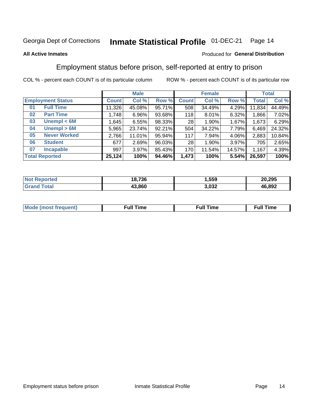#### Inmate Statistical Profile 01-DEC-21 Page 14

#### **All Active Inmates**

#### Produced for General Distribution

### Employment status before prison, self-reported at entry to prison

COL % - percent each COUNT is of its particular column

|                           | <b>Male</b>  |          | <b>Female</b> |              |          | <b>Total</b> |        |        |
|---------------------------|--------------|----------|---------------|--------------|----------|--------------|--------|--------|
| <b>Employment Status</b>  | <b>Count</b> | Col %    | Row %         | <b>Count</b> | Col %    | Row %        | Total  | Col %  |
| <b>Full Time</b><br>01    | 11,326       | 45.08%   | 95.71%        | 508          | 34.49%   | $4.29\%$     | 11,834 | 44.49% |
| <b>Part Time</b><br>02    | 1,748        | $6.96\%$ | 93.68%        | 118          | $8.01\%$ | 6.32%        | 1,866  | 7.02%  |
| Unempl $<$ 6M<br>03       | ,645         | 6.55%    | 98.33%        | 28           | $1.90\%$ | 1.67%        | 1,673  | 6.29%  |
| Unempl > 6M<br>04         | 5,965        | 23.74%   | 92.21%        | 504          | 34.22%   | 7.79%        | 6,469  | 24.32% |
| <b>Never Worked</b><br>05 | 2,766        | 11.01%   | 95.94%        | 117          | 7.94%    | 4.06%        | 2,883  | 10.84% |
| <b>Student</b><br>06      | 677          | 2.69%    | 96.03%        | 28           | $1.90\%$ | 3.97%        | 705    | 2.65%  |
| 07<br><b>Incapable</b>    | 997          | $3.97\%$ | 85.43%        | 170          | 11.54%   | 14.57%       | 1,167  | 4.39%  |
| <b>Total Reported</b>     | 25,124       | 100%     | 94.46%        | 1,473        | 100%     | 5.54%        | 26,597 | 100%   |

| $^{\dagger}$ Not.<br><b>norted</b> | 18.736 | Ⅰ,559 | 20,295 |
|------------------------------------|--------|-------|--------|
| Total                              | 43.860 | 3,032 | 46,892 |

| Mc | ----<br>me<br>ш | nc<br>. |
|----|-----------------|---------|
|    |                 |         |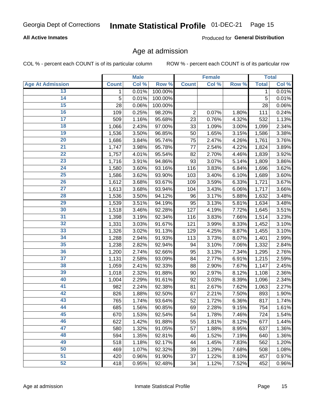# Inmate Statistical Profile 01-DEC-21 Page 15

#### **All Active Inmates**

Produced for General Distribution

### Age at admission

COL % - percent each COUNT is of its particular column

|                         |              | <b>Male</b> |         |                | <b>Female</b> |       |              | <b>Total</b> |
|-------------------------|--------------|-------------|---------|----------------|---------------|-------|--------------|--------------|
| <b>Age At Admission</b> | <b>Count</b> | Col %       | Row %   | <b>Count</b>   | Col %         | Row % | <b>Total</b> | Col %        |
| 13                      | $\mathbf{1}$ | 0.01%       | 100.00% |                |               |       | 1            | 0.01%        |
| $\overline{14}$         | 5            | 0.01%       | 100.00% |                |               |       | 5            | 0.01%        |
| 15                      | 28           | 0.06%       | 100.00% |                |               |       | 28           | 0.06%        |
| 16                      | 109          | 0.25%       | 98.20%  | $\overline{2}$ | 0.07%         | 1.80% | 111          | 0.24%        |
| $\overline{17}$         | 509          | 1.16%       | 95.68%  | 23             | 0.76%         | 4.32% | 532          | 1.13%        |
| 18                      | 1,066        | 2.43%       | 97.00%  | 33             | $1.09\%$      | 3.00% | 1,099        | 2.34%        |
| 19                      | 1,536        | 3.50%       | 96.85%  | 50             | 1.65%         | 3.15% | 1,586        | 3.38%        |
| 20                      | 1,686        | 3.84%       | 95.74%  | 75             | 2.47%         | 4.26% | 1,761        | 3.76%        |
| $\overline{21}$         | 1,747        | 3.98%       | 95.78%  | 77             | 2.54%         | 4.22% | 1,824        | 3.89%        |
| $\overline{22}$         | 1,757        | 4.01%       | 95.54%  | 82             | 2.70%         | 4.46% | 1,839        | 3.92%        |
| 23                      | 1,716        | 3.91%       | 94.86%  | 93             | 3.07%         | 5.14% | 1,809        | 3.86%        |
| 24                      | 1,580        | 3.60%       | 93.16%  | 116            | 3.83%         | 6.84% | 1,696        | 3.62%        |
| $\overline{25}$         | 1,586        | 3.62%       | 93.90%  | 103            | 3.40%         | 6.10% | 1,689        | 3.60%        |
| 26                      | 1,612        | 3.68%       | 93.67%  | 109            | 3.59%         | 6.33% | 1,721        | 3.67%        |
| $\overline{27}$         | 1,613        | 3.68%       | 93.94%  | 104            | 3.43%         | 6.06% | 1,717        | 3.66%        |
| 28                      | 1,536        | 3.50%       | 94.12%  | 96             | 3.17%         | 5.88% | 1,632        | 3.48%        |
| 29                      | 1,539        | 3.51%       | 94.19%  | 95             | 3.13%         | 5.81% | 1,634        | 3.48%        |
| 30                      | 1,518        | 3.46%       | 92.28%  | 127            | 4.19%         | 7.72% | 1,645        | 3.51%        |
| 31                      | 1,398        | 3.19%       | 92.34%  | 116            | 3.83%         | 7.66% | 1,514        | 3.23%        |
| 32                      | 1,331        | 3.03%       | 91.67%  | 121            | 3.99%         | 8.33% | 1,452        | 3.10%        |
| 33                      | 1,326        | 3.02%       | 91.13%  | 129            | 4.25%         | 8.87% | 1,455        | 3.10%        |
| 34                      | 1,288        | 2.94%       | 91.93%  | 113            | 3.73%         | 8.07% | 1,401        | 2.99%        |
| 35                      | 1,238        | 2.82%       | 92.94%  | 94             | 3.10%         | 7.06% | 1,332        | 2.84%        |
| 36                      | 1,200        | 2.74%       | 92.66%  | 95             | 3.13%         | 7.34% | 1,295        | 2.76%        |
| $\overline{37}$         | 1,131        | 2.58%       | 93.09%  | 84             | 2.77%         | 6.91% | 1,215        | 2.59%        |
| 38                      | 1,059        | 2.41%       | 92.33%  | 88             | 2.90%         | 7.67% | 1,147        | 2.45%        |
| 39                      | 1,018        | 2.32%       | 91.88%  | 90             | 2.97%         | 8.12% | 1,108        | 2.36%        |
| 40                      | 1,004        | 2.29%       | 91.61%  | 92             | 3.03%         | 8.39% | 1,096        | 2.34%        |
| 41                      | 982          | 2.24%       | 92.38%  | 81             | 2.67%         | 7.62% | 1,063        | 2.27%        |
| 42                      | 826          | 1.88%       | 92.50%  | 67             | 2.21%         | 7.50% | 893          | 1.90%        |
| 43                      | 765          | 1.74%       | 93.64%  | 52             | 1.72%         | 6.36% | 817          | 1.74%        |
| 44                      | 685          | 1.56%       | 90.85%  | 69             | 2.28%         | 9.15% | 754          | 1.61%        |
| 45                      | 670          | 1.53%       | 92.54%  | 54             | 1.78%         | 7.46% | 724          | 1.54%        |
| 46                      | 622          | 1.42%       | 91.88%  | 55             | 1.81%         | 8.12% | 677          | 1.44%        |
| 47                      | 580          | 1.32%       | 91.05%  | 57             | 1.88%         | 8.95% | 637          | 1.36%        |
| 48                      | 594          | 1.35%       | 92.81%  | 46             | 1.52%         | 7.19% | 640          | 1.36%        |
| 49                      | 518          | 1.18%       | 92.17%  | 44             | 1.45%         | 7.83% | 562          | 1.20%        |
| 50                      | 469          | 1.07%       | 92.32%  | 39             | 1.29%         | 7.68% | 508          | 1.08%        |
| 51                      | 420          | 0.96%       | 91.90%  | 37             | 1.22%         | 8.10% | 457          | 0.97%        |
| 52                      | 418          | 0.95%       | 92.48%  | 34             | 1.12%         | 7.52% | 452          | 0.96%        |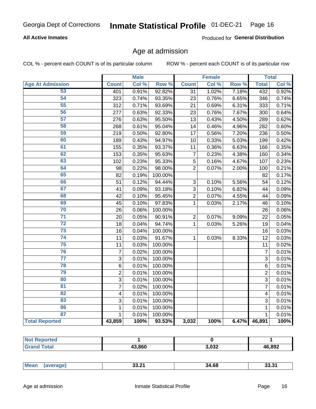# Inmate Statistical Profile 01-DEC-21 Page 16

#### **All Active Inmates**

Produced for General Distribution

#### Age at admission

COL % - percent each COUNT is of its particular column

|                         |                  | <b>Male</b> |         |                | <b>Female</b> |                  |                | <b>Total</b> |
|-------------------------|------------------|-------------|---------|----------------|---------------|------------------|----------------|--------------|
| <b>Age At Admission</b> | <b>Count</b>     | Col %       | Row %   | <b>Count</b>   | Col %         | Row <sup>%</sup> | <b>Total</b>   | Col %        |
| 53                      | 401              | 0.91%       | 92.82%  | 31             | 1.02%         | 7.18%            | 432            | 0.92%        |
| 54                      | 323              | 0.74%       | 93.35%  | 23             | 0.76%         | 6.65%            | 346            | 0.74%        |
| 55                      | 312              | 0.71%       | 93.69%  | 21             | 0.69%         | 6.31%            | 333            | 0.71%        |
| 56                      | 277              | 0.63%       | 92.33%  | 23             | 0.76%         | 7.67%            | 300            | 0.64%        |
| $\overline{57}$         | 276              | 0.63%       | 95.50%  | 13             | 0.43%         | 4.50%            | 289            | 0.62%        |
| 58                      | 268              | 0.61%       | 95.04%  | 14             | 0.46%         | 4.96%            | 282            | 0.60%        |
| 59                      | 219              | 0.50%       | 92.80%  | 17             | 0.56%         | 7.20%            | 236            | 0.50%        |
| 60                      | 189              | 0.43%       | 94.97%  | 10             | 0.33%         | 5.03%            | 199            | 0.42%        |
| 61                      | 155              | 0.35%       | 93.37%  | 11             | 0.36%         | 6.63%            | 166            | 0.35%        |
| 62                      | 153              | 0.35%       | 95.63%  | $\overline{7}$ | 0.23%         | 4.38%            | 160            | 0.34%        |
| 63                      | 102              | 0.23%       | 95.33%  | 5              | 0.16%         | 4.67%            | 107            | 0.23%        |
| 64                      | 98               | 0.22%       | 98.00%  | $\overline{2}$ | 0.07%         | 2.00%            | 100            | 0.21%        |
| 65                      | 82               | 0.19%       | 100.00% |                |               |                  | 82             | 0.17%        |
| 66                      | 51               | 0.12%       | 94.44%  | 3              | 0.10%         | 5.56%            | 54             | 0.12%        |
| 67                      | 41               | 0.09%       | 93.18%  | 3              | 0.10%         | 6.82%            | 44             | 0.09%        |
| 68                      | 42               | 0.10%       | 95.45%  | $\overline{2}$ | 0.07%         | 4.55%            | 44             | 0.09%        |
| 69                      | 45               | 0.10%       | 97.83%  | 1              | 0.03%         | 2.17%            | 46             | 0.10%        |
| 70                      | 26               | 0.06%       | 100.00% |                |               |                  | 26             | 0.06%        |
| $\overline{71}$         | 20               | 0.05%       | 90.91%  | $\overline{2}$ | 0.07%         | 9.09%            | 22             | 0.05%        |
| $\overline{72}$         | 18               | 0.04%       | 94.74%  | 1              | 0.03%         | 5.26%            | 19             | 0.04%        |
| 73                      | 16               | 0.04%       | 100.00% |                |               |                  | 16             | 0.03%        |
| $\overline{74}$         | 11               | 0.03%       | 91.67%  | $\mathbf{1}$   | 0.03%         | 8.33%            | 12             | 0.03%        |
| $\overline{75}$         | 11               | 0.03%       | 100.00% |                |               |                  | 11             | 0.02%        |
| 76                      | $\boldsymbol{7}$ | 0.02%       | 100.00% |                |               |                  | $\overline{7}$ | 0.01%        |
| $\overline{77}$         | $\overline{3}$   | 0.01%       | 100.00% |                |               |                  | $\overline{3}$ | 0.01%        |
| 78                      | $\overline{6}$   | 0.01%       | 100.00% |                |               |                  | $\overline{6}$ | 0.01%        |
| 79                      | $\overline{2}$   | 0.01%       | 100.00% |                |               |                  | $\overline{2}$ | 0.01%        |
| 80                      | $\overline{3}$   | 0.01%       | 100.00% |                |               |                  | $\overline{3}$ | 0.01%        |
| 81                      | 7                | 0.02%       | 100.00% |                |               |                  | 7              | 0.01%        |
| 82                      | 4                | 0.01%       | 100.00% |                |               |                  | 4              | 0.01%        |
| 83                      | 3                | 0.01%       | 100.00% |                |               |                  | 3              | 0.01%        |
| 86                      | $\mathbf 1$      | 0.01%       | 100.00% |                |               |                  | 1              | 0.01%        |
| 87                      | $\mathbf{1}$     | 0.01%       | 100.00% |                |               |                  | $\mathbf{1}$   | 0.01%        |
| <b>Total Reported</b>   | 43,859           | 100%        | 93.53%  | 3,032          | 100%          | 6.47%            | 46,891         | 100%         |

| тес |        |                |        |
|-----|--------|----------------|--------|
|     | 43.860 | המה מ<br>J.UJZ | 46,892 |

| Mean<br>33.21<br>34.68<br>53.3.<br>$ -$ |
|-----------------------------------------|
|-----------------------------------------|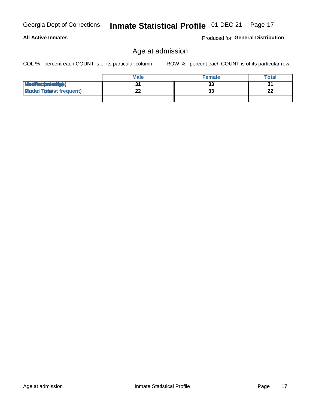| Georgia Dept of Corrections |
|-----------------------------|
|                             |

#### **All Active Inmates**

Produced for General Distribution

# Age at admission

Inmate Statistical Profile 01-DEC-21 Page 17

COL % - percent each COUNT is of its particular column

|                                  | <b>Male</b> | <b>Female</b> | <b>Total</b> |
|----------------------------------|-------------|---------------|--------------|
| MetiRep(aniektig)                |             | 33            | 21           |
| <b>Gloaded Tomadst frequent)</b> |             | 33            | າາ<br>LL     |
|                                  |             |               |              |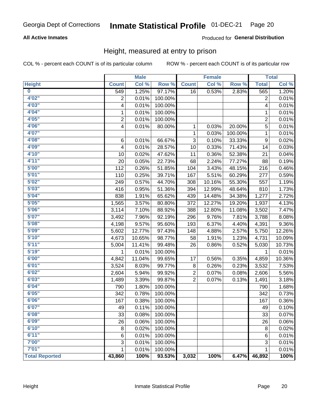#### Inmate Statistical Profile 01-DEC-21 Page 20

#### **All Active Inmates**

#### Produced for General Distribution

#### Height, measured at entry to prison

COL % - percent each COUNT is of its particular column

|                         |                | <b>Male</b> |         |                | <b>Female</b> |         |                | <b>Total</b>        |
|-------------------------|----------------|-------------|---------|----------------|---------------|---------|----------------|---------------------|
| <b>Height</b>           | <b>Count</b>   | Col %       | Row %   | <b>Count</b>   | Col %         | Row %   | <b>Total</b>   | Col %               |
| $\overline{\mathbf{0}}$ | 549            | 1.25%       | 97.17%  | 16             | 0.53%         | 2.83%   | 565            | 1.20%               |
| 4'02''                  | $\overline{2}$ | 0.01%       | 100.00% |                |               |         | $\overline{2}$ | 0.01%               |
| 4'03''                  | 4              | 0.01%       | 100.00% |                |               |         | 4              | 0.01%               |
| 4'04"                   | 1              | 0.01%       | 100.00% |                |               |         | 1              | 0.01%               |
| 4'05"                   | $\overline{2}$ | 0.01%       | 100.00% |                |               |         | $\overline{2}$ | 0.01%               |
| 4'06"                   | 4              | 0.01%       | 80.00%  | 1              | 0.03%         | 20.00%  | 5              | 0.01%               |
| 4'07"                   |                |             |         | 1              | 0.03%         | 100.00% | $\mathbf 1$    | 0.01%               |
| 4'08"                   | $\,6$          | 0.01%       | 66.67%  | 3              | 0.10%         | 33.33%  | 9              | 0.02%               |
| 4'09"                   | 4              | 0.01%       | 28.57%  | 10             | 0.33%         | 71.43%  | 14             | 0.03%               |
| 4'10"                   | 10             | 0.02%       | 47.62%  | 11             | 0.36%         | 52.38%  | 21             | 0.04%               |
| 4'11''                  | 20             | 0.05%       | 22.73%  | 68             | 2.24%         | 77.27%  | 88             | 0.19%               |
| 5'00''                  | 112            | 0.26%       | 51.85%  | 104            | 3.43%         | 48.15%  | 216            | 0.46%               |
| 5'01"                   | 110            | 0.25%       | 39.71%  | 167            | 5.51%         | 60.29%  | 277            | 0.59%               |
| 5'02"                   | 249            | 0.57%       | 44.70%  | 308            | 10.16%        | 55.30%  | 557            | 1.19%               |
| 5'03''                  | 416            | 0.95%       | 51.36%  | 394            | 12.99%        | 48.64%  | 810            | 1.73%               |
| 5'04"                   | 838            | 1.91%       | 65.62%  | 439            | 14.48%        | 34.38%  | 1,277          | 2.72%               |
| 5'05"                   | 1,565          | 3.57%       | 80.80%  | 372            | 12.27%        | 19.20%  | 1,937          | 4.13%               |
| 5'06''                  | 3,114          | 7.10%       | 88.92%  | 388            | 12.80%        | 11.08%  | 3,502          | 7.47%               |
| 5'07"                   | 3,492          | 7.96%       | 92.19%  | 296            | 9.76%         | 7.81%   | 3,788          | 8.08%               |
| 5'08''                  | 4,198          | 9.57%       | 95.60%  | 193            | 6.37%         | 4.40%   | 4,391          | 9.36%               |
| 5'09''                  | 5,602          | 12.77%      | 97.43%  | 148            | 4.88%         | 2.57%   | 5,750          | 12.26%              |
| 5'10''                  | 4,673          | 10.65%      | 98.77%  | 58             | 1.91%         | 1.23%   | 4,731          | 10.09%              |
| 5'11''                  | 5,004          | 11.41%      | 99.48%  | 26             | 0.86%         | 0.52%   | 5,030          | 10.73%              |
| 5'19''                  | 1              | 0.01%       | 100.00% |                |               |         | 1              | 0.01%               |
| 6'00''                  | 4,842          | 11.04%      | 99.65%  | 17             | 0.56%         | 0.35%   | 4,859          | 10.36%              |
| 6'01''                  | 3,524          | 8.03%       | 99.77%  | 8              | 0.26%         | 0.23%   | 3,532          | 7.53%               |
| 6'02"                   | 2,604          | 5.94%       | 99.92%  | $\overline{c}$ | 0.07%         | 0.08%   | 2,606          | 5.56%               |
| 6'03''                  | 1,489          | 3.39%       | 99.87%  | $\overline{2}$ | 0.07%         | 0.13%   | 1,491          | 3.18%               |
| 6'04"                   | 790            | 1.80%       | 100.00% |                |               |         | 790            | 1.68%               |
| 6'05"                   | 342            | 0.78%       | 100.00% |                |               |         | 342            | 0.73%               |
| 6'06''                  | 167            | 0.38%       | 100.00% |                |               |         | 167            | 0.36%               |
| 6'07"                   | 49             | 0.11%       | 100.00% |                |               |         | 49             | 0.10%               |
| 6'08''                  | 33             | 0.08%       | 100.00% |                |               |         | 33             | 0.07%               |
| 6'09''                  | 26             | 0.06%       | 100.00% |                |               |         | 26             | $0.06\%$            |
| 6'10''                  | $\bf 8$        | 0.02%       | 100.00% |                |               |         | 8              | 0.02%               |
| 6'11''                  | 6              | 0.01%       | 100.00% |                |               |         | 6              | $\overline{0.01\%}$ |
| 7'00"                   | 3              | 0.01%       | 100.00% |                |               |         | 3              | 0.01%               |
| 7'01''                  | 1              | 0.01%       | 100.00% |                |               |         |                | 0.01%               |
| <b>Total Reported</b>   | 43,860         | 100%        | 93.53%  | 3,032          | 100%          | 6.47%   | 46,892         | 100%                |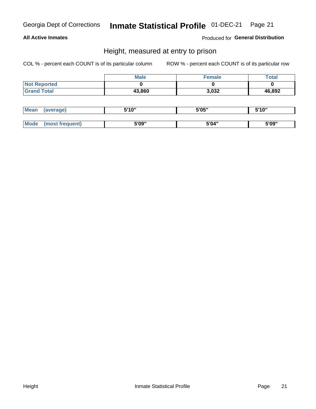# Inmate Statistical Profile 01-DEC-21 Page 21

#### **All Active Inmates**

Produced for General Distribution

#### Height, measured at entry to prison

COL % - percent each COUNT is of its particular column

|                     | <b>Male</b> | Female | <b>Total</b> |
|---------------------|-------------|--------|--------------|
| <b>Not Reported</b> |             |        |              |
| <b>Grand Total</b>  | 43,860      | 3,032  | 46,892       |

| <b>Mean</b> | erage) | 5'10" | 5'05" | <b>CIA AIL</b><br>. . |
|-------------|--------|-------|-------|-----------------------|
|             |        |       |       |                       |
| <b>Mode</b> |        | 5'09" | 5'04" | 5'09"                 |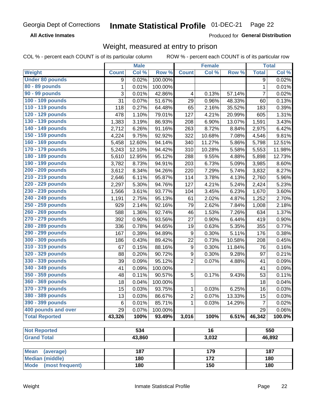#### **Inmate Statistical Profile 01-DEC-21** Page 22

**All Active Inmates** 

Produced for General Distribution

# Weight, measured at entry to prison

COL % - percent each COUNT is of its particular column

|                                                    |              | <b>Male</b>      |         |                  | <b>Female</b>    |        |              | <b>Total</b> |
|----------------------------------------------------|--------------|------------------|---------|------------------|------------------|--------|--------------|--------------|
| Weight                                             | <b>Count</b> | Col %            | Row %   | <b>Count</b>     | Col %            | Row %  | <b>Total</b> | Col %        |
| <b>Under 80 pounds</b>                             | 9            | 0.02%            | 100.00% |                  |                  |        | 9            | 0.02%        |
| 80 - 89 pounds                                     | $\mathbf{1}$ | 0.01%            | 100.00% |                  |                  |        | $\mathbf 1$  | 0.01%        |
| 90 - 99 pounds                                     | 3            | 0.01%            | 42.86%  | 4                | 0.13%            | 57.14% | 7            | 0.02%        |
| 100 - 109 pounds                                   | 31           | 0.07%            | 51.67%  | 29               | 0.96%            | 48.33% | 60           | 0.13%        |
| 110 - 119 pounds                                   | 118          | 0.27%            | 64.48%  | 65               | 2.16%            | 35.52% | 183          | 0.39%        |
| 120 - 129 pounds                                   | 478          | 1.10%            | 79.01%  | 127              | 4.21%            | 20.99% | 605          | 1.31%        |
| 130 - 139 pounds                                   | 1,383        | 3.19%            | 86.93%  | 208              | 6.90%            | 13.07% | 1,591        | 3.43%        |
| 140 - 149 pounds                                   | 2,712        | 6.26%            | 91.16%  | 263              | 8.72%            | 8.84%  | 2,975        | 6.42%        |
| 150 - 159 pounds                                   | 4,224        | 9.75%            | 92.92%  | 322              | 10.68%           | 7.08%  | 4,546        | 9.81%        |
| 160 - 169 pounds                                   | 5,458        | 12.60%           | 94.14%  | 340              | 11.27%           | 5.86%  | 5,798        | 12.51%       |
| 170 - 179 pounds                                   | 5,243        | 12.10%           | 94.42%  | 310              | 10.28%           | 5.58%  | 5,553        | 11.98%       |
| 180 - 189 pounds                                   | 5,610        | 12.95%           | 95.12%  | 288              | 9.55%            | 4.88%  | 5,898        | 12.73%       |
| 190 - 199 pounds                                   | 3,782        | 8.73%            | 94.91%  | 203              | 6.73%            | 5.09%  | 3,985        | 8.60%        |
| 200 - 209 pounds                                   | 3,612        | 8.34%            | 94.26%  | 220              | 7.29%            | 5.74%  | 3,832        | 8.27%        |
| 210 - 219 pounds                                   | 2,646        | 6.11%            | 95.87%  | 114              | 3.78%            | 4.13%  | 2,760        | 5.96%        |
| 220 - 229 pounds                                   | 2,297        | 5.30%            | 94.76%  | 127              | 4.21%            | 5.24%  | 2,424        | 5.23%        |
| 230 - 239 pounds                                   | 1,566        | 3.61%            | 93.77%  | 104              | 3.45%            | 6.23%  | 1,670        | 3.60%        |
| 240 - 249 pounds                                   | 1,191        | 2.75%            | 95.13%  | 61               | 2.02%            | 4.87%  | 1,252        | 2.70%        |
| 250 - 259 pounds                                   | 929          | 2.14%            | 92.16%  | 79               | 2.62%            | 7.84%  | 1,008        | 2.18%        |
| 260 - 269 pounds                                   | 588          | 1.36%            | 92.74%  | 46               | 1.53%            | 7.26%  | 634          | 1.37%        |
| 270 - 279 pounds                                   | 392          | 0.90%            | 93.56%  | 27               | 0.90%            | 6.44%  | 419          | 0.90%        |
| 280 - 289 pounds                                   | 336          | 0.78%            | 94.65%  | 19               | 0.63%            | 5.35%  | 355          | 0.77%        |
| 290 - 299 pounds                                   | 167          | 0.39%            | 94.89%  | 9                | 0.30%            | 5.11%  | 176          | 0.38%        |
| 300 - 309 pounds                                   | 186          | 0.43%            | 89.42%  | 22               | 0.73%            | 10.58% | 208          | 0.45%        |
| 310 - 319 pounds                                   | 67           | 0.15%            | 88.16%  | $\boldsymbol{9}$ | 0.30%            | 11.84% | 76           | 0.16%        |
| 320 - 329 pounds                                   | 88           | 0.20%            | 90.72%  | $\boldsymbol{9}$ | 0.30%            | 9.28%  | 97           | 0.21%        |
| 330 - 339 pounds                                   | 39           | 0.09%            | 95.12%  | $\overline{2}$   | 0.07%            | 4.88%  | 41           | 0.09%        |
| 340 - 349 pounds                                   | 41           | 0.09%            | 100.00% |                  |                  |        | 41           | 0.09%        |
| 350 - 359 pounds                                   | 48           | 0.11%            | 90.57%  | 5                | 0.17%            | 9.43%  | 53           | 0.11%        |
| 360 - 369 pounds                                   | 18           | 0.04%            | 100.00% |                  |                  |        | 18           | 0.04%        |
| 370 - 379 pounds                                   | 15           | 0.03%            | 93.75%  | 1                | 0.03%            | 6.25%  | 16           | 0.03%        |
| 380 - 389 pounds                                   | 13           | 0.03%            | 86.67%  | $\boldsymbol{2}$ | 0.07%            | 13.33% | 15           | 0.03%        |
| 390 - 399 pounds                                   | 6            | 0.01%            | 85.71%  | 1                | 0.03%            | 14.29% | 7            | 0.02%        |
| 400 pounds and over                                | 29           | 0.07%            | 100.00% |                  |                  |        | 29           | 0.06%        |
| <b>Total Reported</b>                              | 43,326       | 100%             | 93.49%  | 3,016            | 100%             | 6.51%  | 46,342       | 100.0%       |
|                                                    |              |                  |         |                  |                  |        |              |              |
| <b>Not Reported</b>                                |              | $\overline{534}$ |         |                  | $\overline{16}$  |        |              | 550          |
| <b>Grand Total</b>                                 |              | 43,860           |         |                  | 3,032            |        |              | 46,892       |
|                                                    |              | 187              |         |                  | 179              |        |              | 187          |
| <b>Mean</b><br>(average)<br><b>Median (middle)</b> |              | 180              |         |                  | $\overline{172}$ |        |              | 180          |
| <b>Mode</b><br>(most frequent)                     |              | 180              |         |                  | 150              |        |              | 180          |
|                                                    |              |                  |         |                  |                  |        |              |              |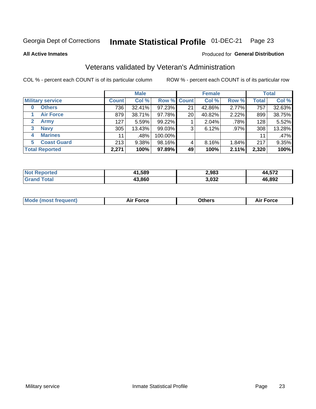#### Inmate Statistical Profile 01-DEC-21 Page 23

**All Active Inmates** 

#### Produced for General Distribution

### Veterans validated by Veteran's Administration

COL % - percent each COUNT is of its particular column

|                             |              | <b>Male</b> |                    |    | <b>Female</b> |       |              | <b>Total</b> |
|-----------------------------|--------------|-------------|--------------------|----|---------------|-------|--------------|--------------|
| <b>Military service</b>     | <b>Count</b> | Col %       | <b>Row % Count</b> |    | Col %         | Row % | <b>Total</b> | Col %        |
| <b>Others</b><br>0          | 736          | 32.41%      | 97.23%             | 21 | 42.86%        | 2.77% | 757          | 32.63%       |
| <b>Air Force</b>            | 879          | 38.71%      | 97.78%             | 20 | 40.82%        | 2.22% | 899          | 38.75%       |
| <b>Army</b><br>$\mathbf{2}$ | 127          | 5.59%       | 99.22%             |    | 2.04%         | .78%  | 128          | 5.52%        |
| <b>Navy</b><br>3            | 305          | 13.43%      | 99.03%             | 3  | 6.12%         | .97%  | 308          | 13.28%       |
| <b>Marines</b><br>4         | 11           | .48%        | 100.00%            |    |               |       | 11           | .47%         |
| <b>Coast Guard</b><br>5.    | 213          | 9.38%       | 98.16%             | 4  | 8.16%         | 1.84% | 217          | 9.35%        |
| <b>Total Reported</b>       | 2,271        | 100%        | 97.89%             | 49 | 100%          | 2.11% | 2,320        | 100%         |

| orted<br><b>NOT</b> | 41,589 | 2,983 | -70             |
|---------------------|--------|-------|-----------------|
| $n+n$               | 43,860 | 3,032 | 16,892<br>/1 Ir |

|  |  | <b>Mode (most frequent)</b> | <b>Force</b><br>Aır | วthers | orce |
|--|--|-----------------------------|---------------------|--------|------|
|--|--|-----------------------------|---------------------|--------|------|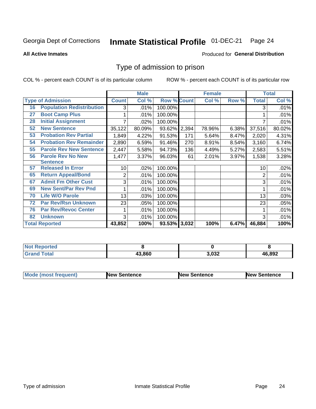#### Inmate Statistical Profile 01-DEC-21 Page 24

**All Active Inmates** 

#### Produced for General Distribution

### Type of admission to prison

COL % - percent each COUNT is of its particular column

|    |                                  |              | <b>Male</b> |                    |       | <b>Female</b> |       |              | <b>Total</b> |
|----|----------------------------------|--------------|-------------|--------------------|-------|---------------|-------|--------------|--------------|
|    | <b>Type of Admission</b>         | <b>Count</b> | Col %       | <b>Row % Count</b> |       | Col %         | Row % | <b>Total</b> | Col %        |
| 16 | <b>Population Redistribution</b> | 3            | .01%        | 100.00%            |       |               |       | 3            | .01%         |
| 27 | <b>Boot Camp Plus</b>            |              | .01%        | 100.00%            |       |               |       |              | .01%         |
| 28 | <b>Initial Assignment</b>        |              | .02%        | 100.00%            |       |               |       |              | .01%         |
| 52 | <b>New Sentence</b>              | 35,122       | 80.09%      | 93.62%             | 2,394 | 78.96%        | 6.38% | 37,516       | 80.02%       |
| 53 | <b>Probation Rev Partial</b>     | 1,849        | 4.22%       | 91.53%             | 171   | 5.64%         | 8.47% | 2,020        | 4.31%        |
| 54 | <b>Probation Rev Remainder</b>   | 2,890        | 6.59%       | 91.46%             | 270   | 8.91%         | 8.54% | 3,160        | 6.74%        |
| 55 | <b>Parole Rev New Sentence</b>   | 2,447        | 5.58%       | 94.73%             | 136   | 4.49%         | 5.27% | 2,583        | 5.51%        |
| 56 | <b>Parole Rev No New</b>         | 1,477        | 3.37%       | 96.03%             | 61    | 2.01%         | 3.97% | 1,538        | 3.28%        |
|    | <b>Sentence</b>                  |              |             |                    |       |               |       |              |              |
| 57 | <b>Released In Error</b>         | 10           | .02%        | 100.00%            |       |               |       | 10           | .02%         |
| 65 | <b>Return Appeal/Bond</b>        | 2            | .01%        | 100.00%            |       |               |       | 2            | .01%         |
| 67 | <b>Admit Fm Other Cust</b>       | 3            | .01%        | 100.00%            |       |               |       | 3            | .01%         |
| 69 | <b>New Sent/Par Rev Pnd</b>      |              | .01%        | 100.00%            |       |               |       |              | .01%         |
| 70 | <b>Life W/O Parole</b>           | 13           | .03%        | 100.00%            |       |               |       | 13           | .03%         |
| 72 | <b>Par Rev/Rsn Unknown</b>       | 23           | .05%        | 100.00%            |       |               |       | 23           | .05%         |
| 76 | <b>Par Rev/Revoc Center</b>      |              | .01%        | 100.00%            |       |               |       |              | .01%         |
| 82 | <b>Unknown</b>                   | 3            | .01%        | 100.00%            |       |               |       | 3            | .01%         |
|    | <b>Total Reported</b>            | 43,852       | 100%        | 93.53% 3,032       |       | 100%          | 6.47% | 46,884       | 100%         |

| enorted<br>NO. |        |       |        |
|----------------|--------|-------|--------|
| ™ota⊾<br>Gr:   | 43.860 | 3,032 | 46,892 |

| <b>Mode (most frequent)</b> | <b>New Sentence</b> | <b>New Sentence</b> | <b>New Sentence</b> |
|-----------------------------|---------------------|---------------------|---------------------|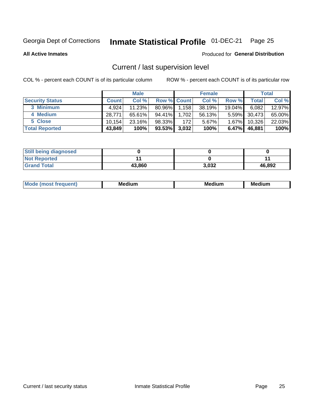# Inmate Statistical Profile 01-DEC-21 Page 25

**All Active Inmates** 

#### Produced for General Distribution

# Current / last supervision level

COL % - percent each COUNT is of its particular column

|                        |              | <b>Male</b> |                    |       | <b>Female</b> |           |        | <b>Total</b> |
|------------------------|--------------|-------------|--------------------|-------|---------------|-----------|--------|--------------|
| <b>Security Status</b> | <b>Count</b> | Col %       | <b>Row % Count</b> |       | Col %         | Row %     | Total  | Col %        |
| 3 Minimum              | 4.924        | 11.23%      | 80.96%             | 1,158 | 38.19%        | $19.04\%$ | 6,082  | 12.97%       |
| 4 Medium               | 28,771       | 65.61%      | 94.41%             | 1,702 | 56.13%        | $5.59\%$  | 30,473 | 65.00%       |
| 5 Close                | 10.154       | 23.16%      | 98.33%             | 172   | 5.67%         | $1.67\%$  | 10,326 | 22.03%       |
| <b>Total Reported</b>  | 43,849       | 100%        | 93.53%             | 3,032 | 100%          | $6.47\%$  | 46,881 | 100%         |

| <b>Still being diagnosed</b> |        |       |        |
|------------------------------|--------|-------|--------|
| <b>Not Reported</b>          |        |       |        |
| <b>Grand Total</b>           | 43,860 | 3,032 | 46,892 |

| M | M | . . |
|---|---|-----|
|   |   |     |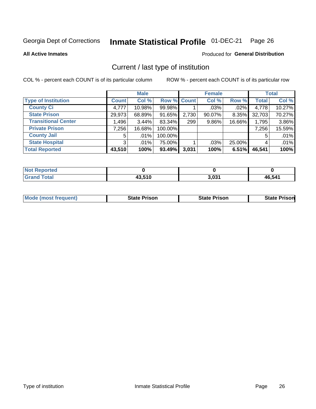#### Inmate Statistical Profile 01-DEC-21 Page 26

**All Active Inmates** 

#### Produced for General Distribution

# Current / last type of institution

COL % - percent each COUNT is of its particular column

|                            |                | <b>Male</b> |             |       | <b>Female</b> |        |              | <b>Total</b> |
|----------------------------|----------------|-------------|-------------|-------|---------------|--------|--------------|--------------|
| <b>Type of Institution</b> | <b>Count</b>   | Col %       | Row % Count |       | Col %         | Row %  | <b>Total</b> | Col %        |
| <b>County Ci</b>           | 4,777          | 10.98%      | 99.98%      |       | $.03\%$       | .02%   | 4,778        | 10.27%       |
| <b>State Prison</b>        | 29,973         | 68.89%      | 91.65%      | 2,730 | 90.07%        | 8.35%  | 32,703       | 70.27%       |
| <b>Transitional Center</b> | 1,496          | $3.44\%$    | 83.34%      | 299   | 9.86%         | 16.66% | 1,795        | 3.86%        |
| <b>Private Prison</b>      | 7,256          | 16.68%      | 100.00%     |       |               |        | 7,256        | 15.59%       |
| <b>County Jail</b>         | 5              | $.01\%$     | 100.00%     |       |               |        |              | .01%         |
| <b>State Hospital</b>      | 3 <sup>1</sup> | .01%        | 75.00%      |       | .03%          | 25.00% | 4            | .01%         |
| <b>Total Reported</b>      | 43,510         | 100%        | 93.49%      | 3,031 | 100%          | 6.51%  | 46,541       | 100%         |

| <b>Reported</b> |         |       |        |
|-----------------|---------|-------|--------|
|                 | 19 E1 N | 2.024 | 46.541 |

|  | <b>Mode (most frequent)</b> | State Prison | <b>State Prison</b> | <b>State Prison</b> |
|--|-----------------------------|--------------|---------------------|---------------------|
|--|-----------------------------|--------------|---------------------|---------------------|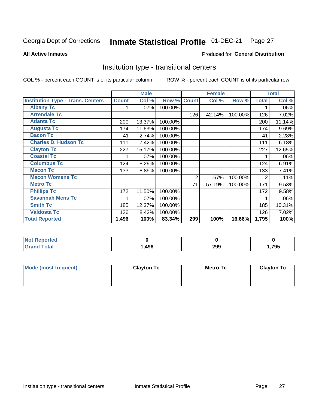#### Inmate Statistical Profile 01-DEC-21 Page 27

#### **All Active Inmates**

#### Produced for General Distribution

#### Institution type - transitional centers

COL % - percent each COUNT is of its particular column

|                                          |              | <b>Male</b> |         |              | <b>Female</b> |         |                | <b>Total</b> |
|------------------------------------------|--------------|-------------|---------|--------------|---------------|---------|----------------|--------------|
| <b>Institution Type - Trans. Centers</b> | <b>Count</b> | Col %       | Row %   | <b>Count</b> | Col %         | Row %   | <b>Total</b>   | Col %        |
| <b>Albany Tc</b>                         |              | .07%        | 100.00% |              |               |         |                | .06%         |
| <b>Arrendale Tc</b>                      |              |             |         | 126          | 42.14%        | 100.00% | 126            | 7.02%        |
| <b>Atlanta Tc</b>                        | 200          | 13.37%      | 100.00% |              |               |         | 200            | 11.14%       |
| <b>Augusta Tc</b>                        | 174          | 11.63%      | 100.00% |              |               |         | 174            | 9.69%        |
| <b>Bacon Tc</b>                          | 41           | 2.74%       | 100.00% |              |               |         | 41             | 2.28%        |
| <b>Charles D. Hudson Tc</b>              | 111          | 7.42%       | 100.00% |              |               |         | 111            | 6.18%        |
| <b>Clayton Tc</b>                        | 227          | 15.17%      | 100.00% |              |               |         | 227            | 12.65%       |
| <b>Coastal Tc</b>                        |              | .07%        | 100.00% |              |               |         |                | .06%         |
| <b>Columbus Tc</b>                       | 124          | 8.29%       | 100.00% |              |               |         | 124            | 6.91%        |
| <b>Macon Tc</b>                          | 133          | 8.89%       | 100.00% |              |               |         | 133            | 7.41%        |
| <b>Macon Womens Tc</b>                   |              |             |         | 2            | .67%          | 100.00% | $\overline{2}$ | .11%         |
| <b>Metro Tc</b>                          |              |             |         | 171          | 57.19%        | 100.00% | 171            | 9.53%        |
| <b>Phillips Tc</b>                       | 172          | 11.50%      | 100.00% |              |               |         | 172            | 9.58%        |
| <b>Savannah Mens Tc</b>                  | 1            | .07%        | 100.00% |              |               |         |                | .06%         |
| <b>Smith Tc</b>                          | 185          | 12.37%      | 100.00% |              |               |         | 185            | 10.31%       |
| <b>Valdosta Tc</b>                       | 126          | 8.42%       | 100.00% |              |               |         | 126            | 7.02%        |
| <b>Total Reported</b>                    | 1,496        | 100%        | 83.34%  | 299          | 100%          | 16.66%  | 1,795          | 100%         |

| <b>Reported</b> |      |     |       |
|-----------------|------|-----|-------|
| <b>otal</b>     | ,496 | 299 | 1,795 |

| Mode (most frequent) | <b>Clayton Tc</b> | Metro Tc | <b>Clayton Tc</b> |
|----------------------|-------------------|----------|-------------------|
|                      |                   |          |                   |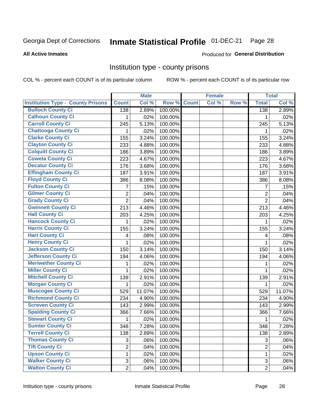# Inmate Statistical Profile 01-DEC-21 Page 28

#### **All Active Inmates**

#### Produced for General Distribution

#### Institution type - county prisons

COL % - percent each COUNT is of its particular column

|                                          |                | <b>Male</b> |         |              | <b>Female</b> |       |                | <b>Total</b> |
|------------------------------------------|----------------|-------------|---------|--------------|---------------|-------|----------------|--------------|
| <b>Institution Type - County Prisons</b> | <b>Count</b>   | Col %       | Row %   | <b>Count</b> | Col %         | Row % | <b>Total</b>   | Col %        |
| <b>Bulloch County Ci</b>                 | 138            | 2.89%       | 100.00% |              |               |       | 138            | 2.89%        |
| <b>Calhoun County Ci</b>                 | 1              | .02%        | 100.00% |              |               |       | 1              | .02%         |
| <b>Carroll County Ci</b>                 | 245            | 5.13%       | 100.00% |              |               |       | 245            | 5.13%        |
| <b>Chattooga County Ci</b>               | 1              | .02%        | 100.00% |              |               |       | 1              | .02%         |
| <b>Clarke County Ci</b>                  | 155            | 3.24%       | 100.00% |              |               |       | 155            | 3.24%        |
| <b>Clayton County Ci</b>                 | 233            | 4.88%       | 100.00% |              |               |       | 233            | 4.88%        |
| <b>Colquitt County Ci</b>                | 186            | 3.89%       | 100.00% |              |               |       | 186            | 3.89%        |
| <b>Coweta County Ci</b>                  | 223            | 4.67%       | 100.00% |              |               |       | 223            | 4.67%        |
| <b>Decatur County Ci</b>                 | 176            | 3.68%       | 100.00% |              |               |       | 176            | 3.68%        |
| <b>Effingham County Ci</b>               | 187            | 3.91%       | 100.00% |              |               |       | 187            | 3.91%        |
| <b>Floyd County Ci</b>                   | 386            | 8.08%       | 100.00% |              |               |       | 386            | 8.08%        |
| <b>Fulton County Ci</b>                  | 7              | .15%        | 100.00% |              |               |       | $\overline{7}$ | .15%         |
| <b>Gilmer County Ci</b>                  | $\overline{2}$ | .04%        | 100.00% |              |               |       | $\overline{2}$ | .04%         |
| <b>Grady County Ci</b>                   | $\overline{2}$ | .04%        | 100.00% |              |               |       | $\overline{2}$ | .04%         |
| <b>Gwinnett County Ci</b>                | 213            | 4.46%       | 100.00% |              |               |       | 213            | 4.46%        |
| <b>Hall County Ci</b>                    | 203            | 4.25%       | 100.00% |              |               |       | 203            | 4.25%        |
| <b>Hancock County Ci</b>                 | 1              | .02%        | 100.00% |              |               |       | 1              | .02%         |
| <b>Harris County Ci</b>                  | 155            | 3.24%       | 100.00% |              |               |       | 155            | 3.24%        |
| <b>Hart County Ci</b>                    | 4              | .08%        | 100.00% |              |               |       | 4              | .08%         |
| <b>Henry County Ci</b>                   | 1              | .02%        | 100.00% |              |               |       | 1              | .02%         |
| <b>Jackson County Ci</b>                 | 150            | 3.14%       | 100.00% |              |               |       | 150            | 3.14%        |
| <b>Jefferson County Ci</b>               | 194            | 4.06%       | 100.00% |              |               |       | 194            | 4.06%        |
| <b>Meriwether County Ci</b>              | 1              | .02%        | 100.00% |              |               |       | 1              | .02%         |
| <b>Miller County Ci</b>                  | 1              | .02%        | 100.00% |              |               |       | 1              | .02%         |
| <b>Mitchell County Ci</b>                | 139            | 2.91%       | 100.00% |              |               |       | 139            | 2.91%        |
| <b>Morgan County Ci</b>                  | 1              | .02%        | 100.00% |              |               |       | 1              | .02%         |
| <b>Muscogee County Ci</b>                | 529            | 11.07%      | 100.00% |              |               |       | 529            | 11.07%       |
| <b>Richmond County Ci</b>                | 234            | 4.90%       | 100.00% |              |               |       | 234            | 4.90%        |
| <b>Screven County Ci</b>                 | 143            | 2.99%       | 100.00% |              |               |       | 143            | 2.99%        |
| <b>Spalding County Ci</b>                | 366            | 7.66%       | 100.00% |              |               |       | 366            | 7.66%        |
| <b>Stewart County Ci</b>                 | 1              | .02%        | 100.00% |              |               |       | 1              | .02%         |
| <b>Sumter County Ci</b>                  | 348            | 7.28%       | 100.00% |              |               |       | 348            | 7.28%        |
| <b>Terrell County Ci</b>                 | 138            | 2.89%       | 100.00% |              |               |       | 138            | 2.89%        |
| <b>Thomas County Ci</b>                  | 3              | .06%        | 100.00% |              |               |       | 3              | .06%         |
| <b>Tift County Ci</b>                    | $\overline{2}$ | .04%        | 100.00% |              |               |       | $\overline{2}$ | .04%         |
| <b>Upson County Ci</b>                   | 1              | .02%        | 100.00% |              |               |       | 1              | .02%         |
| <b>Walker County Ci</b>                  | 3              | .06%        | 100.00% |              |               |       | 3              | .06%         |
| <b>Walton County Ci</b>                  | $\overline{2}$ | .04%        | 100.00% |              |               |       | $\overline{2}$ | .04%         |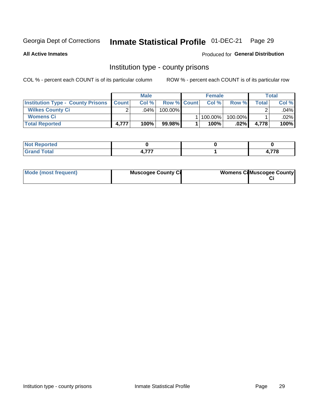# Inmate Statistical Profile 01-DEC-21 Page 29

**All Active Inmates** 

**Produced for General Distribution** 

#### Institution type - county prisons

COL % - percent each COUNT is of its particular column

|                                                    | <b>Male</b> |      |                    | <b>Female</b> |           |         | Total |         |
|----------------------------------------------------|-------------|------|--------------------|---------------|-----------|---------|-------|---------|
| <b>Institution Type - County Prisons   Count  </b> |             | Col% | <b>Row % Count</b> |               | Col%      | Row %   | Total | Col %   |
| <b>Wilkes County Ci</b>                            | ົ           | .04% | $100.00\%$         |               |           |         |       | $.04\%$ |
| <b>Womens Ci</b>                                   |             |      |                    |               | 1 100.00% | 100.00% |       | $.02\%$ |
| <b>Total Reported</b>                              | 4,777       | 100% | 99.98%             |               | 100%      | .02%    | 4.778 | 100%    |

| oorted      |           |           |
|-------------|-----------|-----------|
| <b>otal</b> | $- - - -$ | 770<br>70 |

| Mode (most frequent) | <b>Muscogee County Ci</b> | <b>Womens Ci</b> Muscogee County |
|----------------------|---------------------------|----------------------------------|
|----------------------|---------------------------|----------------------------------|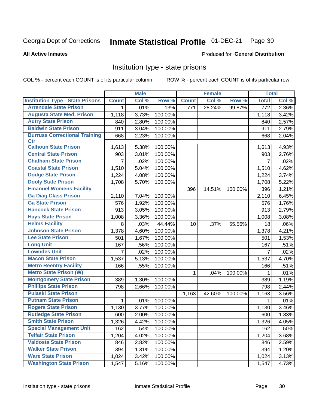#### Inmate Statistical Profile 01-DEC-21 Page 30

#### **All Active Inmates**

#### Produced for General Distribution

#### Institution type - state prisons

COL % - percent each COUNT is of its particular column

|                                         |                | <b>Male</b> |         |              | <b>Female</b> |         | <b>Total</b>   |       |
|-----------------------------------------|----------------|-------------|---------|--------------|---------------|---------|----------------|-------|
| <b>Institution Type - State Prisons</b> | <b>Count</b>   | Col %       | Row %   | <b>Count</b> | Col %         | Row %   | <b>Total</b>   | Col % |
| <b>Arrendale State Prison</b>           | 1              | .01%        | .13%    | 771          | 28.24%        | 99.87%  | 772            | 2.36% |
| <b>Augusta State Med. Prison</b>        | 1,118          | 3.73%       | 100.00% |              |               |         | 1,118          | 3.42% |
| <b>Autry State Prison</b>               | 840            | 2.80%       | 100.00% |              |               |         | 840            | 2.57% |
| <b>Baldwin State Prison</b>             | 911            | 3.04%       | 100.00% |              |               |         | 911            | 2.79% |
| <b>Burruss Correctional Training</b>    | 668            | 2.23%       | 100.00% |              |               |         | 668            | 2.04% |
| <b>Ctr</b>                              |                |             |         |              |               |         |                |       |
| <b>Calhoun State Prison</b>             | 1,613          | 5.38%       | 100.00% |              |               |         | 1,613          | 4.93% |
| <b>Central State Prison</b>             | 903            | 3.01%       | 100.00% |              |               |         | 903            | 2.76% |
| <b>Chatham State Prison</b>             | $\overline{7}$ | .02%        | 100.00% |              |               |         | 7              | .02%  |
| <b>Coastal State Prison</b>             | 1,510          | 5.04%       | 100.00% |              |               |         | 1,510          | 4.62% |
| <b>Dodge State Prison</b>               | 1,224          | 4.08%       | 100.00% |              |               |         | 1,224          | 3.74% |
| <b>Dooly State Prison</b>               | 1,708          | 5.70%       | 100.00% |              |               |         | 1,708          | 5.22% |
| <b>Emanuel Womens Facility</b>          |                |             |         | 396          | 14.51%        | 100.00% | 396            | 1.21% |
| <b>Ga Diag Class Prison</b>             | 2,110          | 7.04%       | 100.00% |              |               |         | 2,110          | 6.45% |
| <b>Ga State Prison</b>                  | 576            | 1.92%       | 100.00% |              |               |         | 576            | 1.76% |
| <b>Hancock State Prison</b>             | 913            | 3.05%       | 100.00% |              |               |         | 913            | 2.79% |
| <b>Hays State Prison</b>                | 1,008          | 3.36%       | 100.00% |              |               |         | 1,008          | 3.08% |
| <b>Helms Facility</b>                   | 8              | .03%        | 44.44%  | 10           | .37%          | 55.56%  | 18             | .06%  |
| <b>Johnson State Prison</b>             | 1,378          | 4.60%       | 100.00% |              |               |         | 1,378          | 4.21% |
| <b>Lee State Prison</b>                 | 501            | 1.67%       | 100.00% |              |               |         | 501            | 1.53% |
| <b>Long Unit</b>                        | 167            | .56%        | 100.00% |              |               |         | 167            | .51%  |
| <b>Lowndes Unit</b>                     | 7              | .02%        | 100.00% |              |               |         | $\overline{7}$ | .02%  |
| <b>Macon State Prison</b>               | 1,537          | 5.13%       | 100.00% |              |               |         | 1,537          | 4.70% |
| <b>Metro Reentry Facility</b>           | 166            | .55%        | 100.00% |              |               |         | 166            | .51%  |
| <b>Metro State Prison (W)</b>           |                |             |         | 1            | .04%          | 100.00% | 1              | .01%  |
| <b>Montgomery State Prison</b>          | 389            | 1.30%       | 100.00% |              |               |         | 389            | 1.19% |
| <b>Phillips State Prison</b>            | 798            | 2.66%       | 100.00% |              |               |         | 798            | 2.44% |
| <b>Pulaski State Prison</b>             |                |             |         | 1,163        | 42.60%        | 100.00% | 1,163          | 3.56% |
| <b>Putnam State Prison</b>              | 1              | .01%        | 100.00% |              |               |         | 1              | .01%  |
| <b>Rogers State Prison</b>              | 1,130          | 3.77%       | 100.00% |              |               |         | 1,130          | 3.46% |
| <b>Rutledge State Prison</b>            | 600            | 2.00%       | 100.00% |              |               |         | 600            | 1.83% |
| <b>Smith State Prison</b>               | 1,326          | 4.42%       | 100.00% |              |               |         | 1,326          | 4.05% |
| <b>Special Management Unit</b>          | 162            | .54%        | 100.00% |              |               |         | 162            | .50%  |
| <b>Telfair State Prison</b>             | 1,204          | 4.02%       | 100.00% |              |               |         | 1,204          | 3.68% |
| <b>Valdosta State Prison</b>            | 846            | 2.82%       | 100.00% |              |               |         | 846            | 2.59% |
| <b>Walker State Prison</b>              | 394            | 1.31%       | 100.00% |              |               |         | 394            | 1.20% |
| <b>Ware State Prison</b>                | 1,024          | 3.42%       | 100.00% |              |               |         | 1,024          | 3.13% |
| <b>Washington State Prison</b>          | 1,547          | 5.16%       | 100.00% |              |               |         | 1,547          | 4.73% |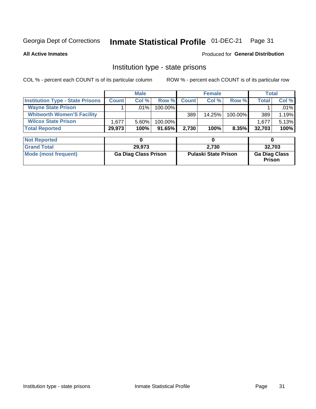#### Inmate Statistical Profile 01-DEC-21 Page 31

**All Active Inmates** 

#### Produced for General Distribution

### Institution type - state prisons

COL % - percent each COUNT is of its particular column

|                                         |              | <b>Male</b> |            |              | <b>Female</b> |          | Total        |         |
|-----------------------------------------|--------------|-------------|------------|--------------|---------------|----------|--------------|---------|
| <b>Institution Type - State Prisons</b> | <b>Count</b> | Col %       | Row %I     | <b>Count</b> | Col %         | Row %    | <b>Total</b> | Col %   |
| <b>Wayne State Prison</b>               |              | $.01\%$     | $100.00\%$ |              |               |          |              | $.01\%$ |
| <b>Whitworth Women'S Facility</b>       |              |             |            | 389          | 14.25%        | 100.00%  | 389          | 1.19%   |
| <b>Wilcox State Prison</b>              | .677         | $5.60\%$    | $100.00\%$ |              |               |          | 1.677        | 5.13%   |
| <b>Total Reported</b>                   | 29,973       | 100%        | $91.65\%$  | 2.730        | 100%          | $8.35\%$ | 32,703       | 100%    |

| <b>Not Reported</b>  |                             |                             |                                       |
|----------------------|-----------------------------|-----------------------------|---------------------------------------|
| <b>Grand Total</b>   | 29.973                      | 2,730                       | 32.703                                |
| Mode (most frequent) | <b>Ga Diag Class Prison</b> | <b>Pulaski State Prison</b> | <b>Ga Diag Class</b><br><b>Prison</b> |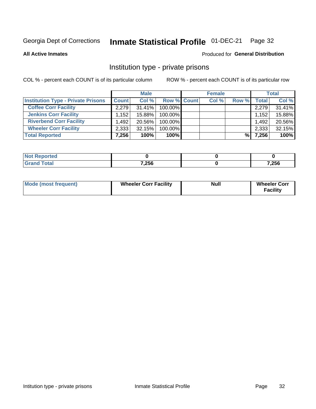# Inmate Statistical Profile 01-DEC-21 Page 32

**All Active Inmates** 

#### Produced for General Distribution

### Institution type - private prisons

COL % - percent each COUNT is of its particular column

|                                           |              | <b>Male</b> |             | <b>Female</b> |       |              | <b>Total</b> |
|-------------------------------------------|--------------|-------------|-------------|---------------|-------|--------------|--------------|
| <b>Institution Type - Private Prisons</b> | <b>Count</b> | Col %       | Row % Count | Col %         | Row % | <b>Total</b> | Col %        |
| <b>Coffee Corr Facility</b>               | 2.279        | $31.41\%$   | 100.00%     |               |       | 2,279        | 31.41%       |
| <b>Jenkins Corr Facility</b>              | .152         | 15.88%      | 100.00%     |               |       | 1,152        | 15.88%       |
| <b>Riverbend Corr Facility</b>            | 1.492        | 20.56%      | 100.00%     |               |       | 1,492        | 20.56%       |
| <b>Wheeler Corr Facility</b>              | 2,333        | 32.15%      | 100.00%     |               |       | 2,333        | 32.15%       |
| <b>Total Reported</b>                     | 7,256        | 100%        | $100\%$     |               | %     | 7,256        | 100%         |

| <b>Not</b><br>' Reported |       |       |
|--------------------------|-------|-------|
| <b>Total</b>             | 7,256 | 7,256 |

| <b>Mode (most frequent)</b> | <b>Wheeler Corr Facility</b> | <b>Null</b> | <b>Wheeler Corr</b><br><b>Facility</b> |
|-----------------------------|------------------------------|-------------|----------------------------------------|
|-----------------------------|------------------------------|-------------|----------------------------------------|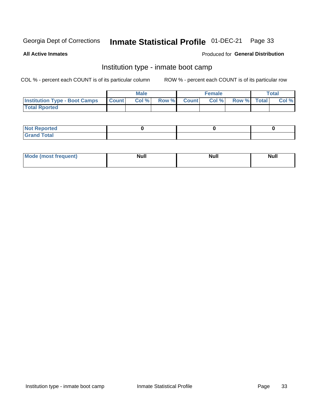# Inmate Statistical Profile 01-DEC-21 Page 33

**All Active Inmates** 

#### Produced for General Distribution

### Institution type - inmate boot camp

COL % - percent each COUNT is of its particular column

|                                      | <b>Male</b>      |       |              | <b>Female</b> |       |             | <b>Total</b> |       |
|--------------------------------------|------------------|-------|--------------|---------------|-------|-------------|--------------|-------|
| <b>Institution Type - Boot Camps</b> | <b>I</b> Count I | Col % | <b>Row %</b> | <b>Count</b>  | Col % | Row % Total |              | Col % |
| <b>Total Rported</b>                 |                  |       |              |               |       |             |              |       |

| <b>Not Reported</b>            |  |  |
|--------------------------------|--|--|
| <b>Total</b><br>C <sub>r</sub> |  |  |

| Mod<br>uamo | Nul.<br>$- - - - - -$ | <b>Null</b> | . .<br>uu.<br>------ |
|-------------|-----------------------|-------------|----------------------|
|             |                       |             |                      |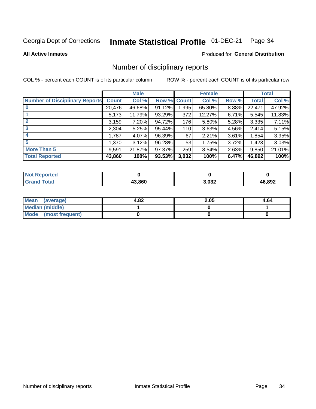#### Inmate Statistical Profile 01-DEC-21 Page 34

**All Active Inmates** 

#### Produced for General Distribution

### Number of disciplinary reports

COL % - percent each COUNT is of its particular column

|                                       |              | <b>Male</b> |             |       | <b>Female</b> |       |        | <b>Total</b> |
|---------------------------------------|--------------|-------------|-------------|-------|---------------|-------|--------|--------------|
| <b>Number of Disciplinary Reports</b> | <b>Count</b> | Col %       | Row % Count |       | Col %         | Row % | Total  | Col %        |
| $\bf{0}$                              | 20,476       | 46.68%      | 91.12%      | 1,995 | 65.80%        | 8.88% | 22,471 | 47.92%       |
|                                       | 5,173        | 11.79%      | 93.29%      | 372   | 12.27%        | 6.71% | 5,545  | 11.83%       |
| $\mathbf{2}$                          | 3,159        | 7.20%       | 94.72%      | 176   | 5.80%         | 5.28% | 3,335  | 7.11%        |
| 3                                     | 2,304        | 5.25%       | 95.44%      | 110   | 3.63%         | 4.56% | 2,414  | 5.15%        |
|                                       | 1,787        | 4.07%       | 96.39%      | 67    | 2.21%         | 3.61% | 1,854  | 3.95%        |
| 5                                     | 1,370        | 3.12%       | 96.28%      | 53    | 1.75%         | 3.72% | 1,423  | 3.03%        |
| <b>More Than 5</b>                    | 9,591        | 21.87%      | 97.37%      | 259   | 8.54%         | 2.63% | 9,850  | 21.01%       |
| <b>Total Reported</b>                 | 43,860       | 100%        | 93.53%      | 3,032 | 100%          | 6.47% | 46,892 | 100%         |

| orted<br><b>NOT</b> |        |       |        |
|---------------------|--------|-------|--------|
| Total               | 13.860 | 3,032 | 46,892 |

| Mean (average)       | 4.82 | 2.05 | 4.64 |
|----------------------|------|------|------|
| Median (middle)      |      |      |      |
| Mode (most frequent) |      |      |      |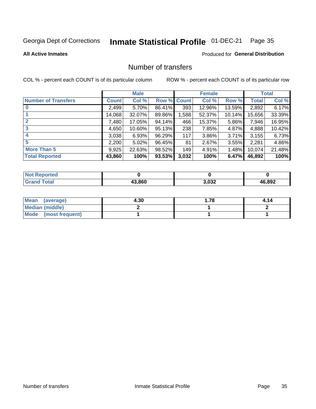# Inmate Statistical Profile 01-DEC-21 Page 35

#### **All Active Inmates**

#### **Produced for General Distribution**

### Number of transfers

COL % - percent each COUNT is of its particular column

|                            |         | <b>Male</b> |        |              | <b>Female</b> |           |              | <b>Total</b> |
|----------------------------|---------|-------------|--------|--------------|---------------|-----------|--------------|--------------|
| <b>Number of Transfers</b> | Count l | Col %       | Row %  | <b>Count</b> | Col %         | Row %     | <b>Total</b> | Col %        |
|                            | 2,499   | 5.70%       | 86.41% | 393          | 12.96%        | 13.59%    | 2,892        | 6.17%        |
|                            | 14,068  | 32.07%      | 89.86% | 1,588        | 52.37%        | $10.14\%$ | 15,656       | 33.39%       |
| $\mathbf{2}$               | 7,480   | 17.05%      | 94.14% | 466          | 15.37%        | 5.86%     | 7,946        | 16.95%       |
| 3                          | 4,650   | $10.60\%$   | 95.13% | 238          | 7.85%         | 4.87%     | 4,888        | 10.42%       |
|                            | 3,038   | 6.93%       | 96.29% | 117          | 3.86%         | $3.71\%$  | 3,155        | 6.73%        |
| 5                          | 2,200   | $5.02\%$    | 96.45% | 81           | 2.67%         | $3.55\%$  | 2,281        | 4.86%        |
| <b>More Than 5</b>         | 9,925   | 22.63%      | 98.52% | 149          | 4.91%         | $1.48\%$  | 10,074       | 21.48%       |
| <b>Total Reported</b>      | 43,860  | 100%        | 93.53% | 3,032        | 100%          | 6.47%     | 46,892       | 100%         |

| orted<br><b>NOT</b> |        |       |        |
|---------------------|--------|-------|--------|
| Total               | 13.860 | 3,032 | 46,892 |

| Mean (average)         | 4.30 | 1.78 | 4.14 |
|------------------------|------|------|------|
| <b>Median (middle)</b> |      |      |      |
| Mode (most frequent)   |      |      |      |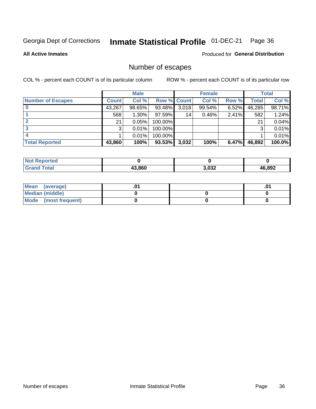# Inmate Statistical Profile 01-DEC-21 Page 36

**All Active Inmates** 

#### Produced for General Distribution

# Number of escapes

COL % - percent each COUNT is of its particular column

|                          | <b>Male</b>  |        | <b>Female</b> |                 |        | <b>Total</b> |              |           |
|--------------------------|--------------|--------|---------------|-----------------|--------|--------------|--------------|-----------|
| <b>Number of Escapes</b> | <b>Count</b> | Col %  | Row % Count   |                 | Col %  | Row %        | <b>Total</b> | Col %     |
|                          | 43,267       | 98.65% | 93.48%        | 3,018           | 99.54% | 6.52%        | 46,285       | 98.71%    |
|                          | 568          | 1.30%  | 97.59%        | 14 <sub>1</sub> | 0.46%  | 2.41%        | 582          | 1.24%     |
|                          | 21           | 0.05%  | 100.00%       |                 |        |              | 21           | 0.04%     |
|                          | 3            | 0.01%  | 100.00%       |                 |        |              | 3            | $0.01\%$  |
|                          |              | 0.01%  | 100.00%       |                 |        |              |              | 0.01%     |
| <b>Total Reported</b>    | 43,860       | 100%   | 93.53%        | 3,032           | 100%   | 6.47%        | 46,892       | $100.0\%$ |

| <b>Not Reported</b> |        |       |              |
|---------------------|--------|-------|--------------|
| <b>Total</b>        | 43.860 | 3,032 | 16,892<br>Дŀ |

| Mean (average)         |  | .0 <sup>4</sup> |
|------------------------|--|-----------------|
| <b>Median (middle)</b> |  |                 |
| Mode (most frequent)   |  |                 |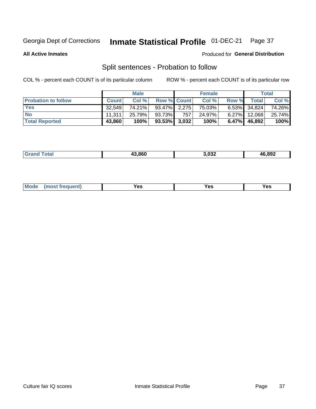#### Inmate Statistical Profile 01-DEC-21 Page 37

**All Active Inmates** 

#### Produced for General Distribution

# Split sentences - Probation to follow

COL % - percent each COUNT is of its particular column

|                            |              | <b>Male</b> |                    |     | <b>Female</b> |          |                 | <b>Total</b> |
|----------------------------|--------------|-------------|--------------------|-----|---------------|----------|-----------------|--------------|
| <b>Probation to follow</b> | <b>Count</b> | Col%        | <b>Row % Count</b> |     | Col %         | Row %    | <b>Total</b>    | Col %        |
| <b>Yes</b>                 | 32.549       | 74.21%      | 93.47% 2.275       |     | 75.03%        |          | $6.53\%$ 34,824 | 74.26%       |
| <b>No</b>                  | 11.311       | 25.79%      | 93.73%             | 757 | 24.97%        | $6.27\%$ | 12,068          | 25.74%       |
| <b>Total Reported</b>      | 43,860       | 100%        | $93.53\%$ 3,032    |     | 100%          | $6.47\%$ | 46,892          | 100%         |

| _______ | 13.860 | ההה ו<br>3,03∠<br>___ | 46,892 |
|---------|--------|-----------------------|--------|
|         |        |                       |        |

| <b>Mode</b><br>reauent)<br>Yes<br>v^c<br>0٥<br>.<br>. .<br>$\sim$ |
|-------------------------------------------------------------------|
|-------------------------------------------------------------------|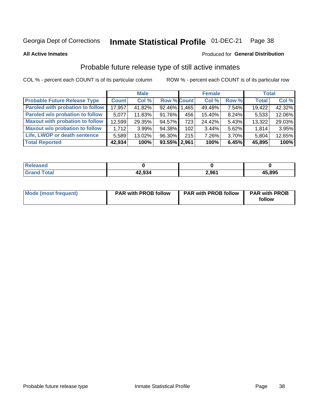#### Inmate Statistical Profile 01-DEC-21 Page 38

**All Active Inmates** 

### Produced for General Distribution

## Probable future release type of still active inmates

COL % - percent each COUNT is of its particular column

|                                         |              | <b>Male</b> |                    |     | <b>Female</b> |          | <b>Total</b> |        |
|-----------------------------------------|--------------|-------------|--------------------|-----|---------------|----------|--------------|--------|
| <b>Probable Future Release Type</b>     | <b>Count</b> | Col%        | <b>Row % Count</b> |     | Col %         | Row %    | <b>Total</b> | Col %  |
| <b>Paroled with probation to follow</b> | 17,957       | 41.82%      | 92.46% 1.465       |     | 49.48%        | 7.54%    | 19,422       | 42.32% |
| Paroled w/o probation to follow         | 5,077        | 11.83%      | 91.76%             | 456 | 15.40%        | 8.24%    | 5,533        | 12.06% |
| <b>Maxout with probation to follow</b>  | 12,599       | 29.35%      | 94.57%             | 723 | 24.42%        | 5.43%    | 13,322       | 29.03% |
| <b>Maxout w/o probation to follow</b>   | 1.712        | $3.99\%$    | 94.38%             | 102 | 3.44%         | 5.62%    | 1,814        | 3.95%  |
| Life, LWOP or death sentence            | 5,589        | 13.02%      | 96.30%             | 215 | 7.26%         | $3.70\%$ | 5,804        | 12.65% |
| <b>Total Reported</b>                   | 42,934       | 100%        | 93.55% 2,961       |     | 100%          | 6.45%    | 45,895       | 100%   |

| eleased     |                 |       |        |
|-------------|-----------------|-------|--------|
| <b>otal</b> | ,,,,,<br>42.YJP | 2,961 | 45,895 |

| <b>Mode (most frequent)</b> | <b>PAR with PROB follow</b> | <b>PAR with PROB follow</b> | <b>PAR with PROB</b> |
|-----------------------------|-----------------------------|-----------------------------|----------------------|
|                             |                             |                             | follow               |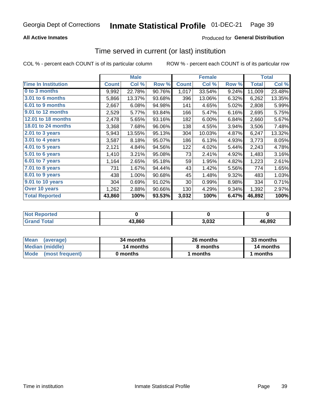## **All Active Inmates**

## Produced for General Distribution

# Time served in current (or last) institution

COL % - percent each COUNT is of its particular column

|                            |              | <b>Male</b> |        |              | <b>Female</b> |       |              | <b>Total</b> |
|----------------------------|--------------|-------------|--------|--------------|---------------|-------|--------------|--------------|
| <b>Time In Institution</b> | <b>Count</b> | Col %       | Row %  | <b>Count</b> | Col %         | Row % | <b>Total</b> | Col %        |
| 0 to 3 months              | 9,992        | 22.78%      | 90.76% | 1,017        | 33.54%        | 9.24% | 11,009       | 23.48%       |
| <b>3.01 to 6 months</b>    | 5,866        | 13.37%      | 93.68% | 396          | 13.06%        | 6.32% | 6,262        | 13.35%       |
| 6.01 to 9 months           | 2,667        | 6.08%       | 94.98% | 141          | 4.65%         | 5.02% | 2,808        | 5.99%        |
| 9.01 to 12 months          | 2,529        | 5.77%       | 93.84% | 166          | 5.47%         | 6.16% | 2,695        | 5.75%        |
| 12.01 to 18 months         | 2,478        | 5.65%       | 93.16% | 182          | 6.00%         | 6.84% | 2,660        | 5.67%        |
| <b>18.01 to 24 months</b>  | 3,368        | 7.68%       | 96.06% | 138          | 4.55%         | 3.94% | 3,506        | 7.48%        |
| $2.01$ to 3 years          | 5,943        | 13.55%      | 95.13% | 304          | 10.03%        | 4.87% | 6,247        | 13.32%       |
| $3.01$ to 4 years          | 3,587        | 8.18%       | 95.07% | 186          | 6.13%         | 4.93% | 3,773        | 8.05%        |
| 4.01 to 5 years            | 2,121        | 4.84%       | 94.56% | 122          | 4.02%         | 5.44% | 2,243        | 4.78%        |
| 5.01 to 6 years            | 1,410        | 3.21%       | 95.08% | 73           | 2.41%         | 4.92% | 1,483        | 3.16%        |
| 6.01 to 7 years            | 1,164        | 2.65%       | 95.18% | 59           | 1.95%         | 4.82% | 1,223        | 2.61%        |
| 7.01 to 8 years            | 731          | 1.67%       | 94.44% | 43           | 1.42%         | 5.56% | 774          | 1.65%        |
| 8.01 to 9 years            | 438          | 1.00%       | 90.68% | 45           | 1.48%         | 9.32% | 483          | 1.03%        |
| 9.01 to 10 years           | 304          | 0.69%       | 91.02% | 30           | 0.99%         | 8.98% | 334          | 0.71%        |
| Over 10 years              | 1,262        | 2.88%       | 90.66% | 130          | 4.29%         | 9.34% | 1,392        | 2.97%        |
| <b>Total Reported</b>      | 43,860       | 100%        | 93.53% | 3,032        | 100%          | 6.47% | 46,892       | 100%         |

| <b>NOT</b><br>чес |        |      |        |
|-------------------|--------|------|--------|
|                   | 43.860 | ,032 | 46,892 |

| <b>Mean</b><br>(average) | 34 months | 26 months | 33 months |
|--------------------------|-----------|-----------|-----------|
| Median (middle)          | 14 months | 8 months  | 14 months |
| Mode (most frequent)     | 0 months  | 1 months  | ' months  |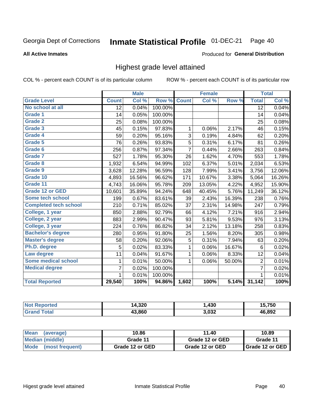#### Inmate Statistical Profile 01-DEC-21 Page 40

### **All Active Inmates**

### Produced for General Distribution

## Highest grade level attained

COL % - percent each COUNT is of its particular column

|                              |                 | <b>Male</b> |         |                | <b>Female</b> |        |                 | <b>Total</b> |
|------------------------------|-----------------|-------------|---------|----------------|---------------|--------|-----------------|--------------|
| <b>Grade Level</b>           | <b>Count</b>    | Col %       | Row %   | <b>Count</b>   | Col %         | Row %  | <b>Total</b>    | Col %        |
| No school at all             | $\overline{12}$ | 0.04%       | 100.00% |                |               |        | $\overline{12}$ | 0.04%        |
| <b>Grade 1</b>               | 14              | 0.05%       | 100.00% |                |               |        | 14              | 0.04%        |
| <b>Grade 2</b>               | 25              | 0.08%       | 100.00% |                |               |        | 25              | 0.08%        |
| Grade 3                      | 45              | 0.15%       | 97.83%  | $\mathbf{1}$   | 0.06%         | 2.17%  | 46              | 0.15%        |
| Grade 4                      | 59              | 0.20%       | 95.16%  | 3              | 0.19%         | 4.84%  | 62              | 0.20%        |
| Grade 5                      | 76              | 0.26%       | 93.83%  | 5              | 0.31%         | 6.17%  | 81              | 0.26%        |
| Grade 6                      | 256             | 0.87%       | 97.34%  | $\overline{7}$ | 0.44%         | 2.66%  | 263             | 0.84%        |
| <b>Grade 7</b>               | 527             | 1.78%       | 95.30%  | 26             | 1.62%         | 4.70%  | 553             | 1.78%        |
| Grade 8                      | 1,932           | 6.54%       | 94.99%  | 102            | 6.37%         | 5.01%  | 2,034           | 6.53%        |
| Grade 9                      | 3,628           | 12.28%      | 96.59%  | 128            | 7.99%         | 3.41%  | 3,756           | 12.06%       |
| Grade 10                     | 4,893           | 16.56%      | 96.62%  | 171            | 10.67%        | 3.38%  | 5,064           | 16.26%       |
| Grade 11                     | 4,743           | 16.06%      | 95.78%  | 209            | 13.05%        | 4.22%  | 4,952           | 15.90%       |
| <b>Grade 12 or GED</b>       | 10,601          | 35.89%      | 94.24%  | 648            | 40.45%        | 5.76%  | 11,249          | 36.12%       |
| <b>Some tech school</b>      | 199             | 0.67%       | 83.61%  | 39             | 2.43%         | 16.39% | 238             | 0.76%        |
| <b>Completed tech school</b> | 210             | 0.71%       | 85.02%  | 37             | 2.31%         | 14.98% | 247             | 0.79%        |
| College, 1 year              | 850             | 2.88%       | 92.79%  | 66             | 4.12%         | 7.21%  | 916             | 2.94%        |
| College, 2 year              | 883             | 2.99%       | 90.47%  | 93             | 5.81%         | 9.53%  | 976             | 3.13%        |
| College, 3 year              | 224             | 0.76%       | 86.82%  | 34             | 2.12%         | 13.18% | 258             | 0.83%        |
| <b>Bachelor's degree</b>     | 280             | 0.95%       | 91.80%  | 25             | 1.56%         | 8.20%  | 305             | 0.98%        |
| <b>Master's degree</b>       | 58              | 0.20%       | 92.06%  | 5              | 0.31%         | 7.94%  | 63              | 0.20%        |
| Ph.D. degree                 | 5               | 0.02%       | 83.33%  | 1              | 0.06%         | 16.67% | 6               | 0.02%        |
| Law degree                   | 11              | 0.04%       | 91.67%  | $\mathbf{1}$   | 0.06%         | 8.33%  | 12              | 0.04%        |
| <b>Some medical school</b>   | 1               | 0.01%       | 50.00%  | 1              | 0.06%         | 50.00% | $\overline{2}$  | 0.01%        |
| <b>Medical degree</b>        | 7               | 0.02%       | 100.00% |                |               |        | $\overline{7}$  | 0.02%        |
|                              | $\mathbf 1$     | 0.01%       | 100.00% |                |               |        | 1               | 0.01%        |
| <b>Total Reported</b>        | 29,540          | 100%        | 94.86%  | 1,602          | 100%          | 5.14%  | 31,142          | 100%         |

| 4,320<br>ıл | ,430          | 5.750  |
|-------------|---------------|--------|
| 43.860      | פרח ב<br>70JZ | 46.892 |

| <b>Mean</b><br>(average) | 10.86           | 11.40           | 10.89           |
|--------------------------|-----------------|-----------------|-----------------|
| Median (middle)          | Grade 11        | Grade 12 or GED | Grade 11        |
| Mode<br>(most frequent)  | Grade 12 or GED | Grade 12 or GED | Grade 12 or GED |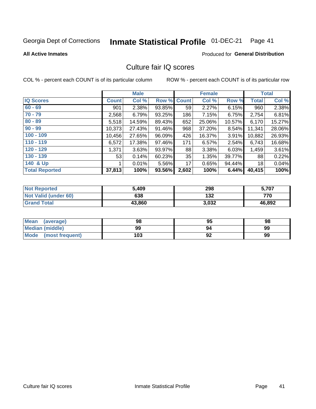# Inmate Statistical Profile 01-DEC-21 Page 41

### **All Active Inmates**

### **Produced for General Distribution**

## Culture fair IQ scores

COL % - percent each COUNT is of its particular column

|                       |              | <b>Male</b> |             |       | <b>Female</b> |        |              | <b>Total</b> |
|-----------------------|--------------|-------------|-------------|-------|---------------|--------|--------------|--------------|
| <b>IQ Scores</b>      | <b>Count</b> | Col %       | Row % Count |       | Col %         | Row %  | <b>Total</b> | Col %        |
| $60 - 69$             | 901          | 2.38%       | 93.85%      | 59    | 2.27%         | 6.15%  | 960          | 2.38%        |
| $70 - 79$             | 2,568        | 6.79%       | 93.25%      | 186   | 7.15%         | 6.75%  | 2,754        | 6.81%        |
| $80 - 89$             | 5,518        | 14.59%      | 89.43%      | 652   | 25.06%        | 10.57% | 6,170        | 15.27%       |
| $90 - 99$             | 10,373       | 27.43%      | 91.46%      | 968   | 37.20%        | 8.54%  | 11,341       | 28.06%       |
| $100 - 109$           | 10,456       | 27.65%      | 96.09%      | 426   | 16.37%        | 3.91%  | 10,882       | 26.93%       |
| $110 - 119$           | 6,572        | 17.38%      | 97.46%      | 171   | 6.57%         | 2.54%  | 6,743        | 16.68%       |
| $120 - 129$           | 1,371        | 3.63%       | 93.97%      | 88    | 3.38%         | 6.03%  | 1,459        | 3.61%        |
| $130 - 139$           | 53           | 0.14%       | 60.23%      | 35    | 1.35%         | 39.77% | 88           | 0.22%        |
| 140 & Up              |              | 0.01%       | 5.56%       | 17    | 0.65%         | 94.44% | 18           | 0.04%        |
| <b>Total Reported</b> | 37,813       | 100%        | 93.56%      | 2,602 | 100%          | 6.44%  | 40,415       | 100%         |

| <b>Not Reported</b>         | 5,409  | 298   | 5,707  |
|-----------------------------|--------|-------|--------|
| <b>Not Valid (under 60)</b> | 638    | 132   | 770    |
| <b>Grand Total</b>          | 43,860 | 3,032 | 46,892 |

| <b>Mean</b><br>(average)       | 98  | 95 | 98 |
|--------------------------------|-----|----|----|
| Median (middle)                | 99  | 94 | 99 |
| <b>Mode</b><br>(most frequent) | 103 | 92 | 99 |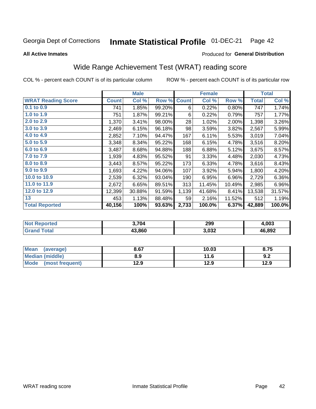#### Inmate Statistical Profile 01-DEC-21 Page 42

**All Active Inmates** 

### Produced for General Distribution

## Wide Range Achievement Test (WRAT) reading score

COL % - percent each COUNT is of its particular column

|                           |              | <b>Male</b> |        |              | <b>Female</b> |        |              | <b>Total</b> |
|---------------------------|--------------|-------------|--------|--------------|---------------|--------|--------------|--------------|
| <b>WRAT Reading Score</b> | <b>Count</b> | Col %       | Row %  | <b>Count</b> | Col %         | Row %  | <b>Total</b> | Col %        |
| 0.1 to 0.9                | 741          | 1.85%       | 99.20% | 6            | 0.22%         | 0.80%  | 747          | 1.74%        |
| 1.0 to 1.9                | 751          | 1.87%       | 99.21% | 6            | 0.22%         | 0.79%  | 757          | 1.77%        |
| 2.0 to 2.9                | 1,370        | 3.41%       | 98.00% | 28           | 1.02%         | 2.00%  | 1,398        | 3.26%        |
| 3.0 to 3.9                | 2,469        | 6.15%       | 96.18% | 98           | 3.59%         | 3.82%  | 2,567        | 5.99%        |
| 4.0 to 4.9                | 2,852        | 7.10%       | 94.47% | 167          | 6.11%         | 5.53%  | 3,019        | 7.04%        |
| 5.0 to 5.9                | 3,348        | 8.34%       | 95.22% | 168          | 6.15%         | 4.78%  | 3,516        | 8.20%        |
| 6.0 to 6.9                | 3,487        | 8.68%       | 94.88% | 188          | 6.88%         | 5.12%  | 3,675        | 8.57%        |
| 7.0 to 7.9                | 1,939        | 4.83%       | 95.52% | 91           | 3.33%         | 4.48%  | 2,030        | 4.73%        |
| 8.0 to 8.9                | 3,443        | 8.57%       | 95.22% | 173          | 6.33%         | 4.78%  | 3,616        | 8.43%        |
| 9.0 to 9.9                | 1,693        | 4.22%       | 94.06% | 107          | 3.92%         | 5.94%  | 1,800        | 4.20%        |
| 10.0 to 10.9              | 2,539        | 6.32%       | 93.04% | 190          | 6.95%         | 6.96%  | 2,729        | 6.36%        |
| 11.0 to 11.9              | 2,672        | 6.65%       | 89.51% | 313          | 11.45%        | 10.49% | 2,985        | 6.96%        |
| 12.0 to 12.9              | 12,399       | 30.88%      | 91.59% | 1,139        | 41.68%        | 8.41%  | 13,538       | 31.57%       |
| 13                        | 453          | 1.13%       | 88.48% | 59           | 2.16%         | 11.52% | 512          | 1.19%        |
| <b>Total Reported</b>     | 40,156       | 100%        | 93.63% | 2,733        | 100.0%        | 6.37%  | 42,889       | 100.0%       |

| วrted<br>NO        | 3.704  | 299   | .003   |
|--------------------|--------|-------|--------|
| $T \sim 4 \cdot 1$ | 43.860 | 3,032 | 46,892 |

| Mean<br>(average)    | 8.67 | 10.03 | 8.75 |
|----------------------|------|-------|------|
| Median (middle)      | 8.9  | 11.6  | 9.2  |
| Mode (most frequent) | 12.9 | 12.9  | 12.9 |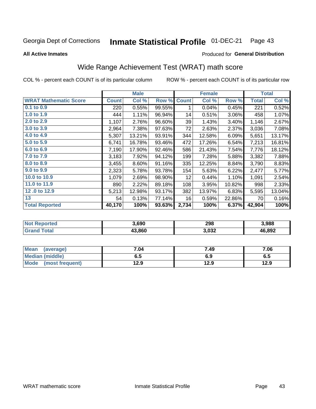#### Inmate Statistical Profile 01-DEC-21 Page 43

**All Active Inmates** 

### Produced for General Distribution

## Wide Range Achievement Test (WRAT) math score

COL % - percent each COUNT is of its particular column

|                              |              | <b>Male</b> |        |              | <b>Female</b> |        |              | <b>Total</b> |
|------------------------------|--------------|-------------|--------|--------------|---------------|--------|--------------|--------------|
| <b>WRAT Mathematic Score</b> | <b>Count</b> | Col %       | Row %  | <b>Count</b> | Col %         | Row %  | <b>Total</b> | Col %        |
| $0.1$ to $0.9$               | 220          | 0.55%       | 99.55% | 1            | 0.04%         | 0.45%  | 221          | 0.52%        |
| 1.0 to 1.9                   | 444          | 1.11%       | 96.94% | 14           | 0.51%         | 3.06%  | 458          | 1.07%        |
| 2.0 to 2.9                   | 1,107        | 2.76%       | 96.60% | 39           | 1.43%         | 3.40%  | 1,146        | 2.67%        |
| 3.0 to 3.9                   | 2,964        | 7.38%       | 97.63% | 72           | 2.63%         | 2.37%  | 3,036        | 7.08%        |
| 4.0 to 4.9                   | 5,307        | 13.21%      | 93.91% | 344          | 12.58%        | 6.09%  | 5,651        | 13.17%       |
| 5.0 to 5.9                   | 6,741        | 16.78%      | 93.46% | 472          | 17.26%        | 6.54%  | 7,213        | 16.81%       |
| 6.0 to 6.9                   | 7,190        | 17.90%      | 92.46% | 586          | 21.43%        | 7.54%  | 7,776        | 18.12%       |
| 7.0 to 7.9                   | 3,183        | 7.92%       | 94.12% | 199          | 7.28%         | 5.88%  | 3,382        | 7.88%        |
| 8.0 to 8.9                   | 3,455        | 8.60%       | 91.16% | 335          | 12.25%        | 8.84%  | 3,790        | 8.83%        |
| 9.0 to 9.9                   | 2,323        | 5.78%       | 93.78% | 154          | 5.63%         | 6.22%  | 2,477        | 5.77%        |
| 10.0 to 10.9                 | 1,079        | 2.69%       | 98.90% | 12           | 0.44%         | 1.10%  | 1,091        | 2.54%        |
| 11.0 to 11.9                 | 890          | 2.22%       | 89.18% | 108          | 3.95%         | 10.82% | 998          | 2.33%        |
| 12.0 to 12.9                 | 5,213        | 12.98%      | 93.17% | 382          | 13.97%        | 6.83%  | 5,595        | 13.04%       |
| 13                           | 54           | 0.13%       | 77.14% | 16           | 0.59%         | 22.86% | 70           | 0.16%        |
| <b>Total Reported</b>        | 40,170       | 100%        | 93.63% | 2,734        | 100%          | 6.37%  | 42,904       | 100%         |

| 'Not<br><b>Reported</b> | 3.690  | 298   | 3,988  |
|-------------------------|--------|-------|--------|
| 'otal                   | 13.860 | 3,032 | 46,892 |

| <b>Mean</b><br>(average) | 7.04 | 7.49 | 7.06 |
|--------------------------|------|------|------|
| Median (middle)          | ხ. J | 6.9  | ხ.მ  |
| Mode<br>(most frequent)  | 12.9 | 12.9 | 12.9 |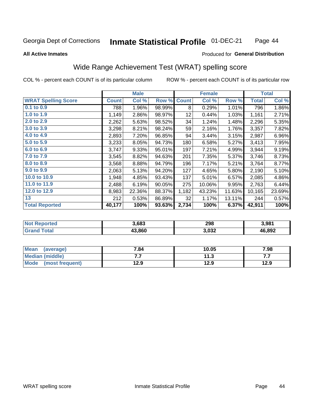#### **Inmate Statistical Profile 01-DEC-21** Page 44

### **All Active Inmates**

### Produced for General Distribution

## Wide Range Achievement Test (WRAT) spelling score

COL % - percent each COUNT is of its particular column

|                            |              | <b>Male</b> |        |                 | <b>Female</b> |        |              | <b>Total</b> |
|----------------------------|--------------|-------------|--------|-----------------|---------------|--------|--------------|--------------|
| <b>WRAT Spelling Score</b> | <b>Count</b> | Col %       | Row %  | <b>Count</b>    | Col %         | Row %  | <b>Total</b> | Col %        |
| 0.1 to 0.9                 | 788          | 1.96%       | 98.99% | 8               | 0.29%         | 1.01%  | 796          | 1.86%        |
| 1.0 to 1.9                 | 1,149        | 2.86%       | 98.97% | 12 <sub>2</sub> | 0.44%         | 1.03%  | 1,161        | 2.71%        |
| 2.0 to 2.9                 | 2,262        | 5.63%       | 98.52% | 34              | 1.24%         | 1.48%  | 2,296        | 5.35%        |
| 3.0 to 3.9                 | 3,298        | 8.21%       | 98.24% | 59              | 2.16%         | 1.76%  | 3,357        | 7.82%        |
| 4.0 to 4.9                 | 2,893        | 7.20%       | 96.85% | 94              | 3.44%         | 3.15%  | 2,987        | 6.96%        |
| 5.0 to 5.9                 | 3,233        | 8.05%       | 94.73% | 180             | 6.58%         | 5.27%  | 3,413        | 7.95%        |
| 6.0 to 6.9                 | 3,747        | 9.33%       | 95.01% | 197             | 7.21%         | 4.99%  | 3,944        | 9.19%        |
| 7.0 to 7.9                 | 3,545        | 8.82%       | 94.63% | 201             | 7.35%         | 5.37%  | 3,746        | 8.73%        |
| 8.0 to 8.9                 | 3,568        | 8.88%       | 94.79% | 196             | 7.17%         | 5.21%  | 3,764        | 8.77%        |
| 9.0 to 9.9                 | 2,063        | 5.13%       | 94.20% | 127             | 4.65%         | 5.80%  | 2,190        | 5.10%        |
| 10.0 to 10.9               | 1,948        | 4.85%       | 93.43% | 137             | 5.01%         | 6.57%  | 2,085        | 4.86%        |
| 11.0 to 11.9               | 2,488        | 6.19%       | 90.05% | 275             | 10.06%        | 9.95%  | 2,763        | 6.44%        |
| 12.0 to 12.9               | 8,983        | 22.36%      | 88.37% | 1,182           | 43.23%        | 11.63% | 10,165       | 23.69%       |
| 13                         | 212          | 0.53%       | 86.89% | 32              | 1.17%         | 13.11% | 244          | 0.57%        |
| <b>Total Reported</b>      | 40,177       | 100%        | 93.63% | 2,734           | 100%          | 6.37%  | 42,911       | 100%         |

| orted<br>NO     | 3,683  | 298   | 3,981  |
|-----------------|--------|-------|--------|
| $\sim$ follows: | 43.860 | 3,032 | 46,892 |

| <b>Mean</b><br>(average) | 7.84 | 10.05 | 7.98 |
|--------------------------|------|-------|------|
| <b>Median (middle)</b>   | .    | 11.3  | .    |
| Mode (most frequent)     | 12.9 | 12.9  | 12.9 |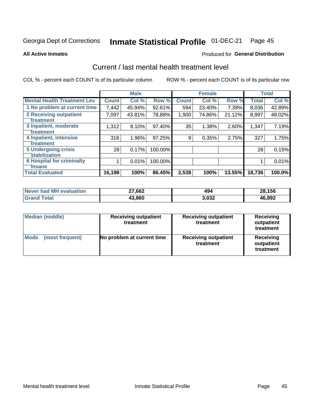# Inmate Statistical Profile 01-DEC-21 Page 45

**All Active Inmates** 

### **Produced for General Distribution**

## Current / last mental health treatment level

COL % - percent each COUNT is of its particular column

|                                    |              | <b>Male</b> |         |              | <b>Female</b> |        |              | <b>Total</b> |
|------------------------------------|--------------|-------------|---------|--------------|---------------|--------|--------------|--------------|
| <b>Mental Health Treatment Lev</b> | <b>Count</b> | Col %       | Row %   | <b>Count</b> | Col %         | Row %  | <b>Total</b> | Col %        |
| 1 No problem at current time       | 7,442        | 45.94%      | 92.61%  | 594          | 23.40%        | 7.39%  | 8,036        | 42.89%       |
| 2 Receiving outpatient             | 7,097        | 43.81%      | 78.88%  | 1,900        | 74.86%        | 21.12% | 8,997        | 48.02%       |
| <b>Treatment</b>                   |              |             |         |              |               |        |              |              |
| 3 Inpatient, moderate              | 1,312        | 8.10%       | 97.40%  | 35           | 1.38%         | 2.60%  | 1,347        | 7.19%        |
| <b>Treatment</b>                   |              |             |         |              |               |        |              |              |
| 4 Inpatient, intensive             | 318          | 1.96%       | 97.25%  | 9            | 0.35%         | 2.75%  | 327          | 1.75%        |
| <b>Treatment</b>                   |              |             |         |              |               |        |              |              |
| <b>5 Undergoing crisis</b>         | 28           | 0.17%       | 100.00% |              |               |        | 28           | 0.15%        |
| <b>stabilization</b>               |              |             |         |              |               |        |              |              |
| <b>6 Hospital for criminally</b>   |              | 0.01%       | 100.00% |              |               |        |              | 0.01%        |
| <b>Tinsane</b>                     |              |             |         |              |               |        |              |              |
| <b>Total Evaluated</b>             | 16,198       | 100%        | 86.45%  | 2,538        | 100%          | 13.55% | 18,736       | 100.0%       |

| Never had MH evaluation | 27,662 | 494   | 28,156 |
|-------------------------|--------|-------|--------|
| <b>Grand Total</b>      | 43,860 | 3,032 | 46,892 |

| <b>Median (middle)</b>         | <b>Receiving outpatient</b><br>treatment | <b>Receiving outpatient</b><br>treatment | <b>Receiving</b><br>outpatient<br>treatment |  |
|--------------------------------|------------------------------------------|------------------------------------------|---------------------------------------------|--|
| <b>Mode</b><br>(most frequent) | No problem at current time               | <b>Receiving outpatient</b><br>treatment | Receiving<br>outpatient<br>treatment        |  |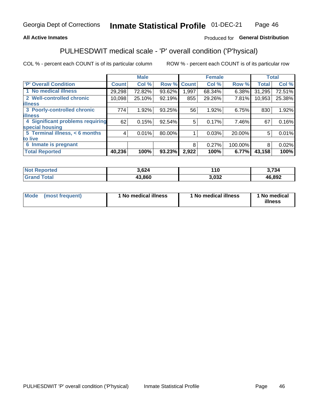## **All Active Inmates**

## Produced for General Distribution

## PULHESDWIT medical scale - 'P' overall condition ('P'hysical)

COL % - percent each COUNT is of its particular column

|                                  |              | <b>Male</b> |        |              | <b>Female</b> |         |              | <b>Total</b> |
|----------------------------------|--------------|-------------|--------|--------------|---------------|---------|--------------|--------------|
| 'P' Overall Condition            | <b>Count</b> | Col %       | Row %  | <b>Count</b> | Col %         | Row %   | <b>Total</b> | Col %        |
| 1 No medical illness             | 29,298       | 72.82%      | 93.62% | 1.997        | 68.34%        | 6.38%   | 31,295       | 72.51%       |
| 2 Well-controlled chronic        | 10,098       | 25.10%      | 92.19% | 855          | 29.26%        | 7.81%   | 10,953       | 25.38%       |
| <b>illness</b>                   |              |             |        |              |               |         |              |              |
| 3 Poorly-controlled chronic      | 774          | 1.92%       | 93.25% | 56           | 1.92%         | 6.75%   | 830          | 1.92%        |
| <b>illness</b>                   |              |             |        |              |               |         |              |              |
| 4 Significant problems requiring | 62           | 0.15%       | 92.54% | 5            | 0.17%         | 7.46%   | 67           | 0.16%        |
| special housing                  |              |             |        |              |               |         |              |              |
| 5 Terminal illness, < 6 months   | 4            | 0.01%       | 80.00% |              | 0.03%         | 20.00%  | 5            | 0.01%        |
| to live                          |              |             |        |              |               |         |              |              |
| 6 Inmate is pregnant             |              |             |        | 8            | 0.27%         | 100.00% | 8            | 0.02%        |
| <b>Total Reported</b>            | 40,236       | 100%        | 93.23% | 2,922        | 100%          | 6.77%   | 43,158       | 100%         |

| orted | ,624   | 10   | 701    |
|-------|--------|------|--------|
| 'ota. | 43.860 | .032 | 46,892 |

| Mode | (most frequent) | 1 No medical illness | 1 No medical illness | 1 No medical<br>illness |
|------|-----------------|----------------------|----------------------|-------------------------|
|------|-----------------|----------------------|----------------------|-------------------------|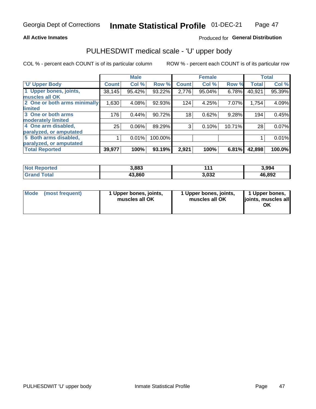## **All Active Inmates**

## Produced for General Distribution

# PULHESDWIT medical scale - 'U' upper body

COL % - percent each COUNT is of its particular column

|                              |              | <b>Male</b> |         |              | <b>Female</b> |        |              | <b>Total</b> |
|------------------------------|--------------|-------------|---------|--------------|---------------|--------|--------------|--------------|
| <b>U' Upper Body</b>         | <b>Count</b> | Col %       | Row %   | <b>Count</b> | Col %         | Row %  | <b>Total</b> | Col %        |
| 1 Upper bones, joints,       | 38,145       | 95.42%      | 93.22%  | 2,776        | 95.04%        | 6.78%  | 40,921       | 95.39%       |
| muscles all OK               |              |             |         |              |               |        |              |              |
| 2 One or both arms minimally | 1,630        | 4.08%       | 92.93%  | 124          | 4.25%         | 7.07%  | 1,754        | 4.09%        |
| limited                      |              |             |         |              |               |        |              |              |
| 3 One or both arms           | 176          | 0.44%       | 90.72%  | 18           | 0.62%         | 9.28%  | 194          | 0.45%        |
| <b>moderately limited</b>    |              |             |         |              |               |        |              |              |
| 4 One arm disabled,          | 25           | 0.06%       | 89.29%  | 3            | 0.10%         | 10.71% | 28           | 0.07%        |
| paralyzed, or amputated      |              |             |         |              |               |        |              |              |
| 5 Both arms disabled,        |              | 0.01%       | 100.00% |              |               |        |              | 0.01%        |
| paralyzed, or amputated      |              |             |         |              |               |        |              |              |
| <b>Total Reported</b>        | 39,977       | 100%        | 93.19%  | 2,921        | 100%          | 6.81%  | 42,898       | 100.0%       |

| <b>Not Reported</b> | 3,883  | 1 4 A | 3,994  |
|---------------------|--------|-------|--------|
| <b>Grand Total</b>  | 43,860 | 3,032 | 46,892 |

| Mode (most frequent) | 1 Upper bones, joints,<br>muscles all OK | 1 Upper bones, joints,<br>muscles all OK | 1 Upper bones,<br>joints, muscles all<br>ΟK |
|----------------------|------------------------------------------|------------------------------------------|---------------------------------------------|
|----------------------|------------------------------------------|------------------------------------------|---------------------------------------------|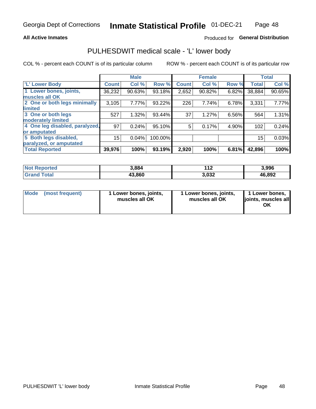## **All Active Inmates**

## Produced for General Distribution

## PULHESDWIT medical scale - 'L' lower body

COL % - percent each COUNT is of its particular column

|                                |              | <b>Male</b> |         |              | <b>Female</b> |       |              | <b>Total</b> |
|--------------------------------|--------------|-------------|---------|--------------|---------------|-------|--------------|--------------|
| 'L' Lower Body                 | <b>Count</b> | Col %       | Row %   | <b>Count</b> | Col %         | Row % | <b>Total</b> | Col %        |
| 1 Lower bones, joints,         | 36,232       | 90.63%      | 93.18%  | 2,652        | 90.82%        | 6.82% | 38,884       | 90.65%       |
| muscles all OK                 |              |             |         |              |               |       |              |              |
| 2 One or both legs minimally   | 3,105        | 7.77%       | 93.22%  | 226          | 7.74%         | 6.78% | 3,331        | 7.77%        |
| limited                        |              |             |         |              |               |       |              |              |
| 3 One or both legs             | 527          | 1.32%       | 93.44%  | 37           | 1.27%         | 6.56% | 564          | 1.31%        |
| moderately limited             |              |             |         |              |               |       |              |              |
| 4 One leg disabled, paralyzed, | 97           | 0.24%       | 95.10%  | 5            | 0.17%         | 4.90% | 102          | 0.24%        |
| or amputated                   |              |             |         |              |               |       |              |              |
| 5 Both legs disabled,          | 15           | 0.04%       | 100.00% |              |               |       | 15           | 0.03%        |
| paralyzed, or amputated        |              |             |         |              |               |       |              |              |
| <b>Total Reported</b>          | 39,976       | 100%        | 93.19%  | 2,920        | 100%          | 6.81% | 42,896       | 100%         |

| <b>Not Reported</b> | 3,884  | 149<br>. . <i>.</i> | 3,996  |
|---------------------|--------|---------------------|--------|
| Total<br>Grand      | 43,860 | 3,032               | 46,892 |

| Mode (most frequent) | 1 Lower bones, joints,<br>muscles all OK | 1 Lower bones, joints,<br>muscles all OK | 1 Lower bones,<br>joints, muscles all<br>ОK |
|----------------------|------------------------------------------|------------------------------------------|---------------------------------------------|
|----------------------|------------------------------------------|------------------------------------------|---------------------------------------------|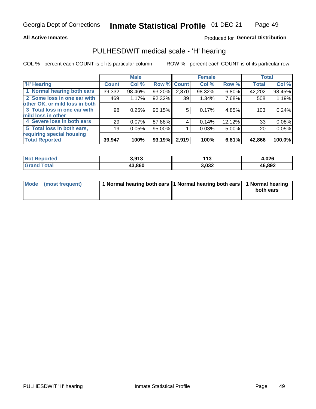## **All Active Inmates**

## Produced for General Distribution

## PULHESDWIT medical scale - 'H' hearing

COL % - percent each COUNT is of its particular column

|                                |              | <b>Male</b> |             |       | <b>Female</b> |        | <b>Total</b> |        |
|--------------------------------|--------------|-------------|-------------|-------|---------------|--------|--------------|--------|
| <b>H' Hearing</b>              | <b>Count</b> | Col %       | Row % Count |       | Col %         | Row %  | <b>Total</b> | Col %  |
| 1 Normal hearing both ears     | 39,332       | 98.46%      | 93.20%      | 2,870 | $98.32\%$     | 6.80%  | 42,202       | 98.45% |
| 2 Some loss in one ear with    | 469          | 1.17%       | 92.32%      | 39    | 1.34%         | 7.68%  | 508          | 1.19%  |
| other OK, or mild loss in both |              |             |             |       |               |        |              |        |
| 3 Total loss in one ear with   | 98           | 0.25%       | 95.15%      | 5     | 0.17%         | 4.85%  | 103          | 0.24%  |
| mild loss in other             |              |             |             |       |               |        |              |        |
| 4 Severe loss in both ears     | 29           | 0.07%       | 87.88%      | 4     | 0.14%         | 12.12% | 33           | 0.08%  |
| 5 Total loss in both ears,     | 19           | 0.05%       | 95.00%      |       | 0.03%         | 5.00%  | 20           | 0.05%  |
| requiring special housing      |              |             |             |       |               |        |              |        |
| <b>Total Reported</b>          | 39,947       | 100%        | 93.19%      | 2,919 | 100%          | 6.81%  | 42,866       | 100.0% |

| <b>Not Renc</b><br>≅norted i | 3,913  | AA<br>. | 1.026  |
|------------------------------|--------|---------|--------|
| Гоtal                        | 43.860 | 3,032   | 46,892 |

| Mode (most frequent) | 1 Normal hearing both ears 11 Normal hearing both ears 1 Normal hearing | both ears |
|----------------------|-------------------------------------------------------------------------|-----------|
|                      |                                                                         |           |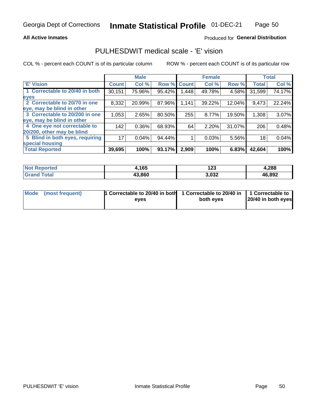## **All Active Inmates**

## Produced for General Distribution

## PULHESDWIT medical scale - 'E' vision

COL % - percent each COUNT is of its particular column

|                                 |              | <b>Male</b> |        |              | <b>Female</b> |        |              | <b>Total</b> |
|---------------------------------|--------------|-------------|--------|--------------|---------------|--------|--------------|--------------|
| <b>E' Vision</b>                | <b>Count</b> | Col %       | Row %  | <b>Count</b> | Col %         | Row %  | <b>Total</b> | Col %        |
| 1 Correctable to 20/40 in both  | 30,151       | 75.96%      | 95.42% | .448         | 49.78%        | 4.58%  | 31,599       | 74.17%       |
| eyes                            |              |             |        |              |               |        |              |              |
| 2 Correctable to 20/70 in one   | 8,332        | 20.99%      | 87.96% | 1,141        | 39.22%        | 12.04% | 9,473        | 22.24%       |
| eye, may be blind in other      |              |             |        |              |               |        |              |              |
| 3 Correctable to 20/200 in one  | 1,053        | 2.65%       | 80.50% | 255          | 8.77%         | 19.50% | 1,308        | 3.07%        |
| eye, may be blind in other      |              |             |        |              |               |        |              |              |
| 4 One eye not correctable to    | 142          | 0.36%       | 68.93% | 64           | 2.20%         | 31.07% | 206          | 0.48%        |
| 20/200, other may be blind      |              |             |        |              |               |        |              |              |
| 5 Blind in both eyes, requiring | 17           | 0.04%       | 94.44% |              | 0.03%         | 5.56%  | 18           | 0.04%        |
| special housing                 |              |             |        |              |               |        |              |              |
| <b>Total Reported</b>           | 39,695       | 100%        | 93.17% | 2,909        | 100%          | 6.83%  | 42,604       | 100%         |

| <b>Not Reported</b> | ,165   | 123   | 4,288  |
|---------------------|--------|-------|--------|
| <b>Total</b>        | 43,860 | 3,032 | 46,892 |

| Mode (most frequent) | 1 Correctable to 20/40 in both<br>eves | 1 Correctable to 20/40 in   1 Correctable to  <br>both eves | 20/40 in both eyes |
|----------------------|----------------------------------------|-------------------------------------------------------------|--------------------|
|                      |                                        |                                                             |                    |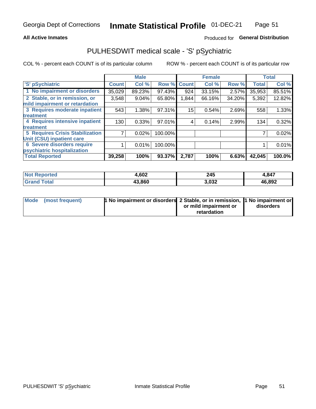## **All Active Inmates**

## Produced for General Distribution

## PULHESDWIT medical scale - 'S' pSychiatric

COL % - percent each COUNT is of its particular column

|                                        |              | <b>Male</b> |         |              | <b>Female</b> |        |              | <b>Total</b> |
|----------------------------------------|--------------|-------------|---------|--------------|---------------|--------|--------------|--------------|
| 'S' pSychiatric                        | <b>Count</b> | Col %       | Row %   | <b>Count</b> | Col %         | Row %  | <b>Total</b> | Col %        |
| 1 No impairment or disorders           | 35,029       | 89.23%      | 97.43%  | 924          | 33.15%        | 2.57%  | 35,953       | 85.51%       |
| 2 Stable, or in remission, or          | 3,548        | $9.04\%$    | 65.80%  | 1,844        | 66.16%        | 34.20% | 5,392        | 12.82%       |
| mild impairment or retardation         |              |             |         |              |               |        |              |              |
| 3 Requires moderate inpatient          | 543          | 1.38%       | 97.31%  | 15           | 0.54%         | 2.69%  | 558          | 1.33%        |
| treatment                              |              |             |         |              |               |        |              |              |
| 4 Requires intensive inpatient         | 130          | 0.33%       | 97.01%  | 4            | 0.14%         | 2.99%  | 134          | 0.32%        |
| treatment                              |              |             |         |              |               |        |              |              |
| <b>5 Requires Crisis Stabilization</b> |              | 0.02%       | 100.00% |              |               |        |              | 0.02%        |
| Unit (CSU) inpatient care              |              |             |         |              |               |        |              |              |
| <b>6 Severe disorders require</b>      |              | 0.01%       | 100.00% |              |               |        |              | 0.01%        |
| psychiatric hospitalization            |              |             |         |              |               |        |              |              |
| <b>Total Reported</b>                  | 39,258       | 100%        | 93.37%  | 2,787        | 100%          | 6.63%  | 42,045       | 100.0%       |

| <b>Not Reported</b>  | ,602   | 245   | 4,847  |
|----------------------|--------|-------|--------|
| <b>Total</b><br>Gran | 43,860 | 3,032 | 46,892 |

| Mode | (most frequent) | <b>1 No impairment or disorders</b> 2 Stable, or in remission, 1 No impairment or |                       |           |
|------|-----------------|-----------------------------------------------------------------------------------|-----------------------|-----------|
|      |                 |                                                                                   | or mild impairment or | disorders |
|      |                 |                                                                                   | retardation           |           |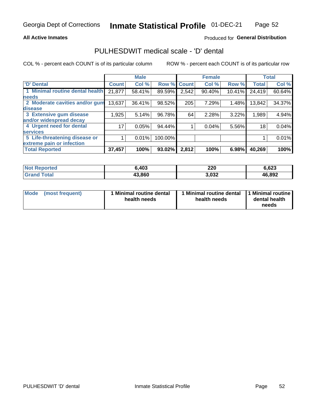## **All Active Inmates**

## Produced for General Distribution

## PULHESDWIT medical scale - 'D' dental

COL % - percent each COUNT is of its particular column

|                                 |              | <b>Male</b> |         |              | <b>Female</b> |        |              | <b>Total</b> |
|---------------------------------|--------------|-------------|---------|--------------|---------------|--------|--------------|--------------|
| <b>D'</b> Dental                | <b>Count</b> | Col %       | Row %   | <b>Count</b> | Col %         | Row %  | <b>Total</b> | Col %        |
| 1 Minimal routine dental health | 21,877       | 58.41%      | 89.59%  | 2,542        | 90.40%        | 10.41% | 24,419       | 60.64%       |
| <b>needs</b>                    |              |             |         |              |               |        |              |              |
| 2 Moderate cavities and/or gum  | 13,637       | 36.41%      | 98.52%  | 205          | 7.29%         | 1.48%  | 13,842       | 34.37%       |
| disease                         |              |             |         |              |               |        |              |              |
| 3 Extensive gum disease         | 1,925        | 5.14%       | 96.78%  | 64           | 2.28%         | 3.22%  | 1,989        | 4.94%        |
| and/or widespread decay         |              |             |         |              |               |        |              |              |
| 4 Urgent need for dental        | 17           | 0.05%       | 94.44%  |              | 0.04%         | 5.56%  | 18           | 0.04%        |
| <b>services</b>                 |              |             |         |              |               |        |              |              |
| 5 Life-threatening disease or   |              | 0.01%       | 100.00% |              |               |        |              | 0.01%        |
| extreme pain or infection       |              |             |         |              |               |        |              |              |
| <b>Total Reported</b>           | 37,457       | 100%        | 93.02%  | 2,812        | 100%          | 6.98%  | 40,269       | 100%         |

| <b>Not Reported</b>   | 6,403  | 220   | 6,623  |
|-----------------------|--------|-------|--------|
| <b>Total</b><br>Grand | 43,860 | 3,032 | 46,892 |

| Mode<br><b>Minimal routine dental</b><br>(most frequent)<br>health needs | 1 Minimal routine dental<br>health needs | 1 Minimal routine<br>dental health<br>needs |
|--------------------------------------------------------------------------|------------------------------------------|---------------------------------------------|
|--------------------------------------------------------------------------|------------------------------------------|---------------------------------------------|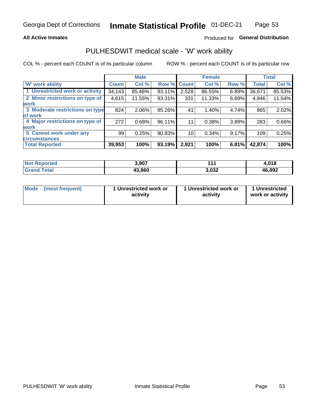## **All Active Inmates**

## Produced for General Distribution

## PULHESDWIT medical scale - 'W' work ability

COL % - percent each COUNT is of its particular column

|                                 |              | <b>Male</b> |                    |       | <b>Female</b> |          |              | <b>Total</b> |
|---------------------------------|--------------|-------------|--------------------|-------|---------------|----------|--------------|--------------|
| <b>W' work ability</b>          | <b>Count</b> | Col %       | <b>Row % Count</b> |       | Col %         | Row %    | <b>Total</b> | Col %        |
| 1 Unrestricted work or activity | 34,143       | 85.46%      | 93.11%             | 2,528 | 86.55%        | $6.89\%$ | 36,671       | 85.53%       |
| 2 Minor restrictions on type of | 4,615        | 11.55%      | 93.31%             | 331   | 11.33%        | 6.69%    | 4,946        | 11.54%       |
| <b>work</b>                     |              |             |                    |       |               |          |              |              |
| 3 Moderate restrictions on type | 824          | $2.06\%$    | 95.26%             | 41    | $1.40\%$      | 4.74%    | 865          | 2.02%        |
| of work                         |              |             |                    |       |               |          |              |              |
| 4 Major restrictions on type of | 272          | 0.68%       | 96.11%             | 11    | 0.38%         | 3.89%    | 283          | 0.66%        |
| <b>work</b>                     |              |             |                    |       |               |          |              |              |
| 5 Cannot work under any         | 99           | 0.25%       | 90.83%             | 10    | $0.34\%$      | 9.17%    | 109          | 0.25%        |
| <b>circumstances</b>            |              |             |                    |       |               |          |              |              |
| <b>Total Reported</b>           | 39,953       | 100%        | 93.19%             | 2,921 | 100%          | 6.81%    | 42,874       | 100%         |

| <b>Not Reported</b> | 3,907  | 4 A   | 4,018  |
|---------------------|--------|-------|--------|
| Total<br>Grand      | 43,860 | 3,032 | 46,892 |

| Mode (most frequent) | 1 Unrestricted work or | 1 Unrestricted work or | 1 Unrestricted   |
|----------------------|------------------------|------------------------|------------------|
|                      | activity               | activity               | work or activity |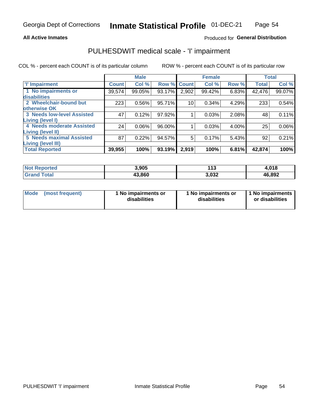## **All Active Inmates**

## Produced for General Distribution

## PULHESDWIT medical scale - 'I' impairment

COL % - percent each COUNT is of its particular column

|                                                              |              | <b>Male</b> |        |             | <b>Female</b> |       | <b>Total</b> |          |
|--------------------------------------------------------------|--------------|-------------|--------|-------------|---------------|-------|--------------|----------|
| <b>T' Impairment</b>                                         | <b>Count</b> | Col %       |        | Row % Count | Col %         | Row % | <b>Total</b> | Col %    |
| 1 No impairments or<br>disabilities                          | 39,574       | 99.05%      | 93.17% | 2,902       | 99.42%        | 6.83% | 42,476       | 99.07%   |
| 2 Wheelchair-bound but                                       | 223          | 0.56%       | 95.71% | 10          | 0.34%         | 4.29% | 233          | 0.54%    |
| otherwise OK<br><b>3 Needs low-level Assisted</b>            | 47           | 0.12%       | 97.92% |             | 0.03%         | 2.08% | 48           | 0.11%    |
| Living (level I)                                             |              |             |        |             |               |       |              |          |
| 4 Needs moderate Assisted<br>Living (level II)               | 24           | $0.06\%$    | 96.00% |             | 0.03%         | 4.00% | 25           | $0.06\%$ |
| <b>5 Needs maximal Assisted</b><br><b>Living (level III)</b> | 87           | 0.22%       | 94.57% | 5           | 0.17%         | 5.43% | 92           | 0.21%    |
| <b>Total Reported</b>                                        | 39,955       | 100%        | 93.19% | 2,919       | 100%          | 6.81% | 42,874       | 100%     |

| $N$<br><b>Reported</b>       | 3,905  | 142<br>,,, | 4,018  |
|------------------------------|--------|------------|--------|
| <b>Total</b><br><b>Grand</b> | 43,860 | 3,032      | 46,892 |

| Mode | (most frequent) | 1 No impairments or<br>disabilities | 1 No impairments or<br>disabilities | 1 No impairments<br>or disabilities |
|------|-----------------|-------------------------------------|-------------------------------------|-------------------------------------|
|------|-----------------|-------------------------------------|-------------------------------------|-------------------------------------|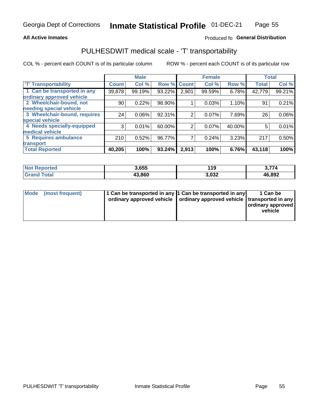## **All Active Inmates**

## Produced fo General Distribution

## PULHESDWIT medical scale - 'T' transportability

COL % - percent each COUNT is of its particular column

|                              |              | <b>Male</b> |        |              | <b>Female</b> |        | <b>Total</b> |        |
|------------------------------|--------------|-------------|--------|--------------|---------------|--------|--------------|--------|
| <b>T' Transportability</b>   | <b>Count</b> | Col %       | Row %  | <b>Count</b> | Col %         | Row %  | <b>Total</b> | Col %  |
| 1 Can be transported in any  | 39,878       | 99.19%      | 93.22% | 2,901        | 99.59%        | 6.78%  | 42,779       | 99.21% |
| ordinary approved vehicle    |              |             |        |              |               |        |              |        |
| 2 Wheelchair-bound, not      | 90           | 0.22%       | 98.90% |              | 0.03%         | 1.10%  | 91           | 0.21%  |
| needing special vehicle      |              |             |        |              |               |        |              |        |
| 3 Wheelchair-bound, requires | 24           | 0.06%       | 92.31% | 2            | 0.07%         | 7.69%  | 26           | 0.06%  |
| special vehicle              |              |             |        |              |               |        |              |        |
| 4 Needs specially-equipped   | 3            | 0.01%       | 60.00% | 2            | 0.07%         | 40.00% | 5            | 0.01%  |
| medical vehicle              |              |             |        |              |               |        |              |        |
| <b>5 Requires ambulance</b>  | 210          | 0.52%       | 96.77% | 7            | 0.24%         | 3.23%  | 217          | 0.50%  |
| transport                    |              |             |        |              |               |        |              |        |
| <b>Total Reported</b>        | 40,205       | 100%        | 93.24% | 2,913        | 100%          | 6.76%  | 43,118       | 100%   |

| <b>Not</b><br><b>Reported</b> | 3,655  | 119   | 3,774  |
|-------------------------------|--------|-------|--------|
| <b>otal</b>                   | 43.860 | 3,032 | 46,892 |

|  | Mode (most frequent) | 1 Can be transported in any 1 Can be transported in any<br>ordinary approved vehicle   ordinary approved vehicle   transported in any |  | 1 Can be<br>  ordinary approved  <br>vehicle |
|--|----------------------|---------------------------------------------------------------------------------------------------------------------------------------|--|----------------------------------------------|
|--|----------------------|---------------------------------------------------------------------------------------------------------------------------------------|--|----------------------------------------------|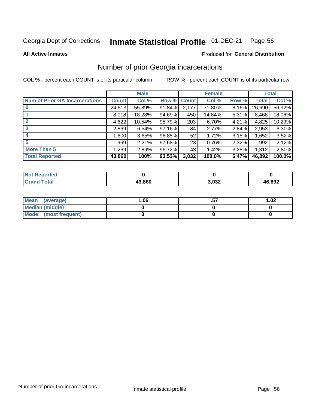#### Inmate Statistical Profile 01-DEC-21 Page 56

**All Active Inmates** 

## **Produced for General Distribution**

## Number of prior Georgia incarcerations

COL % - percent each COUNT is of its particular column

|                                       |              | <b>Male</b> |                    |       | <b>Female</b> |       |        | <b>Total</b> |
|---------------------------------------|--------------|-------------|--------------------|-------|---------------|-------|--------|--------------|
| <b>Num of Prior GA Incarcerations</b> | <b>Count</b> | Col %       | <b>Row % Count</b> |       | Col %         | Row % | Total  | Col %        |
| $\bf{0}$                              | 24,513       | 55.89%      | 91.84%             | 2,177 | 71.80%        | 8.16% | 26,690 | 56.92%       |
|                                       | 8,018        | 18.28%      | 94.69%             | 450   | 14.84%        | 5.31% | 8,468  | 18.06%       |
| 2                                     | 4,622        | 10.54%      | 95.79%             | 203   | 6.70%         | 4.21% | 4,825  | 10.29%       |
| 3                                     | 2,869        | 6.54%       | 97.16%             | 84    | 2.77%         | 2.84% | 2,953  | 6.30%        |
| 4                                     | 1,600        | 3.65%       | 96.85%             | 52    | 1.72%         | 3.15% | 1,652  | 3.52%        |
| 5                                     | 969          | 2.21%       | 97.68%             | 23    | 0.76%         | 2.32% | 992    | 2.12%        |
| <b>More Than 5</b>                    | 1,269        | 2.89%       | 96.72%             | 43    | 1.42%         | 3.28% | 1,312  | 2.80%        |
| <b>Total Reported</b>                 | 43,860       | 100%        | 93.53%             | 3,032 | 100.0%        | 6.47% | 46,892 | 100.0%       |

| orted<br>NO.     |        |      |        |
|------------------|--------|------|--------|
| <b>ota</b><br>Gr | 13.860 | 032, | 46,892 |

| Mean (average)       | 06.، | 1.02 |
|----------------------|------|------|
| Median (middle)      |      |      |
| Mode (most frequent) |      |      |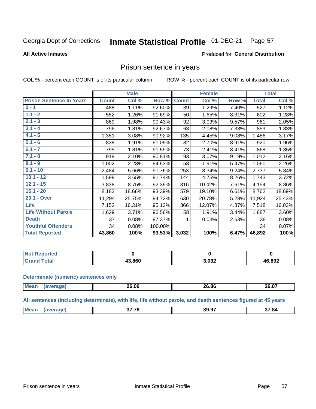#### Inmate Statistical Profile 01-DEC-21 Page 57

### **All Active Inmates**

### Produced for General Distribution

## Prison sentence in years

COL % - percent each COUNT is of its particular column

ROW % - percent each COUNT is of its particular row

|                                 |              | <b>Male</b> |         |              | <b>Female</b> |       |              | <b>Total</b> |
|---------------------------------|--------------|-------------|---------|--------------|---------------|-------|--------------|--------------|
| <b>Prison Sentence In Years</b> | <b>Count</b> | Col %       | Row %   | <b>Count</b> | Col %         | Row % | <b>Total</b> | Col %        |
| $0 - 1$                         | 488          | 1.11%       | 92.60%  | 39           | 1.29%         | 7.40% | 527          | 1.12%        |
| $1.1 - 2$                       | 552          | 1.26%       | 91.69%  | 50           | 1.65%         | 8.31% | 602          | 1.28%        |
| $2.1 - 3$                       | 869          | 1.98%       | 90.43%  | 92           | 3.03%         | 9.57% | 961          | 2.05%        |
| $3.1 - 4$                       | 796          | 1.81%       | 92.67%  | 63           | 2.08%         | 7.33% | 859          | 1.83%        |
| $4.1 - 5$                       | 1,351        | 3.08%       | 90.92%  | 135          | 4.45%         | 9.08% | 1,486        | 3.17%        |
| $5.1 - 6$                       | 838          | 1.91%       | 91.09%  | 82           | 2.70%         | 8.91% | 920          | 1.96%        |
| $6.1 - 7$                       | 795          | 1.81%       | 91.59%  | 73           | 2.41%         | 8.41% | 868          | 1.85%        |
| $7.1 - 8$                       | 919          | 2.10%       | 90.81%  | 93           | 3.07%         | 9.19% | 1,012        | 2.16%        |
| $8.1 - 9$                       | 1,002        | 2.28%       | 94.53%  | 58           | 1.91%         | 5.47% | 1,060        | 2.26%        |
| $9.1 - 10$                      | 2,484        | 5.66%       | 90.76%  | 253          | 8.34%         | 9.24% | 2,737        | 5.84%        |
| $10.1 - 12$                     | 1,599        | 3.65%       | 91.74%  | 144          | 4.75%         | 8.26% | 1,743        | 3.72%        |
| $12.1 - 15$                     | 3,838        | 8.75%       | 92.39%  | 316          | 10.42%        | 7.61% | 4,154        | 8.86%        |
| $15.1 - 20$                     | 8,183        | 18.66%      | 93.39%  | 579          | 19.10%        | 6.61% | 8,762        | 18.69%       |
| 20.1 - Over                     | 11,294       | 25.75%      | 94.72%  | 630          | 20.78%        | 5.28% | 11,924       | 25.43%       |
| Life                            | 7,152        | 16.31%      | 95.13%  | 366          | 12.07%        | 4.87% | 7,518        | 16.03%       |
| <b>Life Without Parole</b>      | 1,629        | 3.71%       | 96.56%  | 58           | 1.91%         | 3.44% | 1,687        | 3.60%        |
| <b>Death</b>                    | 37           | 0.08%       | 97.37%  | 1            | 0.03%         | 2.63% | 38           | 0.08%        |
| <b>Youthful Offenders</b>       | 34           | 0.08%       | 100.00% |              |               |       | 34           | 0.07%        |
| <b>Total Reported</b>           | 43,860       | 100%        | 93.53%  | 3,032        | 100%          | 6.47% | 46,892       | 100%         |

| <b>Not Reported</b> |        |       |        |
|---------------------|--------|-------|--------|
| <b>otal</b>         | 13.860 | 032,ا | 46,892 |

### **Determinate (numeric) sentences only**

| <b>Mean</b> | 26.06 | 26.86 | 26.07 |
|-------------|-------|-------|-------|
|             |       |       |       |

All sentences (including determinate), with life, life without parole, and death sentences figured at 45 years

| 39.97<br>2779<br><b>Me</b><br>37.84 |  |  |
|-------------------------------------|--|--|
|                                     |  |  |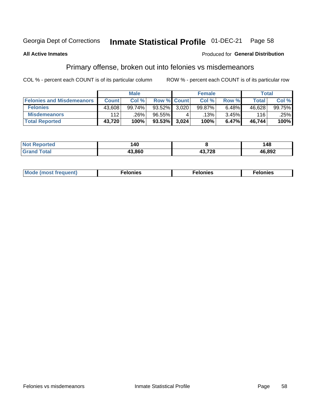#### Inmate Statistical Profile 01-DEC-21 Page 58

## **All Active Inmates**

### **Produced for General Distribution**

## Primary offense, broken out into felonies vs misdemeanors

COL % - percent each COUNT is of its particular column

|                                  |              | <b>Male</b> |           |                    | <b>Female</b> |       |              | Total  |
|----------------------------------|--------------|-------------|-----------|--------------------|---------------|-------|--------------|--------|
| <b>Felonies and Misdemeanors</b> | <b>Count</b> | Col%        |           | <b>Row % Count</b> | Col%          | Row % | <b>Total</b> | Col%   |
| <b>Felonies</b>                  | 43,608       | 99.74%      | $93.52\%$ | 3.020              | 99.87%        | 6.48% | 46,628       | 99.75% |
| <b>Misdemeanors</b>              | 112          | .26%        | 96.55%    |                    | .13%          | 3.45% | 116          | .25%   |
| <b>Total Reported</b>            | 43,720       | 100%        | $93.53\%$ | 3,024              | 100%          | 6.47% | 46,744       | 100%   |

| <b>Not</b><br>Reported | 140    |       | 48     |
|------------------------|--------|-------|--------|
| Gran<br>™otaï          | 13 ጸ60 | 20 פו | 46,892 |

| M      | .    | nes | onies |
|--------|------|-----|-------|
| nuenti | ____ | .   | .     |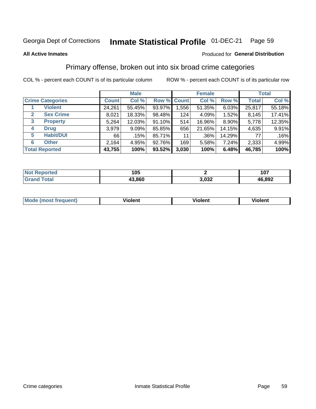#### Inmate Statistical Profile 01-DEC-21 Page 59

### **All Active Inmates**

### Produced for General Distribution

## Primary offense, broken out into six broad crime categories

COL % - percent each COUNT is of its particular column

|                                 |                  |              | <b>Male</b> |        |             | <b>Female</b> |        |              | <b>Total</b> |
|---------------------------------|------------------|--------------|-------------|--------|-------------|---------------|--------|--------------|--------------|
| <b>Crime Categories</b>         |                  | <b>Count</b> | Col %       |        | Row % Count | Col %         | Row %  | <b>Total</b> | Col %        |
| <b>Violent</b>                  |                  | 24,261       | 55.45%      | 93.97% | 1,556       | 51.35%        | 6.03%  | 25,817       | 55.18%       |
| 2                               | <b>Sex Crime</b> | 8,021        | 18.33%      | 98.48% | 124         | 4.09%         | 1.52%  | 8,145        | 17.41%       |
| $\mathbf{3}$<br><b>Property</b> |                  | 5,264        | 12.03%      | 91.10% | 514         | 16.96%        | 8.90%  | 5,778        | 12.35%       |
| <b>Drug</b><br>4                |                  | 3,979        | $9.09\%$    | 85.85% | 656         | 21.65%        | 14.15% | 4,635        | 9.91%        |
| <b>Habit/DUI</b><br>5           |                  | 66           | .15%        | 85.71% | 11          | .36%          | 14.29% | 77           | .16%         |
| <b>Other</b><br>6               |                  | 2,164        | 4.95%       | 92.76% | 169         | 5.58%         | 7.24%  | 2,333        | 4.99%        |
| <b>Total Reported</b>           |                  | 43,755       | 100%        | 93.52% | 3,030       | 100%          | 6.48%  | 46,785       | 100%         |

| rtea<br>NO        | 105        |               | 107    |
|-------------------|------------|---------------|--------|
| $T \sim$ follows: | .860<br>40 | ר מח<br>∍,∪ა∠ | 46,892 |

| M | $\overline{\phantom{a}}$<br>- --<br>100011 | .<br><b>VIOIGIIL</b> | 1.91311 |
|---|--------------------------------------------|----------------------|---------|
|   |                                            |                      |         |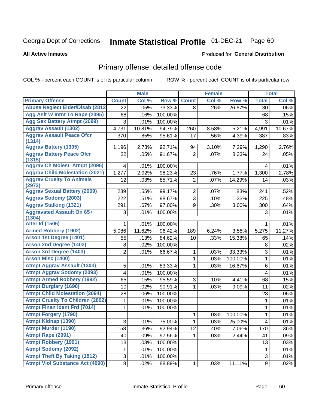#### Inmate Statistical Profile 01-DEC-21 Page 60

**All Active Inmates** 

## **Produced for General Distribution**

## Primary offense, detailed offense code

COL % - percent each COUNT is of its particular column

|                                            |                     | <b>Male</b> |         |                | <b>Female</b> |         |                         | <b>Total</b> |
|--------------------------------------------|---------------------|-------------|---------|----------------|---------------|---------|-------------------------|--------------|
| <b>Primary Offense</b>                     | <b>Count</b>        | Col %       | Row %   | <b>Count</b>   | Col %         | Row %   | <b>Total</b>            | Col %        |
| <b>Abuse Neglect Elder/Disab (2812)</b>    | 22                  | .05%        | 73.33%  | 8              | .26%          | 26.67%  | 30                      | .06%         |
| Agg Aslt W Intnt To Rape (2095)            | 68                  | .16%        | 100.00% |                |               |         | 68                      | .15%         |
| <b>Agg Sex Battery Atmpt (2099)</b>        | 3                   | .01%        | 100.00% |                |               |         | 3                       | .01%         |
| <b>Aggrav Assault (1302)</b>               | 4,731               | 10.81%      | 94.79%  | 260            | 8.58%         | 5.21%   | 4,991                   | 10.67%       |
| <b>Aggrav Assault Peace Ofcr</b>           | 370                 | .85%        | 95.61%  | 17             | .56%          | 4.39%   | 387                     | .83%         |
| (1314)                                     |                     |             |         |                |               |         |                         |              |
| <b>Aggrav Battery (1305)</b>               | 1,196               | 2.73%       | 92.71%  | 94             | 3.10%         | 7.29%   | 1,290                   | 2.76%        |
| <b>Aggrav Battery Peace Ofcr</b><br>(1315) | 22                  | .05%        | 91.67%  | $\overline{2}$ | .07%          | 8.33%   | 24                      | .05%         |
| <b>Aggrav Ch Molest Atmpt (2096)</b>       | $\overline{4}$      | .01%        | 100.00% |                |               |         | 4                       | .01%         |
| <b>Aggrav Child Molestation (2021)</b>     | 1,277               | 2.92%       | 98.23%  | 23             | .76%          | 1.77%   | 1,300                   | 2.78%        |
| <b>Aggrav Cruelty To Animals</b><br>(2972) | 12                  | .03%        | 85.71%  | $\overline{2}$ | .07%          | 14.29%  | 14                      | .03%         |
| <b>Aggrav Sexual Battery (2009)</b>        | 239                 | .55%        | 99.17%  | $\overline{2}$ | .07%          | .83%    | 241                     | .52%         |
| <b>Aggrav Sodomy (2003)</b>                | 222                 | .51%        | 98.67%  | 3              | .10%          | 1.33%   | 225                     | .48%         |
| <b>Aggrav Stalking (1321)</b>              | 291                 | .67%        | 97.00%  | 9              | .30%          | 3.00%   | 300                     | .64%         |
| <b>Aggravated Assault On 65+</b><br>(1304) | 3                   | .01%        | 100.00% |                |               |         | 3                       | .01%         |
| <b>Alter Id (1506)</b>                     | 1                   | .01%        | 100.00% |                |               |         | 1                       | .01%         |
| <b>Armed Robbery (1902)</b>                | 5,086               | 11.62%      | 96.42%  | 189            | 6.24%         | 3.58%   | 5,275                   | 11.27%       |
| Arson 1st Degree (1401)                    | 55                  | .13%        | 84.62%  | 10             | .33%          | 15.38%  | 65                      | .14%         |
| <b>Arson 2nd Degree (1402)</b>             | 8                   | .02%        | 100.00% |                |               |         | 8                       | .02%         |
| <b>Arson 3rd Degree (1403)</b>             | $\overline{2}$      | .01%        | 66.67%  | 1              | .03%          | 33.33%  | 3                       | .01%         |
| <b>Arson Misc (1400)</b>                   |                     |             |         | 1              | .03%          | 100.00% | $\mathbf{1}$            | .01%         |
| <b>Atmpt Aggrav Assault (1303)</b>         | 5                   | .01%        | 83.33%  | 1              | .03%          | 16.67%  | 6                       | .01%         |
| <b>Atmpt Aggrav Sodomy (2093)</b>          | 4                   | .01%        | 100.00% |                |               |         | 4                       | .01%         |
| <b>Atmpt Armed Robbery (1992)</b>          | 65                  | .15%        | 95.59%  | 3              | .10%          | 4.41%   | 68                      | .15%         |
| <b>Atmpt Burglary (1690)</b>               | 10                  | .02%        | 90.91%  | 1              | .03%          | 9.09%   | 11                      | .02%         |
| <b>Atmpt Child Molestation (2094)</b>      | 28                  | .06%        | 100.00% |                |               |         | 28                      | .06%         |
| <b>Atmpt Cruelty To Children (2802)</b>    | 1                   | .01%        | 100.00% |                |               |         | 1                       | .01%         |
| <b>Atmpt Finan Ident Frd (7014)</b>        | 1                   | .01%        | 100.00% |                |               |         | 1                       | .01%         |
| <b>Atmpt Forgery (1790)</b>                |                     |             |         | 1              | .03%          | 100.00% | 1                       | .01%         |
| <b>Atmpt Kidnap (1390)</b>                 | $\overline{\omega}$ | .01%        | 75.00%  | 1              | .03%          | 25.00%  | $\overline{\mathbf{4}}$ | .01%         |
| <b>Atmpt Murder (1190)</b>                 | 158                 | .36%        | 92.94%  | 12             | .40%          | 7.06%   | 170                     | .36%         |
| Atmpt Rape (2091)                          | 40                  | .09%        | 97.56%  | $\mathbf{1}$   | .03%          | 2.44%   | 41                      | .09%         |
| <b>Atmpt Robbery (1991)</b>                | 13                  | .03%        | 100.00% |                |               |         | 13                      | .03%         |
| <b>Atmpt Sodomy (2092)</b>                 | 1                   | .01%        | 100.00% |                |               |         | 1                       | .01%         |
| <b>Atmpt Theft By Taking (1812)</b>        | 3                   | .01%        | 100.00% |                |               |         | 3                       | .01%         |
| <b>Atmpt Viol Substance Act (4090)</b>     | $\infty$            | .02%        | 88.89%  | $\mathbf{1}$   | .03%          | 11.11%  | $\boldsymbol{9}$        | .02%         |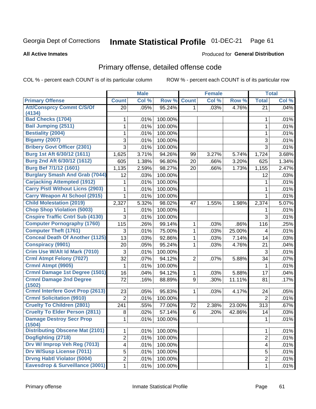#### Inmate Statistical Profile 01-DEC-21 Page 61

### **All Active Inmates**

## **Produced for General Distribution**

## Primary offense, detailed offense code

COL % - percent each COUNT is of its particular column

|                                           |                         | <b>Male</b> |         |                | <b>Female</b> |        |                | <b>Total</b> |
|-------------------------------------------|-------------------------|-------------|---------|----------------|---------------|--------|----------------|--------------|
| <b>Primary Offense</b>                    | <b>Count</b>            | Col %       | Row %   | <b>Count</b>   | Col %         | Row %  | <b>Total</b>   | Col %        |
| <b>Att/Consprcy Commt C/S/Of</b>          | 20                      | .05%        | 95.24%  | $\mathbf{1}$   | .03%          | 4.76%  | 21             | .04%         |
| (4134)<br><b>Bad Checks (1704)</b>        |                         |             |         |                |               |        |                |              |
|                                           | 1                       | .01%        | 100.00% |                |               |        | 1              | .01%         |
| <b>Bail Jumping (2511)</b>                | 1                       | .01%        | 100.00% |                |               |        | 1              | .01%         |
| <b>Bestiality (2004)</b>                  | 1                       | .01%        | 100.00% |                |               |        | 1              | .01%         |
| <b>Bigamy (2007)</b>                      | 3                       | .01%        | 100.00% |                |               |        | 3              | .01%         |
| <b>Bribery Govt Officer (2301)</b>        | 3                       | .01%        | 100.00% |                |               |        | $\overline{3}$ | .01%         |
| Burg 1st Aft 6/30/12 (1611)               | 1,625                   | 3.71%       | 94.26%  | 99             | 3.27%         | 5.74%  | 1,724          | 3.68%        |
| Burg 2nd Aft 6/30/12 (1612)               | 605                     | 1.38%       | 96.80%  | 20             | .66%          | 3.20%  | 625            | 1.34%        |
| <b>Burg Bef 7/1/12 (1601)</b>             | 1,135                   | 2.59%       | 98.27%  | 20             | .66%          | 1.73%  | 1,155          | 2.47%        |
| <b>Burglary Smash And Grab (7044)</b>     | 12                      | .03%        | 100.00% |                |               |        | 12             | .03%         |
| <b>Carjacking Attempted (1912)</b>        | 1                       | .01%        | 100.00% |                |               |        | 1              | .01%         |
| <b>Carry Pistl Without Licns (2903)</b>   | 1                       | .01%        | 100.00% |                |               |        | 1              | .01%         |
| <b>Carry Weapon At School (2915)</b>      | 1                       | .01%        | 100.00% |                |               |        | 1              | .01%         |
| <b>Child Molestation (2019)</b>           | 2,327                   | 5.32%       | 98.02%  | 47             | 1.55%         | 1.98%  | 2,374          | 5.07%        |
| <b>Chop Shop Violation (5003)</b>         | 1                       | .01%        | 100.00% |                |               |        | 1              | .01%         |
| <b>Cnspire Traffic Cntrl Sub (4130)</b>   | 3                       | .01%        | 100.00% |                |               |        | 3              | .01%         |
| <b>Computer Pornography (1760)</b>        | 115                     | .26%        | 99.14%  | 1              | .03%          | .86%   | 116            | .25%         |
| <b>Computer Theft (1761)</b>              | 3                       | .01%        | 75.00%  | 1              | .03%          | 25.00% | 4              | .01%         |
| <b>Conceal Death Of Another (1125)</b>    | 13                      | .03%        | 92.86%  | 1              | .03%          | 7.14%  | 14             | .03%         |
| <b>Conspiracy (9901)</b>                  | 20                      | .05%        | 95.24%  | 1              | .03%          | 4.76%  | 21             | .04%         |
| Crim Use W/Alt Id Mark (7010)             | 3                       | .01%        | 100.00% |                |               |        | $\mathfrak{S}$ | .01%         |
| <b>Crml Atmpt Felony (7027)</b>           | 32                      | .07%        | 94.12%  | $\overline{2}$ | .07%          | 5.88%  | 34             | .07%         |
| Crmnl Atmpt (9905)                        | 1                       | .01%        | 100.00% |                |               |        | 1              | .01%         |
| Crmnl Damage 1st Degree (1501)            | 16                      | .04%        | 94.12%  | 1              | .03%          | 5.88%  | 17             | .04%         |
| <b>Crmnl Damage 2nd Degree</b><br>(1502)  | 72                      | .16%        | 88.89%  | 9              | .30%          | 11.11% | 81             | .17%         |
| <b>Crmnl Interfere Govt Prop (2613)</b>   | 23                      | .05%        | 95.83%  | 1              | .03%          | 4.17%  | 24             | .05%         |
| <b>Crmnl Solicitation (9910)</b>          | $\overline{2}$          | .01%        | 100.00% |                |               |        | $\overline{2}$ | .01%         |
| <b>Cruelty To Children (2801)</b>         | 241                     | .55%        | 77.00%  | 72             | 2.38%         | 23.00% | 313            | .67%         |
| <b>Cruelty To Elder Person (2811)</b>     | 8                       | .02%        | 57.14%  | 6              | .20%          | 42.86% | 14             | .03%         |
| <b>Damage Destroy Secr Prop</b><br>(1504) | 1                       | .01%        | 100.00% |                |               |        | 1              | .01%         |
| <b>Distributing Obscene Mat (2101)</b>    | 1                       | .01%        | 100.00% |                |               |        | 1              | .01%         |
| Dogfighting (2718)                        | $\overline{2}$          | .01%        | 100.00% |                |               |        | $\overline{2}$ | .01%         |
| Drv W/ Improp Veh Reg (7013)              | $\overline{\mathbf{4}}$ | .01%        | 100.00% |                |               |        | 4              | .01%         |
| <b>Drv W/Susp License (7011)</b>          | 5                       | .01%        | 100.00% |                |               |        | 5              | .01%         |
| <b>Drvng Habtl Violator (5004)</b>        | $\overline{2}$          | .01%        | 100.00% |                |               |        | $\overline{c}$ | .01%         |
| Eavesdrop & Surveillance (3001)           | $\mathbf{1}$            | .01%        | 100.00% |                |               |        | 1              | .01%         |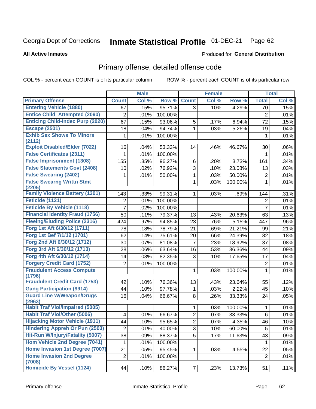#### Inmate Statistical Profile 01-DEC-21 Page 62

**Produced for General Distribution** 

### **All Active Inmates**

## Primary offense, detailed offense code

COL % - percent each COUNT is of its particular column

| Col %<br><b>Count</b><br>Col%<br>Row %<br><b>Primary Offense</b><br><b>Count</b><br>Row %<br><b>Total</b> | Col % |
|-----------------------------------------------------------------------------------------------------------|-------|
|                                                                                                           |       |
| <b>Entering Vehicle (1880)</b><br>95.71%<br>4.29%<br>.15%<br>3<br>.10%<br>67<br>70                        | .15%  |
| <b>Entice Child Attempted (2090)</b><br>$\overline{c}$<br>$\overline{2}$<br>.01%<br>100.00%               | .01%  |
| <b>Enticing Child-Indec Purp (2020)</b><br>67<br>93.06%<br>.15%<br>5<br>.17%<br>6.94%<br>72               | .15%  |
| <b>Escape (2501)</b><br>.04%<br>94.74%<br>1<br>.03%<br>5.26%<br>18<br>19                                  | .04%  |
| <b>Exhib Sex Shows To Minors</b><br>.01%<br>100.00%<br>1<br>1                                             | .01%  |
| (2112)                                                                                                    |       |
| <b>Exploit Disabled/Elder (7022)</b><br>53.33%<br>16<br>.04%<br>14<br>.46%<br>46.67%<br>30                | .06%  |
| <b>False Certificates (2311)</b><br>1<br>.01%<br>100.00%<br>1                                             | .01%  |
| <b>False Imprisonment (1308)</b><br>155<br>96.27%<br>.35%<br>6<br>3.73%<br>161<br>.20%                    | .34%  |
| <b>False Statements Govt (2408)</b><br>3<br>76.92%<br>23.08%<br>10<br>.02%<br>.10%<br>13                  | .03%  |
| <b>False Swearing (2402)</b><br>.01%<br>50.00%<br>1<br>50.00%<br>$\overline{2}$<br>.03%<br>1              | .01%  |
| <b>False Swearng Writtn Stmt</b><br>1<br>100.00%<br>1<br>.03%<br>(2205)                                   | .01%  |
| <b>Family Violence Battery (1301)</b><br>.33%<br>99.31%<br>143<br>.03%<br>.69%<br>144<br>1                | .31%  |
| Feticide (1121)<br>2<br>.01%<br>100.00%<br>$\overline{2}$                                                 | .01%  |
| <b>Feticide By Vehicle (1118)</b><br>$\overline{7}$<br>7<br>.02%<br>100.00%                               | .01%  |
| <b>Financial Identity Fraud (1756)</b><br>50<br>.11%<br>79.37%<br>13<br>20.63%<br>63<br>.43%              | .13%  |
| <b>Fleeing/Eluding Police (2316)</b><br>.97%<br>94.85%<br>23<br>.76%<br>5.15%<br>424<br>447               | .96%  |
| Forg 1st Aft 6/30/12 (1711)<br>21.21%<br>78<br>.18%<br>78.79%<br>21<br>.69%<br>99                         | .21%  |
| Forg 1st Bef 7/1/12 (1701)<br>62<br>75.61%<br>24.39%<br>.14%<br>20<br>.66%<br>82                          | .18%  |
| Forg 2nd Aft 6/30/12 (1712)<br>30<br>.07%<br>81.08%<br>7<br>18.92%<br>37<br>.23%                          | .08%  |
| Forg 3rd Aft 6/30/12 (1713)<br>63.64%<br>36.36%<br>28<br>.06%<br>16<br>.53%<br>44                         | .09%  |
| Forg 4th Aft 6/30/12 (1714)<br>82.35%<br>3<br>14<br>.03%<br>17.65%<br>17<br>.10%                          | .04%  |
| <b>Forgery Credit Card (1752)</b><br>$\overline{2}$<br>$\overline{2}$<br>.01%<br>100.00%                  | .01%  |
| <b>Fraudulent Access Compute</b><br>100.00%<br>1<br>1<br>.03%                                             | .01%  |
| (1796)<br><b>Fraudulent Credit Card (1753)</b><br>76.36%<br>42<br>.10%<br>13<br>.43%<br>23.64%<br>55      | .12%  |
| <b>Gang Participation (9914)</b><br>44<br>.10%<br>97.78%<br>2.22%<br>45<br>1<br>.03%                      | .10%  |
| <b>Guard Line W/Weapon/Drugs</b><br>.04%<br>33.33%<br>66.67%<br>8<br>.26%<br>24<br>16                     | .05%  |
| (2963)                                                                                                    |       |
| <b>Habit Traf Viol/Impaired (5005)</b><br>100.00%<br>1<br>.03%<br>1                                       | .01%  |
| <b>Habit Traf Viol/Other (5006)</b><br>2<br>.01%<br>66.67%<br>.07%<br>33.33%<br>6<br>4                    | .01%  |
| <b>Hijacking Motor Vehicle (1911)</b><br>$\overline{2}$<br>.10%<br>95.65%<br>.07%<br>4.35%<br>46<br>44    | .10%  |
| <b>Hindering Appreh Or Pun (2503)</b><br>$\overline{2}$<br>3<br>5<br>.01%<br>40.00%<br>.10%<br>60.00%     | .01%  |
| Hit-Run W/Injury/Fatality (5007)<br>5<br>38<br>88.37%<br>.09%<br>.17%<br>11.63%<br>43                     | .09%  |
| Hom Vehicle 2nd Degree (7041)<br>.01%<br>$\mathbf{1}$<br>1<br>100.00%                                     | .01%  |
| Home Invasion 1st Degree (7007)<br>21<br>22<br>.05%<br>95.45%<br>1<br>.03%<br>4.55%                       | .05%  |
| <b>Home Invasion 2nd Degree</b><br>$\overline{2}$<br>100.00%<br>.01%<br>$\overline{2}$<br>(7008)          | .01%  |
| <b>Homicide By Vessel (1124)</b><br>86.27%<br>$\overline{7}$<br>44<br>.23%<br>13.73%<br>51<br>.10%        | .11%  |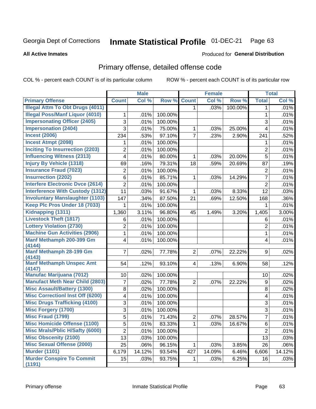#### Inmate Statistical Profile 01-DEC-21 Page 63

### **All Active Inmates**

## **Produced for General Distribution**

## Primary offense, detailed offense code

COL % - percent each COUNT is of its particular column

|                                          |                 | <b>Male</b> |         |                | <b>Female</b> |         |                         | <b>Total</b> |
|------------------------------------------|-----------------|-------------|---------|----------------|---------------|---------|-------------------------|--------------|
| <b>Primary Offense</b>                   | <b>Count</b>    | Col %       | Row %   | <b>Count</b>   | Col %         | Row %   | <b>Total</b>            | Col %        |
| <b>Illegal Attm To Obt Drugs (4011)</b>  |                 |             |         | $\mathbf 1$    | .03%          | 100.00% | 1                       | .01%         |
| <b>Illegal Poss/Manf Liquor (4010)</b>   | 1               | .01%        | 100.00% |                |               |         | $\mathbf{1}$            | .01%         |
| <b>Impersonating Officer (2405)</b>      | 3               | .01%        | 100.00% |                |               |         | 3                       | .01%         |
| <b>Impersonation (2404)</b>              | 3               | .01%        | 75.00%  | 1              | .03%          | 25.00%  | 4                       | .01%         |
| <b>Incest (2006)</b>                     | 234             | .53%        | 97.10%  | $\overline{7}$ | .23%          | 2.90%   | 241                     | .52%         |
| <b>Incest Atmpt (2098)</b>               | 1               | .01%        | 100.00% |                |               |         | 1                       | .01%         |
| <b>Inciting To Insurrection (2203)</b>   | $\overline{2}$  | .01%        | 100.00% |                |               |         | $\overline{2}$          | .01%         |
| <b>Influencing Witness (2313)</b>        | 4               | .01%        | 80.00%  | 1              | .03%          | 20.00%  | 5                       | .01%         |
| <b>Injury By Vehicle (1318)</b>          | 69              | .16%        | 79.31%  | 18             | .59%          | 20.69%  | 87                      | .19%         |
| <b>Insurance Fraud (7023)</b>            | $\overline{c}$  | .01%        | 100.00% |                |               |         | $\boldsymbol{2}$        | .01%         |
| <b>Insurrection (2202)</b>               | 6               | .01%        | 85.71%  | 1              | .03%          | 14.29%  | $\overline{7}$          | .01%         |
| <b>Interfere Electronic Dvce (2614)</b>  | $\overline{2}$  | .01%        | 100.00% |                |               |         | $\overline{2}$          | .01%         |
| <b>Interference With Custody (1312)</b>  | 11              | .03%        | 91.67%  | 1              | .03%          | 8.33%   | 12                      | .03%         |
| <b>Involuntary Manslaughter (1103)</b>   | 147             | .34%        | 87.50%  | 21             | .69%          | 12.50%  | 168                     | .36%         |
| Keep Plc Pros Under 18 (7033)            | 1               | .01%        | 100.00% |                |               |         | 1                       | .01%         |
| Kidnapping (1311)                        | 1,360           | 3.11%       | 96.80%  | 45             | 1.49%         | 3.20%   | 1,405                   | 3.00%        |
| <b>Livestock Theft (1817)</b>            | 6               | .01%        | 100.00% |                |               |         | 6                       | .01%         |
| <b>Lottery Violation (2730)</b>          | $\overline{c}$  | .01%        | 100.00% |                |               |         | $\overline{2}$          | .01%         |
| <b>Machine Gun Activities (2906)</b>     | 1               | .01%        | 100.00% |                |               |         | 1                       | .01%         |
| Manf Methamph 200-399 Gm                 | 4               | .01%        | 100.00% |                |               |         | $\overline{\mathbf{4}}$ | .01%         |
| (4144)                                   |                 |             |         |                |               |         |                         |              |
| <b>Manf Methamph 28-199 Gm</b><br>(4143) | $\overline{7}$  | .02%        | 77.78%  | $\overline{2}$ | .07%          | 22.22%  | 9                       | .02%         |
| <b>Manf Methamph Unspec Amt</b>          | 54              | .12%        | 93.10%  | $\overline{4}$ | .13%          | 6.90%   | 58                      | .12%         |
| (4147)                                   |                 |             |         |                |               |         |                         |              |
| <b>Manufac Marijuana (7012)</b>          | 10 <sup>1</sup> | .02%        | 100.00% |                |               |         | 10                      | .02%         |
| <b>Manufact Meth Near Child (2803)</b>   | 7               | .02%        | 77.78%  | 2              | .07%          | 22.22%  | 9                       | .02%         |
| <b>Misc Assault/Battery (1300)</b>       | 8               | .02%        | 100.00% |                |               |         | 8                       | .02%         |
| <b>Misc Correctionl Inst Off (6200)</b>  | 4               | .01%        | 100.00% |                |               |         | $\overline{\mathbf{4}}$ | .01%         |
| <b>Misc Drugs Trafficking (4100)</b>     | 3               | .01%        | 100.00% |                |               |         | 3                       | .01%         |
| <b>Misc Forgery (1700)</b>               | 3               | .01%        | 100.00% |                |               |         | 3                       | .01%         |
| <b>Misc Fraud (1799)</b>                 | $\overline{5}$  | .01%        | 71.43%  | $\overline{2}$ | .07%          | 28.57%  | $\overline{7}$          | .01%         |
| <b>Misc Homicide Offense (1100)</b>      | 5               | .01%        | 83.33%  | $\mathbf{1}$   | .03%          | 16.67%  | 6                       | .01%         |
| <b>Misc Mrals/Pblic H/Safty (6000)</b>   | $\overline{2}$  | .01%        | 100.00% |                |               |         | $\overline{2}$          | .01%         |
| <b>Misc Obscenity (2100)</b>             | 13              | .03%        | 100.00% |                |               |         | 13                      | .03%         |
| <b>Misc Sexual Offense (2000)</b>        | 25              | .06%        | 96.15%  | 1              | .03%          | 3.85%   | 26                      | .06%         |
| <b>Murder (1101)</b>                     | 6,179           | 14.12%      | 93.54%  | 427            | 14.09%        | 6.46%   | 6,606                   | 14.12%       |
| <b>Murder Conspire To Commit</b>         | 15              | .03%        | 93.75%  | 1.             | .03%          | 6.25%   | 16                      | .03%         |
| (1191)                                   |                 |             |         |                |               |         |                         |              |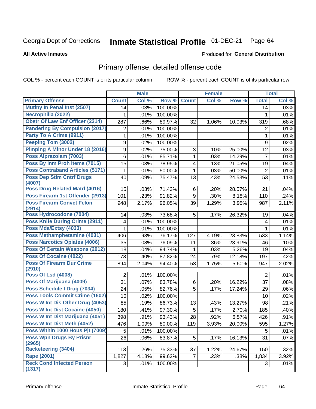#### Inmate Statistical Profile 01-DEC-21 Page 64

**All Active Inmates** 

### **Produced for General Distribution**

## Primary offense, detailed offense code

COL % - percent each COUNT is of its particular column

|                                            |                         | <b>Male</b> |         |                | <b>Female</b> |        |                | <b>Total</b> |
|--------------------------------------------|-------------------------|-------------|---------|----------------|---------------|--------|----------------|--------------|
| <b>Primary Offense</b>                     | <b>Count</b>            | Col %       | Row %   | <b>Count</b>   | Col %         | Row %  | <b>Total</b>   | Col %        |
| Mutiny In Penal Inst (2507)                | 14                      | .03%        | 100.00% |                |               |        | 14             | .03%         |
| Necrophilia (2022)                         | 1                       | .01%        | 100.00% |                |               |        | 1              | .01%         |
| <b>Obstr Of Law Enf Officer (2314)</b>     | 287                     | .66%        | 89.97%  | 32             | 1.06%         | 10.03% | 319            | .68%         |
| <b>Pandering By Compulsion (2017)</b>      | 2                       | .01%        | 100.00% |                |               |        | $\overline{2}$ | .01%         |
| Party To A Crime (9911)                    | $\mathbf{1}$            | .01%        | 100.00% |                |               |        | $\mathbf{1}$   | .01%         |
| Peeping Tom (3002)                         | 9                       | .02%        | 100.00% |                |               |        | 9              | .02%         |
| Pimping A Minor Under 18 (2016)            | 9                       | .02%        | 75.00%  | 3              | .10%          | 25.00% | 12             | .03%         |
| Poss Alprazolam (7003)                     | 6                       | .01%        | 85.71%  | $\mathbf{1}$   | .03%          | 14.29% | $\overline{7}$ | .01%         |
| Poss By Inm Proh Items (7015)              | 15                      | .03%        | 78.95%  | 4              | .13%          | 21.05% | 19             | .04%         |
| <b>Poss Contraband Articles (5171)</b>     | 1                       | .01%        | 50.00%  | 1              | .03%          | 50.00% | $\overline{2}$ | .01%         |
| <b>Poss Dep Stim Cntrf Drugs</b><br>(4007) | 40                      | .09%        | 75.47%  | 13             | .43%          | 24.53% | 53             | .11%         |
| Poss Drug Related Matrl (4016)             | 15                      | .03%        | 71.43%  | 6              | .20%          | 28.57% | 21             | .04%         |
| Poss Firearm 1st Offender (2913)           | 101                     | .23%        | 91.82%  | 9              | .30%          | 8.18%  | 110            | .24%         |
| <b>Poss Firearm Convct Felon</b>           | 948                     | 2.17%       | 96.05%  | 39             | 1.29%         | 3.95%  | 987            | 2.11%        |
| (2914)                                     |                         |             |         |                |               |        |                |              |
| Poss Hydrocodone (7004)                    | 14                      | .03%        | 73.68%  | 5              | .17%          | 26.32% | 19             | .04%         |
| <b>Poss Knife During Crime (2911)</b>      | $\overline{\mathbf{4}}$ | .01%        | 100.00% |                |               |        | $\overline{4}$ | .01%         |
| Poss Mda/Extsy (4033)                      | $\mathbf 1$             | .01%        | 100.00% |                |               |        | $\mathbf{1}$   | .01%         |
| Poss Methamphetamine (4031)                | 406                     | .93%        | 76.17%  | 127            | 4.19%         | 23.83% | 533            | 1.14%        |
| <b>Poss Narcotics Opiates (4006)</b>       | 35                      | .08%        | 76.09%  | 11             | .36%          | 23.91% | 46             | .10%         |
| <b>Poss Of Certain Weapons (2912)</b>      | 18                      | .04%        | 94.74%  | $\mathbf{1}$   | .03%          | 5.26%  | 19             | .04%         |
| <b>Poss Of Cocaine (4022)</b>              | 173                     | .40%        | 87.82%  | 24             | .79%          | 12.18% | 197            | .42%         |
| <b>Poss Of Firearm Dur Crime</b><br>(2910) | 894                     | 2.04%       | 94.40%  | 53             | 1.75%         | 5.60%  | 947            | 2.02%        |
| <b>Poss Of Lsd (4008)</b>                  | $\overline{2}$          | .01%        | 100.00% |                |               |        | $\overline{2}$ | .01%         |
| Poss Of Marijuana (4009)                   | 31                      | .07%        | 83.78%  | 6              | .20%          | 16.22% | 37             | .08%         |
| Poss Schedule I Drug (7034)                | 24                      | .05%        | 82.76%  | 5              | .17%          | 17.24% | 29             | $.06\%$      |
| <b>Poss Tools Commit Crime (1602)</b>      | 10                      | .02%        | 100.00% |                |               |        | 10             | .02%         |
| Poss W Int Dis Other Drug (4053)           | 85                      | .19%        | 86.73%  | 13             | .43%          | 13.27% | 98             | .21%         |
| Poss W Int Dist Cocaine (4050)             | 180                     | .41%        | 97.30%  | 5              | .17%          | 2.70%  | 185            | .40%         |
| Poss W Int Dist Marijuana (4051)           | 398                     | .91%        | 93.43%  | 28             | .92%          | 6.57%  | 426            | .91%         |
| Poss W Int Dist Meth (4052)                | 476                     | 1.09%       | 80.00%  | 119            | 3.93%         | 20.00% | 595            | 1.27%        |
| Poss Within 1000 Hous Pjt (7009)           | 5                       | .01%        | 100.00% |                |               |        | 5              | .01%         |
| <b>Poss Wpn Drugs By Prisnr</b>            | 26                      | .06%        | 83.87%  | 5 <sup>1</sup> | .17%          | 16.13% | 31             | .07%         |
| (2965)                                     |                         |             |         |                |               |        |                |              |
| Racketeering (3404)                        | 113                     | .26%        | 75.33%  | 37             | 1.22%         | 24.67% | 150            | .32%         |
| Rape (2001)                                | 1,827                   | 4.18%       | 99.62%  | $\overline{7}$ | .23%          | .38%   | 1,834          | 3.92%        |
| <b>Reck Cond Infected Person</b>           | 3                       | .01%        | 100.00% |                |               |        | 3              | .01%         |
| (1317)                                     |                         |             |         |                |               |        |                |              |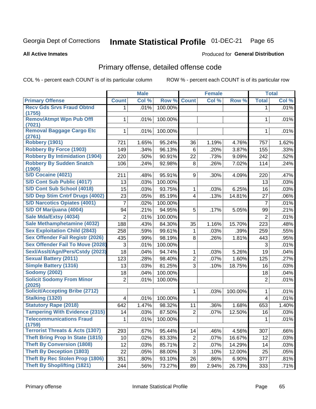#### Inmate Statistical Profile 01-DEC-21 Page 65

**All Active Inmates** 

### **Produced for General Distribution**

## Primary offense, detailed offense code

COL % - percent each COUNT is of its particular column

|                                            |                | <b>Male</b> |         |                         | <b>Female</b> |         |                         | <b>Total</b> |
|--------------------------------------------|----------------|-------------|---------|-------------------------|---------------|---------|-------------------------|--------------|
| <b>Primary Offense</b>                     | <b>Count</b>   | Col %       | Row %   | <b>Count</b>            | Col%          | Row %   | <b>Total</b>            | Col %        |
| <b>Recv Gds Srvs Fraud Obtnd</b>           | 1.             | .01%        | 100.00% |                         |               |         | 1                       | .01%         |
| (1755)<br><b>Remov/Atmpt Wpn Pub Offl</b>  | 1              |             |         |                         |               |         | 1                       | .01%         |
| (7021)                                     |                | .01%        | 100.00% |                         |               |         |                         |              |
| <b>Removal Baggage Cargo Etc</b>           | 1              | .01%        | 100.00% |                         |               |         | 1                       | .01%         |
| (2761)                                     |                |             |         |                         |               |         |                         |              |
| <b>Robbery (1901)</b>                      | 721            | 1.65%       | 95.24%  | 36                      | 1.19%         | 4.76%   | 757                     | 1.62%        |
| <b>Robbery By Force (1903)</b>             | 149            | .34%        | 96.13%  | 6                       | .20%          | 3.87%   | 155                     | .33%         |
| <b>Robbery By Intimidation (1904)</b>      | 220            | .50%        | 90.91%  | 22                      | .73%          | 9.09%   | 242                     | .52%         |
| <b>Robbery By Sudden Snatch</b><br>(1905)  | 106            | .24%        | 92.98%  | 8                       | .26%          | 7.02%   | 114                     | .24%         |
| S/D Cocaine (4021)                         | 211            | .48%        | 95.91%  | 9                       | .30%          | 4.09%   | 220                     | .47%         |
| S/D Cont Sub Public (4017)                 | 13             | .03%        | 100.00% |                         |               |         | 13                      | .03%         |
| S/D Cont Sub School (4018)                 | 15             | .03%        | 93.75%  | 1                       | .03%          | 6.25%   | 16                      | .03%         |
| S/D Dep Stim Cntrf Drugs (4002)            | 23             | .05%        | 85.19%  | $\overline{\mathbf{4}}$ | .13%          | 14.81%  | 27                      | .06%         |
| <b>S/D Narcotics Opiates (4001)</b>        | 7              | .02%        | 100.00% |                         |               |         | $\overline{7}$          | .01%         |
| S/D Of Marijuana (4004)                    | 94             | .21%        | 94.95%  | 5                       | .17%          | 5.05%   | 99                      | .21%         |
| Sale Mda/Extsy (4034)                      | $\overline{2}$ | .01%        | 100.00% |                         |               |         | $\overline{2}$          | .01%         |
| Sale Methamphetamine (4032)                | 188            | .43%        | 84.30%  | 35                      | 1.16%         | 15.70%  | 223                     | .48%         |
| <b>Sex Exploitation Child (2843)</b>       | 258            | .59%        | 99.61%  | 1                       | .03%          | .39%    | 259                     | .55%         |
| <b>Sex Offender Fail Registr (2026)</b>    | 435            | .99%        | 98.19%  | 8                       | .26%          | 1.81%   | 443                     | .95%         |
| <b>Sex Offender Fail To Move (2028)</b>    | 3              | .01%        | 100.00% |                         |               |         | 3                       | .01%         |
| Sexl/Asslt/Agn/Pers/Cstdy (2023)           | 18             | .04%        | 94.74%  | 1                       | .03%          | 5.26%   | 19                      | .04%         |
| <b>Sexual Battery (2011)</b>               | 123            | .28%        | 98.40%  | $\overline{2}$          | .07%          | 1.60%   | 125                     | .27%         |
| <b>Simple Battery (1316)</b>               | 13             | .03%        | 81.25%  | 3                       | .10%          | 18.75%  | 16                      | .03%         |
| <b>Sodomy (2002)</b>                       | 18             | .04%        | 100.00% |                         |               |         | 18                      | .04%         |
| <b>Solicit Sodomy From Minor</b><br>(2025) | $\overline{2}$ | .01%        | 100.00% |                         |               |         | $\overline{2}$          | .01%         |
| <b>Solicit/Accepting Bribe (2712)</b>      |                |             |         | $\mathbf 1$             | .03%          | 100.00% | 1                       | .01%         |
| <b>Stalking (1320)</b>                     | 4              | .01%        | 100.00% |                         |               |         | $\overline{\mathbf{4}}$ | .01%         |
| <b>Statutory Rape (2018)</b>               | 642            | 1.47%       | 98.32%  | 11                      | .36%          | 1.68%   | 653                     | 1.40%        |
| <b>Tampering With Evidence (2315)</b>      | 14             | .03%        | 87.50%  | $\overline{2}$          | .07%          | 12.50%  | 16                      | .03%         |
| <b>Telecommunications Fraud</b><br>(1759)  | 1              | .01%        | 100.00% |                         |               |         | 1                       | .01%         |
| <b>Terrorist Threats &amp; Acts (1307)</b> | 293            | .67%        | 95.44%  | 14                      | .46%          | 4.56%   | 307                     | .66%         |
| <b>Theft Bring Prop In State (1815)</b>    | 10             | .02%        | 83.33%  | $\overline{c}$          | .07%          | 16.67%  | 12                      | .03%         |
| <b>Theft By Conversion (1808)</b>          | 12             | .03%        | 85.71%  | $\overline{c}$          | .07%          | 14.29%  | 14                      | .03%         |
| <b>Theft By Deception (1803)</b>           | 22             | .05%        | 88.00%  | 3                       | .10%          | 12.00%  | 25                      | .05%         |
| <b>Theft By Rec Stolen Prop (1806)</b>     | 351            | .80%        | 93.10%  | 26                      | .86%          | 6.90%   | 377                     | .81%         |
| <b>Theft By Shoplifting (1821)</b>         | 244            | .56%        | 73.27%  | 89                      | 2.94%         | 26.73%  | 333                     | .71%         |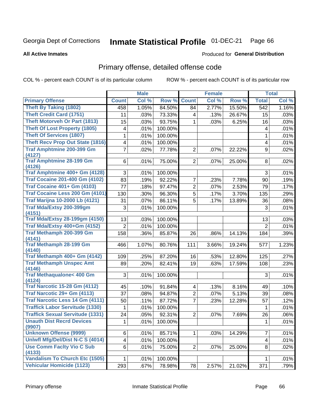#### Inmate Statistical Profile 01-DEC-21 Page 66

**All Active Inmates** 

### **Produced for General Distribution**

## Primary offense, detailed offense code

COL % - percent each COUNT is of its particular column

|                                                 |                | <b>Male</b> |         |                | <b>Female</b> |        |                         | <b>Total</b> |
|-------------------------------------------------|----------------|-------------|---------|----------------|---------------|--------|-------------------------|--------------|
| <b>Primary Offense</b>                          | <b>Count</b>   | Col %       | Row %   | <b>Count</b>   | Col %         | Row %  | <b>Total</b>            | Col %        |
| <b>Theft By Taking (1802)</b>                   | 458            | 1.05%       | 84.50%  | 84             | 2.77%         | 15.50% | 542                     | 1.16%        |
| <b>Theft Credit Card (1751)</b>                 | 11             | .03%        | 73.33%  | 4              | .13%          | 26.67% | 15                      | .03%         |
| <b>Theft Motorveh Or Part (1813)</b>            | 15             | .03%        | 93.75%  | 1              | .03%          | 6.25%  | 16                      | .03%         |
| <b>Theft Of Lost Property (1805)</b>            | 4              | .01%        | 100.00% |                |               |        | 4                       | .01%         |
| <b>Theft Of Services (1807)</b>                 | 1              | .01%        | 100.00% |                |               |        | 1                       | .01%         |
| <b>Theft Recv Prop Out State (1816)</b>         | 4              | .01%        | 100.00% |                |               |        | $\overline{\mathbf{4}}$ | .01%         |
| <b>Traf Amphtmine 200-399 Gm</b><br>(4127)      | 7              | .02%        | 77.78%  | $\overline{2}$ | .07%          | 22.22% | 9                       | .02%         |
| <b>Traf Amphtmine 28-199 Gm</b><br>(4126)       | 6              | .01%        | 75.00%  | $\overline{2}$ | .07%          | 25.00% | 8                       | .02%         |
| Traf Amphtmine 400+ Gm (4128)                   | 3              | .01%        | 100.00% |                |               |        | 3                       | .01%         |
| <b>Traf Cocaine 201-400 Gm (4102)</b>           | 83             | .19%        | 92.22%  | 7              | .23%          | 7.78%  | 90                      | .19%         |
| <b>Traf Cocaine 401+ Gm (4103)</b>              | 77             | .18%        | 97.47%  | $\overline{2}$ | .07%          | 2.53%  | 79                      | .17%         |
| Traf Cocaine Less 200 Gm (4101)                 | 130            | .30%        | 96.30%  | 5              | .17%          | 3.70%  | 135                     | .29%         |
| <b>Traf Marijna 10-2000 Lb (4121)</b>           | 31             | .07%        | 86.11%  | 5              | .17%          | 13.89% | 36                      | .08%         |
| Traf Mda/Extsy 200-399gm                        | 3              | .01%        | 100.00% |                |               |        | 3                       | .01%         |
| (4151)                                          |                |             |         |                |               |        |                         |              |
| <b>Traf Mda/Extsy 28-199gm (4150)</b>           | 13             | .03%        | 100.00% |                |               |        | 13                      | .03%         |
| Traf Mda/Extsy 400+Gm (4152)                    | $\overline{2}$ | .01%        | 100.00% |                |               |        | $\overline{2}$          | .01%         |
| Traf Methamph 200-399 Gm<br>(4141)              | 158            | .36%        | 85.87%  | 26             | .86%          | 14.13% | 184                     | .39%         |
| <b>Traf Methamph 28-199 Gm</b>                  | 466            | 1.07%       | 80.76%  | 111            | 3.66%         | 19.24% | 577                     | 1.23%        |
| (4140)                                          |                |             |         |                |               |        |                         |              |
| Traf Methamph 400+ Gm (4142)                    | 109            | .25%        | 87.20%  | 16             | .53%          | 12.80% | 125                     | .27%         |
| <b>Traf Methamph Unspec Amt</b>                 | 89             | .20%        | 82.41%  | 19             | .63%          | 17.59% | 108                     | .23%         |
| (4146)                                          |                |             |         |                |               |        |                         |              |
| <b>Traf Methaqualone&lt; 400 Gm</b><br>(4124)   | 3              | .01%        | 100.00% |                |               |        | 3                       | .01%         |
| <b>Traf Narcotic 15-28 Gm (4112)</b>            | 45             | .10%        | 91.84%  | 4              | .13%          | 8.16%  | 49                      | .10%         |
| Traf Narcotic 29+ Gm (4113)                     | 37             | .08%        | 94.87%  | $\overline{2}$ | .07%          | 5.13%  | 39                      | .08%         |
| <b>Traf Narcotic Less 14 Gm (4111)</b>          | 50             | .11%        | 87.72%  | 7              | .23%          | 12.28% | 57                      | .12%         |
| <b>Traffick Labor Servitude (1330)</b>          | 1              | .01%        | 100.00% |                |               |        | 1                       | .01%         |
| <b>Traffick Sexual Servitude (1331)</b>         | 24             | .05%        | 92.31%  | $\overline{2}$ | .07%          | 7.69%  | 26                      | .06%         |
| <b>Unauth Dist Recrd Devices</b>                | $\mathbf{1}$   | .01%        | 100.00% |                |               |        | $\mathbf{1}$            | .01%         |
| (9907)                                          |                |             |         |                |               |        |                         |              |
| <b>Unknown Offense (9999)</b>                   | 6              | .01%        | 85.71%  |                | .03%          | 14.29% | 7                       | .01%         |
| Uniwfl Mfg/Del/Dist N-C S (4014)                | 4              | .01%        | 100.00% |                |               |        | 4                       | .01%         |
| <b>Use Comm Facity Vio C Sub</b>                | 6              | .01%        | 75.00%  | $\overline{2}$ | .07%          | 25.00% | 8                       | .02%         |
| (4133)<br><b>Vandalism To Church Etc (1505)</b> |                |             |         |                |               |        |                         |              |
| <b>Vehicular Homicide (1123)</b>                | 1              | .01%        | 100.00% |                |               |        | 1                       | .01%         |
|                                                 | 293            | .67%        | 78.98%  | 78             | 2.57%         | 21.02% | 371                     | .79%         |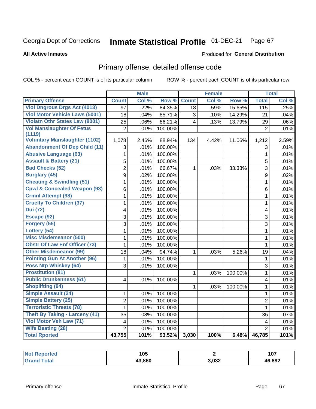#### Inmate Statistical Profile 01-DEC-21 Page 67

**Produced for General Distribution** 

### **All Active Inmates**

# Primary offense, detailed offense code

COL % - percent each COUNT is of its particular column

|                                                |                         | <b>Male</b> |                   |                | <b>Female</b> |         |                         | <b>Total</b> |
|------------------------------------------------|-------------------------|-------------|-------------------|----------------|---------------|---------|-------------------------|--------------|
| <b>Primary Offense</b>                         | <b>Count</b>            | Col %       | Row %             | <b>Count</b>   | Col %         | Row %   | <b>Total</b>            | Col %        |
| <b>Viol Dngrous Drgs Act (4013)</b>            | $\overline{97}$         | .22%        | 84.35%            | 18             | .59%          | 15.65%  | 115                     | .25%         |
| <b>Viol Motor Vehicle Laws (5001)</b>          | 18                      | .04%        | 85.71%            | 3              | .10%          | 14.29%  | 21                      | .04%         |
| <b>Violatn Othr States Law (8001)</b>          | 25                      | .06%        | 86.21%            | $\overline{4}$ | .13%          | 13.79%  | 29                      | .06%         |
| <b>Vol Manslaughter Of Fetus</b>               | $\overline{2}$          | .01%        | 100.00%           |                |               |         | $\overline{2}$          | .01%         |
| (1119)<br><b>Voluntary Manslaughter (1102)</b> |                         | 2.46%       | 88.94%            | 134            | 4.42%         |         |                         | 2.59%        |
| <b>Abandonment Of Dep Child (11)</b>           | 1,078<br>3              | .01%        | 100.00%           |                |               | 11.06%  | 1,212                   | .01%         |
| <b>Abusive Language (63)</b>                   | $\mathbf{1}$            | .01%        | 100.00%           |                |               |         | 3<br>$\mathbf{1}$       | .01%         |
| <b>Assault &amp; Battery (21)</b>              | $\overline{5}$          | .01%        |                   |                |               |         | 5                       |              |
| <b>Bad Checks (52)</b>                         | $\overline{2}$          | .01%        | 100.00%<br>66.67% | 1              |               |         | 3                       | .01%         |
| <b>Burglary (45)</b>                           | 9                       | .02%        | 100.00%           |                | .03%          | 33.33%  | 9                       | .01%<br>.02% |
| <b>Cheating &amp; Swindling (51)</b>           | $\overline{1}$          | .01%        | 100.00%           |                |               |         | $\mathbf{1}$            | .01%         |
| <b>Cpwl &amp; Concealed Weapon (93)</b>        | 6                       | .01%        | 100.00%           |                |               |         | $\,6$                   | .01%         |
| <b>Crmnl Attempt (98)</b>                      | $\mathbf{1}$            | .01%        | 100.00%           |                |               |         | $\mathbf{1}$            | .01%         |
| <b>Cruelty To Children (37)</b>                | $\mathbf 1$             | .01%        | 100.00%           |                |               |         | $\mathbf{1}$            | .01%         |
| <b>Dui</b> (72)                                | $\overline{\mathbf{4}}$ | .01%        | 100.00%           |                |               |         | $\overline{\mathbf{4}}$ | .01%         |
| Escape (92)                                    | $\overline{3}$          | .01%        | 100.00%           |                |               |         | $\overline{3}$          | .01%         |
| Forgery (55)                                   | $\overline{3}$          | .01%        | 100.00%           |                |               |         | $\overline{3}$          | .01%         |
| Lottery (54)                                   | 1                       | .01%        | 100.00%           |                |               |         | 1                       | .01%         |
| <b>Misc Misdemeanor (500)</b>                  | 1                       | .01%        | 100.00%           |                |               |         | $\mathbf 1$             | .01%         |
| <b>Obstr Of Law Enf Officer (73)</b>           | $\mathbf{1}$            | .01%        | 100.00%           |                |               |         | $\mathbf{1}$            | .01%         |
| <b>Other Misdemeanor (99)</b>                  | 18                      | .04%        | 94.74%            | 1              | .03%          | 5.26%   | 19                      | .04%         |
| <b>Pointing Gun At Another (96)</b>            | $\mathbf{1}$            | .01%        | 100.00%           |                |               |         | $\mathbf 1$             | .01%         |
| Poss Ntp Whiskey (64)                          | 3                       | .01%        | 100.00%           |                |               |         | 3                       | .01%         |
| <b>Prostitution (81)</b>                       |                         |             |                   | 1              | .03%          | 100.00% | $\mathbf{1}$            | .01%         |
| <b>Public Drunkenness (61)</b>                 | 4                       | .01%        | 100.00%           |                |               |         | $\overline{\mathbf{4}}$ | .01%         |
| <b>Shoplifting (94)</b>                        |                         |             |                   | 1              | .03%          | 100.00% | $\mathbf{1}$            | .01%         |
| <b>Simple Assault (24)</b>                     | 1                       | .01%        | 100.00%           |                |               |         | $\mathbf 1$             | .01%         |
| <b>Simple Battery (25)</b>                     | $\overline{2}$          | .01%        | 100.00%           |                |               |         | $\overline{2}$          | .01%         |
| <b>Terroristic Threats (78)</b>                | $\mathbf{1}$            | .01%        | 100.00%           |                |               |         | $\mathbf{1}$            | .01%         |
| <b>Theft By Taking - Larceny (41)</b>          | 35                      | .08%        | 100.00%           |                |               |         | 35                      | .07%         |
| Viol Motor Veh Law (71)                        | 4                       | .01%        | 100.00%           |                |               |         | $\overline{4}$          | .01%         |
| <b>Wife Beating (28)</b>                       | $\overline{2}$          | .01%        | 100.00%           |                |               |         | $\overline{2}$          | .01%         |
| <b>Total Rported</b>                           | 43,755                  | 101%        | 93.52%            | 3,030          | 100%          | 6.48%   | 46,785                  | 101%         |

| TAL. | 105    |       | 107<br>ιv<br>$ -$ |
|------|--------|-------|-------------------|
|      | 43,860 | 3,032 | 46,892            |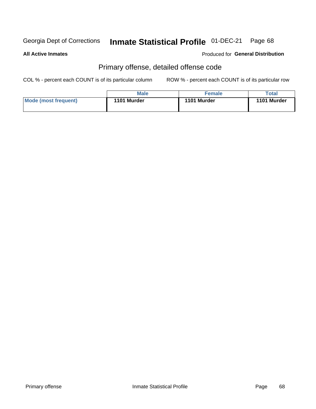#### Inmate Statistical Profile 01-DEC-21 Page 68

**All Active Inmates** 

**Produced for General Distribution** 

## Primary offense, detailed offense code

COL % - percent each COUNT is of its particular column

|                      | <b>Male</b> | Female      | Total       |
|----------------------|-------------|-------------|-------------|
| Mode (most frequent) | 1101 Murder | 1101 Murder | 1101 Murder |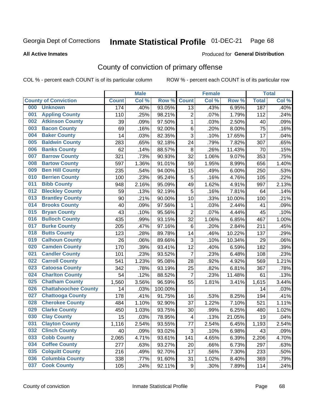# Inmate Statistical Profile 01-DEC-21 Page 68

**All Active Inmates** 

## **Produced for General Distribution**

## County of conviction of primary offense

COL % - percent each COUNT is of its particular column

|                                    |              | <b>Male</b> |         |                         | <b>Female</b> |        |              | <b>Total</b> |
|------------------------------------|--------------|-------------|---------|-------------------------|---------------|--------|--------------|--------------|
| <b>County of Conviction</b>        | <b>Count</b> | Col %       | Row %   | <b>Count</b>            | Col %         | Row %  | <b>Total</b> | Col %        |
| <b>Unknown</b><br>000              | 174          | .40%        | 93.05%  | 13                      | .43%          | 6.95%  | 187          | .40%         |
| <b>Appling County</b><br>001       | 110          | .25%        | 98.21%  | $\overline{2}$          | .07%          | 1.79%  | 112          | .24%         |
| <b>Atkinson County</b><br>002      | 39           | .09%        | 97.50%  | 1                       | .03%          | 2.50%  | 40           | .09%         |
| <b>Bacon County</b><br>003         | 69           | .16%        | 92.00%  | 6                       | .20%          | 8.00%  | 75           | .16%         |
| <b>Baker County</b><br>004         | 14           | .03%        | 82.35%  | 3                       | .10%          | 17.65% | 17           | .04%         |
| <b>Baldwin County</b><br>005       | 283          | .65%        | 92.18%  | 24                      | .79%          | 7.82%  | 307          | .65%         |
| <b>Banks County</b><br>006         | 62           | .14%        | 88.57%  | 8                       | .26%          | 11.43% | 70           | .15%         |
| <b>Barrow County</b><br>007        | 321          | .73%        | 90.93%  | 32                      | 1.06%         | 9.07%  | 353          | .75%         |
| <b>Bartow County</b><br>008        | 597          | 1.36%       | 91.01%  | 59                      | 1.95%         | 8.99%  | 656          | 1.40%        |
| <b>Ben Hill County</b><br>009      | 235          | .54%        | 94.00%  | 15                      | .49%          | 6.00%  | 250          | .53%         |
| <b>Berrien County</b><br>010       | 100          | .23%        | 95.24%  | 5                       | .16%          | 4.76%  | 105          | .22%         |
| <b>Bibb County</b><br>011          | 948          | 2.16%       | 95.09%  | 49                      | 1.62%         | 4.91%  | 997          | 2.13%        |
| <b>Bleckley County</b><br>012      | 59           | .13%        | 92.19%  | 5                       | .16%          | 7.81%  | 64           | .14%         |
| <b>Brantley County</b><br>013      | 90           | .21%        | 90.00%  | 10                      | .33%          | 10.00% | 100          | .21%         |
| <b>Brooks County</b><br>014        | 40           | .09%        | 97.56%  | 1                       | .03%          | 2.44%  | 41           | .09%         |
| 015<br><b>Bryan County</b>         | 43           | .10%        | 95.56%  | $\overline{2}$          | .07%          | 4.44%  | 45           | .10%         |
| <b>Bulloch County</b><br>016       | 435          | .99%        | 93.15%  | 32                      | 1.06%         | 6.85%  | 467          | 1.00%        |
| <b>Burke County</b><br>017         | 205          | .47%        | 97.16%  | 6                       | .20%          | 2.84%  | 211          | .45%         |
| <b>Butts County</b><br>018         | 123          | .28%        | 89.78%  | 14                      | .46%          | 10.22% | 137          | .29%         |
| <b>Calhoun County</b><br>019       | 26           | .06%        | 89.66%  | 3                       | .10%          | 10.34% | 29           | .06%         |
| <b>Camden County</b><br>020        | 170          | .39%        | 93.41%  | 12                      | .40%          | 6.59%  | 182          | .39%         |
| <b>Candler County</b><br>021       | 101          | .23%        | 93.52%  | $\overline{7}$          | .23%          | 6.48%  | 108          | .23%         |
| <b>Carroll County</b><br>022       | 541          | 1.23%       | 95.08%  | 28                      | .92%          | 4.92%  | 569          | 1.21%        |
| <b>Catoosa County</b><br>023       | 342          | .78%        | 93.19%  | 25                      | .82%          | 6.81%  | 367          | .78%         |
| <b>Charlton County</b><br>024      | 54           | .12%        | 88.52%  | $\overline{7}$          | .23%          | 11.48% | 61           | .13%         |
| 025<br><b>Chatham County</b>       | 1,560        | 3.56%       | 96.59%  | 55                      | 1.81%         | 3.41%  | 1,615        | 3.44%        |
| <b>Chattahoochee County</b><br>026 | 14           | .03%        | 100.00% |                         |               |        | 14           | .03%         |
| <b>Chattooga County</b><br>027     | 178          | .41%        | 91.75%  | 16                      | .53%          | 8.25%  | 194          | .41%         |
| <b>Cherokee County</b><br>028      | 484          | 1.10%       | 92.90%  | 37                      | 1.22%         | 7.10%  | 521          | 1.11%        |
| <b>Clarke County</b><br>029        | 450          | 1.03%       | 93.75%  | 30                      | .99%          | 6.25%  | 480          | 1.02%        |
| <b>Clay County</b><br>030          | 15           | .03%        | 78.95%  | $\overline{\mathbf{4}}$ | .13%          | 21.05% | 19           | .04%         |
| 031<br><b>Clayton County</b>       | 1,116        | 2.54%       | 93.55%  | 77                      | 2.54%         | 6.45%  | 1,193        | 2.54%        |
| <b>Clinch County</b><br>032        | 40           | .09%        | 93.02%  | 3                       | .10%          | 6.98%  | 43           | .09%         |
| <b>Cobb County</b><br>033          | 2,065        | 4.71%       | 93.61%  | 141                     | 4.65%         | 6.39%  | 2,206        | 4.70%        |
| <b>Coffee County</b><br>034        | 277          | .63%        | 93.27%  | 20                      | .66%          | 6.73%  | 297          | .63%         |
| <b>Colquitt County</b><br>035      | 216          | .49%        | 92.70%  | 17                      | .56%          | 7.30%  | 233          | .50%         |
| <b>Columbia County</b><br>036      | 338          | .77%        | 91.60%  | 31                      | 1.02%         | 8.40%  | 369          | .79%         |
| <b>Cook County</b><br>037          | 105          | .24%        | 92.11%  | 9                       | .30%          | 7.89%  | 114          | .24%         |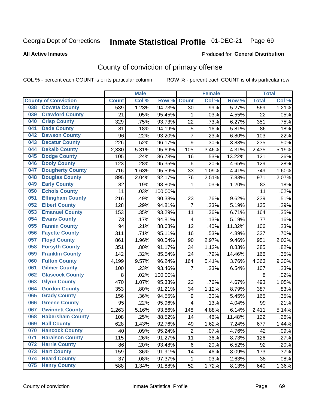#### Inmate Statistical Profile 01-DEC-21 Page 69

Produced for General Distribution

### **All Active Inmates**

## County of conviction of primary offense

COL % - percent each COUNT is of its particular column

|                                |                         |              | <b>Male</b> |         |                         | <b>Female</b> |        |              | <b>Total</b> |
|--------------------------------|-------------------------|--------------|-------------|---------|-------------------------|---------------|--------|--------------|--------------|
| <b>County of Conviction</b>    |                         | <b>Count</b> | Col %       | Row %   | <b>Count</b>            | Col %         | Row %  | <b>Total</b> | Col %        |
| <b>Coweta County</b><br>038    |                         | 539          | 1.23%       | 94.73%  | 30                      | .99%          | 5.27%  | 569          | 1.21%        |
| <b>Crawford County</b><br>039  |                         | 21           | .05%        | 95.45%  | 1                       | .03%          | 4.55%  | 22           | .05%         |
| <b>Crisp County</b><br>040     |                         | 329          | .75%        | 93.73%  | 22                      | .73%          | 6.27%  | 351          | .75%         |
| <b>Dade County</b><br>041      |                         | 81           | .18%        | 94.19%  | $\mathbf 5$             | .16%          | 5.81%  | 86           | .18%         |
| 042<br><b>Dawson County</b>    |                         | 96           | .22%        | 93.20%  | $\overline{7}$          | .23%          | 6.80%  | 103          | .22%         |
| <b>Decatur County</b><br>043   |                         | 226          | .52%        | 96.17%  | 9                       | .30%          | 3.83%  | 235          | .50%         |
| <b>Dekalb County</b><br>044    |                         | 2,330        | 5.31%       | 95.69%  | 105                     | 3.46%         | 4.31%  | 2,435        | 5.19%        |
| <b>Dodge County</b><br>045     |                         | 105          | .24%        | 86.78%  | 16                      | .53%          | 13.22% | 121          | .26%         |
| 046<br><b>Dooly County</b>     |                         | 123          | .28%        | 95.35%  | 6                       | .20%          | 4.65%  | 129          | .28%         |
| 047                            | <b>Dougherty County</b> | 716          | 1.63%       | 95.59%  | 33                      | 1.09%         | 4.41%  | 749          | 1.60%        |
| <b>Douglas County</b><br>048   |                         | 895          | 2.04%       | 92.17%  | 76                      | 2.51%         | 7.83%  | 971          | 2.07%        |
| <b>Early County</b><br>049     |                         | 82           | .19%        | 98.80%  | $\mathbf{1}$            | .03%          | 1.20%  | 83           | .18%         |
| <b>Echols County</b><br>050    |                         | 11           | .03%        | 100.00% |                         |               |        | 11           | .02%         |
| 051<br><b>Effingham County</b> |                         | 216          | .49%        | 90.38%  | 23                      | .76%          | 9.62%  | 239          | .51%         |
| 052<br><b>Elbert County</b>    |                         | 128          | .29%        | 94.81%  | $\overline{7}$          | .23%          | 5.19%  | 135          | .29%         |
| <b>Emanuel County</b><br>053   |                         | 153          | .35%        | 93.29%  | 11                      | .36%          | 6.71%  | 164          | .35%         |
| <b>Evans County</b><br>054     |                         | 73           | .17%        | 94.81%  | $\overline{\mathbf{4}}$ | .13%          | 5.19%  | 77           | .16%         |
| <b>Fannin County</b><br>055    |                         | 94           | .21%        | 88.68%  | 12                      | .40%          | 11.32% | 106          | .23%         |
| <b>Fayette County</b><br>056   |                         | 311          | .71%        | 95.11%  | 16                      | .53%          | 4.89%  | 327          | .70%         |
| <b>Floyd County</b><br>057     |                         | 861          | 1.96%       | 90.54%  | 90                      | 2.97%         | 9.46%  | 951          | 2.03%        |
| <b>Forsyth County</b><br>058   |                         | 351          | .80%        | 91.17%  | 34                      | 1.12%         | 8.83%  | 385          | .82%         |
| <b>Franklin County</b><br>059  |                         | 142          | .32%        | 85.54%  | 24                      | .79%          | 14.46% | 166          | .35%         |
| <b>Fulton County</b><br>060    |                         | 4,199        | 9.57%       | 96.24%  | 164                     | 5.41%         | 3.76%  | 4,363        | 9.30%        |
| <b>Gilmer County</b><br>061    |                         | 100          | .23%        | 93.46%  | 7                       | .23%          | 6.54%  | 107          | .23%         |
| 062<br><b>Glascock County</b>  |                         | 8            | .02%        | 100.00% |                         |               |        | 8            | .02%         |
| <b>Glynn County</b><br>063     |                         | 470          | 1.07%       | 95.33%  | 23                      | .76%          | 4.67%  | 493          | 1.05%        |
| <b>Gordon County</b><br>064    |                         | 353          | .80%        | 91.21%  | 34                      | 1.12%         | 8.79%  | 387          | .83%         |
| <b>Grady County</b><br>065     |                         | 156          | .36%        | 94.55%  | $\boldsymbol{9}$        | .30%          | 5.45%  | 165          | .35%         |
| <b>Greene County</b><br>066    |                         | 95           | .22%        | 95.96%  | 4                       | .13%          | 4.04%  | 99           | .21%         |
| <b>Gwinnett County</b><br>067  |                         | 2,263        | 5.16%       | 93.86%  | 148                     | 4.88%         | 6.14%  | 2,411        | 5.14%        |
| 068                            | <b>Habersham County</b> | 108          | .25%        | 88.52%  | 14                      | .46%          | 11.48% | 122          | .26%         |
| 069<br><b>Hall County</b>      |                         | 628          | 1.43%       | 92.76%  | 49                      | 1.62%         | 7.24%  | 677          | 1.44%        |
| <b>Hancock County</b><br>070   |                         | 40           | .09%        | 95.24%  | $\overline{2}$          | .07%          | 4.76%  | 42           | .09%         |
| <b>Haralson County</b><br>071  |                         | 115          | .26%        | 91.27%  | 11                      | .36%          | 8.73%  | 126          | .27%         |
| 072<br><b>Harris County</b>    |                         | 86           | .20%        | 93.48%  | 6                       | .20%          | 6.52%  | 92           | .20%         |
| <b>Hart County</b><br>073      |                         | 159          | .36%        | 91.91%  | 14                      | .46%          | 8.09%  | 173          | .37%         |
| <b>Heard County</b><br>074     |                         | 37           | .08%        | 97.37%  | $\mathbf 1$             | .03%          | 2.63%  | 38           | .08%         |
| <b>Henry County</b><br>075     |                         | 588          | 1.34%       | 91.88%  | 52                      | 1.72%         | 8.13%  | 640          | 1.36%        |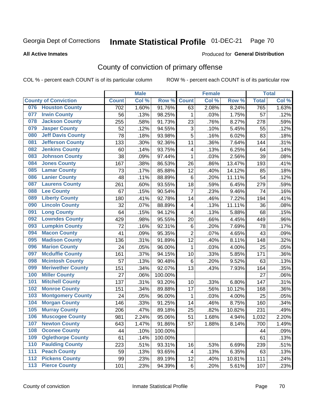# Inmate Statistical Profile 01-DEC-21 Page 70

### **All Active Inmates**

### Produced for General Distribution

## County of conviction of primary offense

COL % - percent each COUNT is of its particular column

|     |                             |              | <b>Male</b> |         |                           | <b>Female</b> |        |              | <b>Total</b> |
|-----|-----------------------------|--------------|-------------|---------|---------------------------|---------------|--------|--------------|--------------|
|     | <b>County of Conviction</b> | <b>Count</b> | Col %       | Row %   | <b>Count</b>              | Col %         | Row %  | <b>Total</b> | Col %        |
| 076 | <b>Houston County</b>       | 702          | 1.60%       | 91.76%  | 63                        | 2.08%         | 8.24%  | 765          | 1.63%        |
| 077 | <b>Irwin County</b>         | 56           | .13%        | 98.25%  | 1                         | .03%          | 1.75%  | 57           | .12%         |
| 078 | <b>Jackson County</b>       | 255          | .58%        | 91.73%  | 23                        | .76%          | 8.27%  | 278          | .59%         |
| 079 | <b>Jasper County</b>        | 52           | .12%        | 94.55%  | $\ensuremath{\mathsf{3}}$ | .10%          | 5.45%  | 55           | .12%         |
| 080 | <b>Jeff Davis County</b>    | 78           | .18%        | 93.98%  | 5                         | .16%          | 6.02%  | 83           | .18%         |
| 081 | <b>Jefferson County</b>     | 133          | .30%        | 92.36%  | 11                        | .36%          | 7.64%  | 144          | .31%         |
| 082 | <b>Jenkins County</b>       | 60           | .14%        | 93.75%  | $\overline{\mathbf{4}}$   | .13%          | 6.25%  | 64           | .14%         |
| 083 | <b>Johnson County</b>       | 38           | .09%        | 97.44%  | $\mathbf{1}$              | .03%          | 2.56%  | 39           | .08%         |
| 084 | <b>Jones County</b>         | 167          | .38%        | 86.53%  | 26                        | .86%          | 13.47% | 193          | .41%         |
| 085 | <b>Lamar County</b>         | 73           | .17%        | 85.88%  | 12                        | .40%          | 14.12% | 85           | .18%         |
| 086 | <b>Lanier County</b>        | 48           | .11%        | 88.89%  | 6                         | .20%          | 11.11% | 54           | .12%         |
| 087 | <b>Laurens County</b>       | 261          | .60%        | 93.55%  | 18                        | .59%          | 6.45%  | 279          | .59%         |
| 088 | <b>Lee County</b>           | 67           | .15%        | 90.54%  | $\overline{7}$            | .23%          | 9.46%  | 74           | .16%         |
| 089 | <b>Liberty County</b>       | 180          | .41%        | 92.78%  | 14                        | .46%          | 7.22%  | 194          | .41%         |
| 090 | <b>Lincoln County</b>       | 32           | .07%        | 88.89%  | $\overline{\mathbf{4}}$   | .13%          | 11.11% | 36           | .08%         |
| 091 | <b>Long County</b>          | 64           | .15%        | 94.12%  | 4                         | .13%          | 5.88%  | 68           | .15%         |
| 092 | <b>Lowndes County</b>       | 429          | .98%        | 95.55%  | 20                        | .66%          | 4.45%  | 449          | .96%         |
| 093 | <b>Lumpkin County</b>       | 72           | .16%        | 92.31%  | 6                         | .20%          | 7.69%  | 78           | .17%         |
| 094 | <b>Macon County</b>         | 41           | .09%        | 95.35%  | $\overline{2}$            | .07%          | 4.65%  | 43           | .09%         |
| 095 | <b>Madison County</b>       | 136          | .31%        | 91.89%  | 12                        | .40%          | 8.11%  | 148          | .32%         |
| 096 | <b>Marion County</b>        | 24           | .05%        | 96.00%  | $\mathbf{1}$              | .03%          | 4.00%  | 25           | .05%         |
| 097 | <b>Mcduffie County</b>      | 161          | .37%        | 94.15%  | 10                        | .33%          | 5.85%  | 171          | .36%         |
| 098 | <b>Mcintosh County</b>      | 57           | .13%        | 90.48%  | 6                         | .20%          | 9.52%  | 63           | .13%         |
| 099 | <b>Meriwether County</b>    | 151          | .34%        | 92.07%  | 13                        | .43%          | 7.93%  | 164          | .35%         |
| 100 | <b>Miller County</b>        | 27           | .06%        | 100.00% |                           |               |        | 27           | .06%         |
| 101 | <b>Mitchell County</b>      | 137          | .31%        | 93.20%  | 10                        | .33%          | 6.80%  | 147          | .31%         |
| 102 | <b>Monroe County</b>        | 151          | .34%        | 89.88%  | 17                        | .56%          | 10.12% | 168          | .36%         |
| 103 | <b>Montgomery County</b>    | 24           | .05%        | 96.00%  | 1                         | .03%          | 4.00%  | 25           | .05%         |
| 104 | <b>Morgan County</b>        | 146          | .33%        | 91.25%  | 14                        | .46%          | 8.75%  | 160          | .34%         |
| 105 | <b>Murray County</b>        | 206          | .47%        | 89.18%  | 25                        | .82%          | 10.82% | 231          | .49%         |
| 106 | <b>Muscogee County</b>      | 981          | 2.24%       | 95.06%  | 51                        | 1.68%         | 4.94%  | 1,032        | 2.20%        |
| 107 | <b>Newton County</b>        | 643          | 1.47%       | 91.86%  | 57                        | 1.88%         | 8.14%  | 700          | 1.49%        |
| 108 | <b>Oconee County</b>        | 44           | .10%        | 100.00% |                           |               |        | 44           | .09%         |
| 109 | <b>Oglethorpe County</b>    | 61           | .14%        | 100.00% |                           |               |        | 61           | .13%         |
| 110 | <b>Paulding County</b>      | 223          | .51%        | 93.31%  | 16                        | .53%          | 6.69%  | 239          | .51%         |
| 111 | <b>Peach County</b>         | 59           | .13%        | 93.65%  | 4                         | .13%          | 6.35%  | 63           | .13%         |
| 112 | <b>Pickens County</b>       | 99           | .23%        | 89.19%  | 12                        | .40%          | 10.81% | 111          | .24%         |
| 113 | <b>Pierce County</b>        | 101          | .23%        | 94.39%  | 6                         | .20%          | 5.61%  | 107          | .23%         |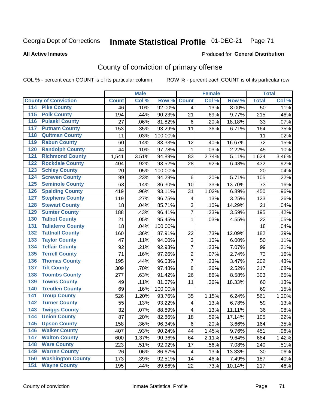# Inmate Statistical Profile 01-DEC-21 Page 71

### **All Active Inmates**

### Produced for General Distribution

## County of conviction of primary offense

COL % - percent each COUNT is of its particular column

|                                          |              | <b>Male</b> |         |                          | <b>Female</b> |        |              | <b>Total</b> |
|------------------------------------------|--------------|-------------|---------|--------------------------|---------------|--------|--------------|--------------|
| <b>County of Conviction</b>              | <b>Count</b> | Col %       | Row %   | <b>Count</b>             | Col %         | Row %  | <b>Total</b> | Col %        |
| <b>Pike County</b><br>114                | 46           | .10%        | 92.00%  | $\overline{4}$           | .13%          | 8.00%  | 50           | .11%         |
| <b>Polk County</b><br>$\overline{115}$   | 194          | .44%        | 90.23%  | 21                       | .69%          | 9.77%  | 215          | .46%         |
| <b>Pulaski County</b><br>116             | 27           | .06%        | 81.82%  | 6                        | .20%          | 18.18% | 33           | .07%         |
| <b>Putnam County</b><br>117              | 153          | .35%        | 93.29%  | 11                       | .36%          | 6.71%  | 164          | .35%         |
| <b>Quitman County</b><br>118             | 11           | .03%        | 100.00% |                          |               |        | 11           | .02%         |
| <b>Rabun County</b><br>119               | 60           | .14%        | 83.33%  | 12                       | .40%          | 16.67% | 72           | .15%         |
| <b>Randolph County</b><br>120            | 44           | .10%        | 97.78%  | $\mathbf{1}$             | .03%          | 2.22%  | 45           | .10%         |
| <b>Richmond County</b><br>121            | 1,541        | 3.51%       | 94.89%  | 83                       | 2.74%         | 5.11%  | 1,624        | 3.46%        |
| <b>Rockdale County</b><br>122            | 404          | .92%        | 93.52%  | 28                       | .92%          | 6.48%  | 432          | .92%         |
| 123<br><b>Schley County</b>              | 20           | .05%        | 100.00% |                          |               |        | 20           | .04%         |
| <b>Screven County</b><br>124             | 99           | .23%        | 94.29%  | $\,6$                    | .20%          | 5.71%  | 105          | .22%         |
| <b>Seminole County</b><br>125            | 63           | .14%        | 86.30%  | 10                       | .33%          | 13.70% | 73           | .16%         |
| <b>Spalding County</b><br>126            | 419          | .96%        | 93.11%  | 31                       | 1.02%         | 6.89%  | 450          | .96%         |
| <b>Stephens County</b><br>127            | 119          | .27%        | 96.75%  | $\overline{\mathcal{A}}$ | .13%          | 3.25%  | 123          | .26%         |
| <b>Stewart County</b><br>128             | 18           | .04%        | 85.71%  | 3                        | .10%          | 14.29% | 21           | .04%         |
| <b>Sumter County</b><br>129              | 188          | .43%        | 96.41%  | $\overline{7}$           | .23%          | 3.59%  | 195          | .42%         |
| <b>Talbot County</b><br>130              | 21           | .05%        | 95.45%  | 1                        | .03%          | 4.55%  | 22           | .05%         |
| <b>Taliaferro County</b><br>131          | 18           | .04%        | 100.00% |                          |               |        | 18           | .04%         |
| <b>Tattnall County</b><br>132            | 160          | .36%        | 87.91%  | 22                       | .73%          | 12.09% | 182          | .39%         |
| 133<br><b>Taylor County</b>              | 47           | .11%        | 94.00%  | $\sqrt{3}$               | .10%          | 6.00%  | 50           | .11%         |
| <b>Telfair County</b><br>134             | 92           | .21%        | 92.93%  | $\overline{7}$           | .23%          | 7.07%  | 99           | .21%         |
| <b>Terrell County</b><br>135             | 71           | .16%        | 97.26%  | $\overline{2}$           | .07%          | 2.74%  | 73           | .16%         |
| <b>Thomas County</b><br>136              | 195          | .44%        | 96.53%  | $\overline{7}$           | .23%          | 3.47%  | 202          | .43%         |
| <b>Tift County</b><br>137                | 309          | .70%        | 97.48%  | 8                        | .26%          | 2.52%  | 317          | .68%         |
| <b>Toombs County</b><br>138              | 277          | .63%        | 91.42%  | 26                       | .86%          | 8.58%  | 303          | .65%         |
| <b>Towns County</b><br>139               | 49           | .11%        | 81.67%  | 11                       | .36%          | 18.33% | 60           | .13%         |
| <b>Treutlen County</b><br>140            | 69           | .16%        | 100.00% |                          |               |        | 69           | .15%         |
| <b>Troup County</b><br>141               | 526          | 1.20%       | 93.76%  | 35                       | 1.15%         | 6.24%  | 561          | 1.20%        |
| <b>Turner County</b><br>142              | 55           | .13%        | 93.22%  | $\overline{\mathcal{A}}$ | .13%          | 6.78%  | 59           | .13%         |
| $\overline{143}$<br><b>Twiggs County</b> | 32           | .07%        | 88.89%  | $\overline{\mathbf{4}}$  | .13%          | 11.11% | 36           | .08%         |
| <b>Union County</b><br>144               | 87           | .20%        | 82.86%  | 18                       | .59%          | 17.14% | 105          | .22%         |
| 145<br><b>Upson County</b>               | 158          | .36%        | 96.34%  | 6                        | .20%          | 3.66%  | 164          | $.35\%$      |
| <b>Walker County</b><br>146              | 407          | .93%        | 90.24%  | 44                       | 1.45%         | 9.76%  | 451          | .96%         |
| 147<br><b>Walton County</b>              | 600          | 1.37%       | 90.36%  | 64                       | 2.11%         | 9.64%  | 664          | 1.42%        |
| <b>Ware County</b><br>148                | 223          | .51%        | 92.92%  | 17                       | .56%          | 7.08%  | 240          | .51%         |
| <b>Warren County</b><br>149              | 26           | .06%        | 86.67%  | 4                        | .13%          | 13.33% | 30           | .06%         |
| <b>Washington County</b><br>150          | 173          | .39%        | 92.51%  | 14                       | .46%          | 7.49%  | 187          | .40%         |
| <b>Wayne County</b><br>151               | 195          | .44%        | 89.86%  | 22                       | .73%          | 10.14% | 217          | .46%         |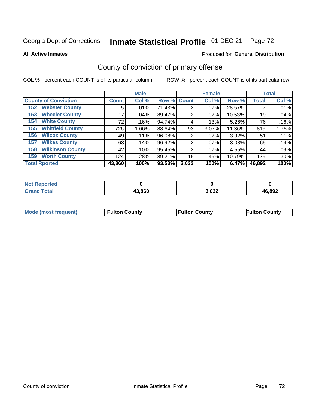# Inmate Statistical Profile 01-DEC-21 Page 72

**All Active Inmates** 

### Produced for General Distribution

## County of conviction of primary offense

COL % - percent each COUNT is of its particular column

|                                |              | <b>Male</b> |             |       | <b>Female</b> |        |              | <b>Total</b> |
|--------------------------------|--------------|-------------|-------------|-------|---------------|--------|--------------|--------------|
| <b>County of Conviction</b>    | <b>Count</b> | Col %       | Row % Count |       | Col %         | Row %  | <b>Total</b> | Col %        |
| <b>Webster County</b><br>152   | 5            | .01%        | 71.43%      | 2     | $.07\%$       | 28.57% |              | .01%         |
| <b>Wheeler County</b><br>153   | 17           | $.04\%$     | 89.47%      | 2     | $.07\%$       | 10.53% | 19           | .04%         |
| <b>White County</b><br>154     | 72           | .16%        | 94.74%      | 4     | .13%          | 5.26%  | 76           | .16%         |
| <b>Whitfield County</b><br>155 | 726          | 1.66%       | 88.64%      | 93    | 3.07%         | 11.36% | 819          | 1.75%        |
| <b>Wilcox County</b><br>156    | 49           | $.11\%$     | 96.08%      | 2     | $.07\%$       | 3.92%  | 51           | .11%         |
| <b>Wilkes County</b><br>157    | 63           | .14%        | 96.92%      | 2     | $.07\%$       | 3.08%  | 65           | .14%         |
| <b>Wilkinson County</b><br>158 | 42           | .10%        | 95.45%      | 2     | $.07\%$       | 4.55%  | 44           | .09%         |
| <b>Worth County</b><br>159     | 124          | .28%        | 89.21%      | 15    | .49%          | 10.79% | 139          | .30%         |
| <b>Total Rported</b>           | 43,860       | 100%        | 93.53%      | 3,032 | 100%          | 6.47%  | 46,892       | 100%         |

| <b>Not Reported</b> |        |       |        |
|---------------------|--------|-------|--------|
| <b>Grand Total</b>  | 43,860 | 3,032 | 46,892 |

| Mode (most frequent) | <b>Fulton County</b> | <b>Fulton County</b> | <b>Fulton County</b> |
|----------------------|----------------------|----------------------|----------------------|
|                      |                      |                      |                      |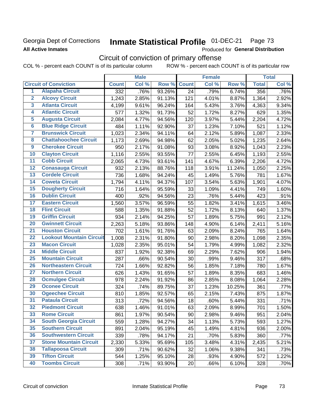### Georgia Dept of Corrections **All Active Inmates**

#### Inmate Statistical Profile 01-DEC-21 Page 73

Produced for General Distribution

# Circuit of conviction of primary offense

|                         |                                 |              | <b>Male</b> |        |                 | <b>Female</b> |        |              | <b>Total</b> |
|-------------------------|---------------------------------|--------------|-------------|--------|-----------------|---------------|--------|--------------|--------------|
|                         | <b>Circuit of Conviction</b>    | <b>Count</b> | Col %       | Row %  | <b>Count</b>    | Col %         | Row %  | <b>Total</b> | Col %        |
| 1                       | <b>Alapaha Circuit</b>          | 332          | .76%        | 93.26% | $\overline{24}$ | .79%          | 6.74%  | 356          | .76%         |
| $\overline{2}$          | <b>Alcovy Circuit</b>           | 1,243        | 2.85%       | 91.13% | 121             | 4.01%         | 8.87%  | 1,364        | 2.92%        |
| $\overline{\mathbf{3}}$ | <b>Atlanta Circuit</b>          | 4,199        | 9.61%       | 96.24% | 164             | 5.43%         | 3.76%  | 4,363        | 9.34%        |
| 4                       | <b>Atlantic Circuit</b>         | 577          | 1.32%       | 91.73% | 52              | 1.72%         | 8.27%  | 629          | 1.35%        |
| 5                       | <b>Augusta Circuit</b>          | 2,084        | 4.77%       | 94.56% | 120             | 3.97%         | 5.44%  | 2,204        | 4.72%        |
| $\overline{\bf{6}}$     | <b>Blue Ridge Circuit</b>       | 484          | 1.11%       | 92.90% | 37              | 1.23%         | 7.10%  | 521          | 1.12%        |
| 7                       | <b>Brunswick Circuit</b>        | 1,023        | 2.34%       | 94.11% | 64              | 2.12%         | 5.89%  | 1,087        | 2.33%        |
| $\overline{\mathbf{8}}$ | <b>Chattahoochee Circuit</b>    | 1,173        | 2.69%       | 94.98% | 62              | 2.05%         | 5.02%  | 1,235        | 2.64%        |
| $\overline{9}$          | <b>Cherokee Circuit</b>         | 950          | 2.17%       | 91.08% | 93              | 3.08%         | 8.92%  | 1,043        | 2.23%        |
| 10                      | <b>Clayton Circuit</b>          | 1,116        | 2.55%       | 93.55% | 77              | 2.55%         | 6.45%  | 1,193        | 2.55%        |
| $\overline{11}$         | <b>Cobb Circuit</b>             | 2,065        | 4.73%       | 93.61% | 141             | 4.67%         | 6.39%  | 2,206        | 4.72%        |
| $\overline{12}$         | <b>Conasauga Circuit</b>        | 932          | 2.13%       | 88.76% | 118             | 3.91%         | 11.24% | 1,050        | 2.25%        |
| 13                      | <b>Cordele Circuit</b>          | 736          | 1.68%       | 94.24% | 45              | 1.49%         | 5.76%  | 781          | 1.67%        |
| $\overline{14}$         | <b>Coweta Circuit</b>           | 1,794        | 4.11%       | 94.37% | 107             | 3.54%         | 5.63%  | 1,901        | 4.07%        |
| 15                      | <b>Dougherty Circuit</b>        | 716          | 1.64%       | 95.59% | 33              | 1.09%         | 4.41%  | 749          | 1.60%        |
| 16                      | <b>Dublin Circuit</b>           | 400          | .92%        | 94.56% | 23              | .76%          | 5.44%  | 423          | .91%         |
| 17                      | <b>Eastern Circuit</b>          | 1,560        | 3.57%       | 96.59% | 55              | 1.82%         | 3.41%  | 1,615        | 3.46%        |
| $\overline{18}$         | <b>Flint Circuit</b>            | 588          | 1.35%       | 91.88% | 52              | 1.72%         | 8.13%  | 640          | 1.37%        |
| 19                      | <b>Griffin Circuit</b>          | 934          | 2.14%       | 94.25% | 57              | 1.89%         | 5.75%  | 991          | 2.12%        |
| $\overline{20}$         | <b>Gwinnett Circuit</b>         | 2,263        | 5.18%       | 93.86% | 148             | 4.90%         | 6.14%  | 2,411        | 5.16%        |
| $\overline{21}$         | <b>Houston Circuit</b>          | 702          | 1.61%       | 91.76% | 63              | 2.09%         | 8.24%  | 765          | 1.64%        |
| $\overline{22}$         | <b>Lookout Mountain Circuit</b> | 1,008        | 2.31%       | 91.80% | 90              | 2.98%         | 8.20%  | 1,098        | 2.35%        |
| 23                      | <b>Macon Circuit</b>            | 1,028        | 2.35%       | 95.01% | 54              | 1.79%         | 4.99%  | 1,082        | 2.32%        |
| $\overline{24}$         | <b>Middle Circuit</b>           | 837          | 1.92%       | 92.38% | 69              | 2.29%         | 7.62%  | 906          | 1.94%        |
| $\overline{25}$         | <b>Mountain Circuit</b>         | 287          | .66%        | 90.54% | 30              | .99%          | 9.46%  | 317          | .68%         |
| 26                      | <b>Northeastern Circuit</b>     | 724          | 1.66%       | 92.82% | 56              | 1.85%         | 7.18%  | 780          | 1.67%        |
| $\overline{27}$         | <b>Northern Circuit</b>         | 626          | 1.43%       | 91.65% | 57              | 1.89%         | 8.35%  | 683          | 1.46%        |
| 28                      | <b>Ocmulgee Circuit</b>         | 978          | 2.24%       | 91.92% | 86              | 2.85%         | 8.08%  | 1,064        | 2.28%        |
| 29                      | <b>Oconee Circuit</b>           | 324          | .74%        | 89.75% | 37              | 1.23%         | 10.25% | 361          | .77%         |
| 30                      | <b>Ogeechee Circuit</b>         | 810          | 1.85%       | 92.57% | 65              | 2.15%         | 7.43%  | 875          | 1.87%        |
| $\overline{31}$         | <b>Pataula Circuit</b>          | 313          | .72%        | 94.56% | 18              | .60%          | 5.44%  | 331          | .71%         |
| 32                      | <b>Piedmont Circuit</b>         | 638          | 1.46%       | 91.01% | 63              | 2.09%         | 8.99%  | 701          | 1.50%        |
| 33                      | <b>Rome Circuit</b>             | 861          | 1.97%       | 90.54% | 90              | 2.98%         | 9.46%  | 951          | 2.04%        |
| 34                      | <b>South Georgia Circuit</b>    | 559          | 1.28%       | 94.27% | 34              | 1.13%         | 5.73%  | 593          | 1.27%        |
| 35                      | <b>Southern Circuit</b>         | 891          | 2.04%       | 95.19% | 45              | 1.49%         | 4.81%  | 936          | 2.00%        |
| 36                      | <b>Southwestern Circuit</b>     | 339          | .78%        | 94.17% | 21              | .70%          | 5.83%  | 360          | .77%         |
| 37                      | <b>Stone Mountain Circuit</b>   | 2,330        | 5.33%       | 95.69% | 105             | 3.48%         | 4.31%  | 2,435        | 5.21%        |
| 38                      | <b>Tallapoosa Circuit</b>       | 309          | .71%        | 90.62% | 32              | 1.06%         | 9.38%  | 341          | .73%         |
| 39                      | <b>Tifton Circuit</b>           | 544          | 1.25%       | 95.10% | 28              | .93%          | 4.90%  | 572          | 1.22%        |
| 40                      | <b>Toombs Circuit</b>           | 308          | .71%        | 93.90% | 20              | .66%          | 6.10%  | 328          | .70%         |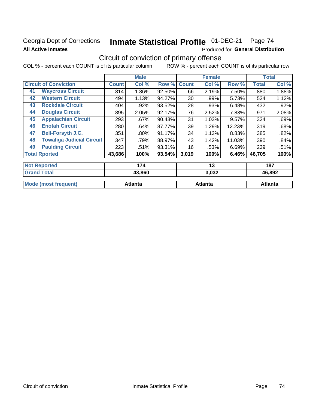## Georgia Dept of Corrections **All Active Inmates**

#### Inmate Statistical Profile 01-DEC-21 Page 74

Produced for General Distribution

# Circuit of conviction of primary offense

|    |                                  |        | <b>Male</b> |        |              | <b>Female</b> |        |              | <b>Total</b> |
|----|----------------------------------|--------|-------------|--------|--------------|---------------|--------|--------------|--------------|
|    | <b>Circuit of Conviction</b>     |        | Col %       | Row %  | <b>Count</b> | Col %         | Row %  | <b>Total</b> | Col %        |
| 41 | <b>Waycross Circuit</b>          | 814    | 1.86%       | 92.50% | 66           | 2.19%         | 7.50%  | 880          | 1.88%        |
| 42 | <b>Western Circuit</b>           | 494    | 1.13%       | 94.27% | 30           | .99%          | 5.73%  | 524          | 1.12%        |
| 43 | <b>Rockdale Circuit</b>          | 404    | .92%        | 93.52% | 28           | .93%          | 6.48%  | 432          | .92%         |
| 44 | <b>Douglas Circuit</b>           | 895    | 2.05%       | 92.17% | 76           | 2.52%         | 7.83%  | 971          | 2.08%        |
| 45 | <b>Appalachian Circuit</b>       | 293    | .67%        | 90.43% | 31           | 1.03%         | 9.57%  | 324          | .69%         |
| 46 | <b>Enotah Circuit</b>            | 280    | .64%        | 87.77% | 39           | 1.29%         | 12.23% | 319          | .68%         |
| 47 | <b>Bell-Forsyth J.C.</b>         | 351    | $.80\%$     | 91.17% | 34           | 1.13%         | 8.83%  | 385          | .82%         |
| 48 | <b>Towaliga Judicial Circuit</b> | 347    | .79%        | 88.97% | 43           | 1.42%         | 11.03% | 390          | .84%         |
| 49 | <b>Paulding Circuit</b>          | 223    | .51%        | 93.31% | 16           | .53%          | 6.69%  | 239          | .51%         |
|    | <b>Total Rported</b>             | 43,686 | 100%        | 93.54% | 3,019        | 100%          | 6.46%  | 46,705       | 100%         |
|    | <b>Not Reported</b>              |        | 174         |        |              | 13            |        |              | 187          |
|    | <b>Grand Total</b>               |        | 43,860      |        |              | 3,032         |        |              | 46,892       |

| Mc<br><b>Tent</b> | .                  | ˈantɛ |     |
|-------------------|--------------------|-------|-----|
| $\cdots$          | ιισ<br>- --------- |       | uua |
|                   |                    |       |     |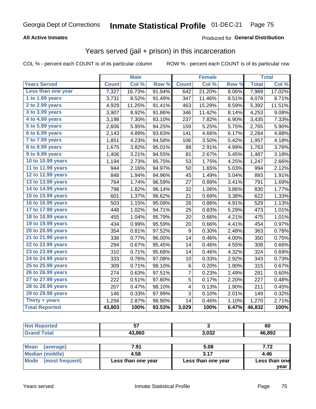### **All Active Inmates**

### Produced for **General Distribution**

## Years served (jail + prison) in this incarceration

|                       |              | <b>Male</b> |        |                         | <b>Female</b> |       |              | <b>Total</b> |
|-----------------------|--------------|-------------|--------|-------------------------|---------------|-------|--------------|--------------|
| <b>Years Served</b>   | <b>Count</b> | Col %       | Row %  | <b>Count</b>            | Col %         | Row % | <b>Total</b> | Col %        |
| Less than one year    | 7,327        | 16.73%      | 91.94% | 642                     | 21.20%        | 8.06% | 7,969        | 17.02%       |
| 1 to 1.99 years       | 3,731        | 8.52%       | 91.49% | 347                     | 11.46%        | 8.51% | 4,078        | 8.71%        |
| 2 to 2.99 years       | 4,929        | 11.25%      | 91.41% | 463                     | 15.29%        | 8.59% | 5,392        | 11.51%       |
| 3 to 3.99 years       | 3,907        | 8.92%       | 91.86% | 346                     | 11.42%        | 8.14% | 4,253        | 9.08%        |
| 4 to 4.99 years       | 3,198        | 7.30%       | 93.10% | 237                     | 7.82%         | 6.90% | 3,435        | 7.33%        |
| 5 to 5.99 years       | 2,606        | 5.95%       | 94.25% | 159                     | 5.25%         | 5.75% | 2,765        | 5.90%        |
| 6 to 6.99 years       | 2,143        | 4.89%       | 93.83% | 141                     | 4.66%         | 6.17% | 2,284        | 4.88%        |
| 7 to 7.99 years       | 1,851        | 4.23%       | 94.58% | 106                     | 3.50%         | 5.42% | 1,957        | 4.18%        |
| 8 to 8.99 years       | 1,675        | 3.82%       | 95.01% | 88                      | 2.91%         | 4.99% | 1,763        | 3.76%        |
| 9 to 9.99 years       | 1,406        | 3.21%       | 94.55% | 81                      | 2.67%         | 5.45% | 1,487        | 3.18%        |
| 10 to 10.99 years     | 1,194        | 2.73%       | 95.75% | 53                      | 1.75%         | 4.25% | 1,247        | 2.66%        |
| 11 to 11.99 years     | 944          | 2.16%       | 94.97% | 50                      | 1.65%         | 5.03% | 994          | 2.12%        |
| 12 to 12.99 years     | 848          | 1.94%       | 94.96% | 45                      | 1.49%         | 5.04% | 893          | 1.91%        |
| 13 to 13.99 years     | 764          | 1.74%       | 96.59% | 27                      | 0.89%         | 3.41% | 791          | 1.69%        |
| 14 to 14.99 years     | 798          | 1.82%       | 96.14% | 32                      | 1.06%         | 3.86% | 830          | 1.77%        |
| 15 to 15.99 years     | 601          | 1.37%       | 96.62% | 21                      | 0.69%         | 3.38% | 622          | 1.33%        |
| 16 to 16.99 years     | 503          | 1.15%       | 95.09% | 26                      | 0.86%         | 4.91% | 529          | 1.13%        |
| 17 to 17.99 years     | 448          | 1.02%       | 94.71% | 25                      | 0.83%         | 5.29% | 473          | 1.01%        |
| 18 to 18.99 years     | 455          | 1.04%       | 95.79% | 20                      | 0.66%         | 4.21% | 475          | 1.01%        |
| 19 to 19.99 years     | 434          | 0.99%       | 95.59% | 20                      | 0.66%         | 4.41% | 454          | 0.97%        |
| 20 to 20.99 years     | 354          | 0.81%       | 97.52% | 9                       | 0.30%         | 2.48% | 363          | 0.78%        |
| 21 to 21.99 years     | 336          | 0.77%       | 96.00% | 14                      | 0.46%         | 4.00% | 350          | 0.75%        |
| 22 to 22.99 years     | 294          | 0.67%       | 95.45% | 14                      | 0.46%         | 4.55% | 308          | 0.66%        |
| 23 to 23.99 years     | 310          | 0.71%       | 95.68% | 14                      | 0.46%         | 4.32% | 324          | 0.69%        |
| 24 to 24.99 years     | 333          | 0.76%       | 97.08% | 10                      | 0.33%         | 2.92% | 343          | 0.73%        |
| 25 to 25.99 years     | 309          | 0.71%       | 98.10% | 6                       | 0.20%         | 1.90% | 315          | 0.67%        |
| 26 to 26.99 years     | 274          | 0.63%       | 97.51% | $\overline{7}$          | 0.23%         | 2.49% | 281          | 0.60%        |
| 27 to 27.99 years     | 222          | 0.51%       | 97.80% | 5                       | 0.17%         | 2.20% | 227          | 0.48%        |
| 28 to 28.99 years     | 207          | 0.47%       | 98.10% | $\overline{\mathbf{4}}$ | 0.13%         | 1.90% | 211          | 0.45%        |
| 29 to 29.99 years     | 146          | 0.33%       | 97.99% | 3                       | 0.10%         | 2.01% | 149          | 0.32%        |
| Thirty + years        | 1,256        | 2.87%       | 98.90% | 14                      | 0.46%         | 1.10% | 1,270        | 2.71%        |
| <b>Total Reported</b> | 43,803       | 100%        | 93.53% | 3,029                   | 100%          | 6.47% | 46,832       | 100%         |

| тео |        |               | 60     |
|-----|--------|---------------|--------|
|     | 43.860 | n nnn<br>⊾טעי | 46,892 |

| Mean<br>(average)    | 7.91               | 5.08               | 7.72          |
|----------------------|--------------------|--------------------|---------------|
| Median (middle)      | 4.58               | 3.17               | 4.46          |
| Mode (most frequent) | Less than one year | Less than one year | Less than one |
|                      |                    |                    | vear          |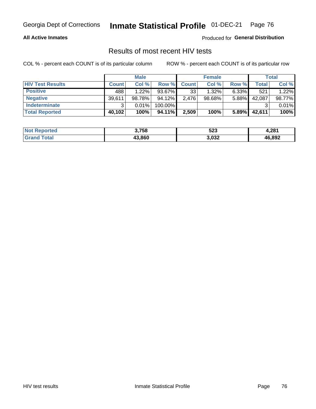#### **All Active Inmates**

Produced for **General Distribution**

### Results of most recent HIV tests

|                         |              | <b>Male</b> |         |              | <b>Female</b> |          |        | Total  |
|-------------------------|--------------|-------------|---------|--------------|---------------|----------|--------|--------|
| <b>HIV Test Results</b> | <b>Count</b> | Col%        | Row %I  | <b>Count</b> | Col %         | Row %    | Total  | Col %  |
| <b>Positive</b>         | 488          | 1.22%       | 93.67%  | 33           | 1.32%         | $6.33\%$ | 521    | 1.22%  |
| <b>Negative</b>         | 39,611       | 98.78%      | 94.12%  | 2,476        | $98.68\%$     | 5.88%    | 42,087 | 98.77% |
| Indeterminate           | າ            | 0.01%       | 100.00% |              |               |          |        | 0.01%  |
| <b>Total Reported</b>   | 40,102       | 100%        | 94.11%  | 2,509        | 100%          | 5.89%    | 42,611 | 100%   |

| <b>Not Reported</b> | 3,758  | roe.<br>ວ∠ວ | 4,281  |
|---------------------|--------|-------------|--------|
| Total<br>Grand      | 43,860 | 3,032       | 46,892 |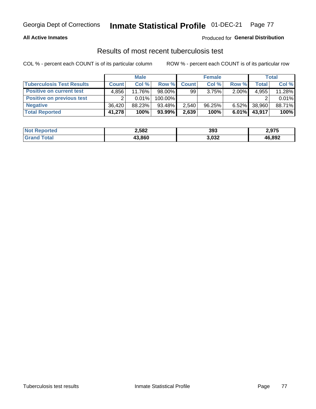#### **All Active Inmates**

### Produced for **General Distribution**

## Results of most recent tuberculosis test

|                                  |              | <b>Male</b> |           |              | <b>Female</b> |          |              | Total  |
|----------------------------------|--------------|-------------|-----------|--------------|---------------|----------|--------------|--------|
| <b>Tuberculosis Test Results</b> | <b>Count</b> | Col %       | Row %     | <b>Count</b> | Col %         | Row %    | <b>Total</b> | Col %  |
| <b>Positive on current test</b>  | 4.856        | 11.76%      | 98.00%    | 99           | 3.75%         | 2.00%    | 4,955        | 11.28% |
| <b>Positive on previous test</b> |              | 0.01%       | 100.00%   |              |               |          |              | 0.01%  |
| <b>Negative</b>                  | 36.420       | 88.23%      | 93.48%    | 2,540        | 96.25%        | $6.52\%$ | 38,960       | 88.71% |
| <b>Total Reported</b>            | 41,278       | 100%        | $93.99\%$ | 2,639        | 100%          | $6.01\%$ | 43,917       | 100%   |

| <b>Not Reported</b> | 2,582  | 393   | 2,975  |
|---------------------|--------|-------|--------|
| Total               | 43.860 | 3,032 | 46,892 |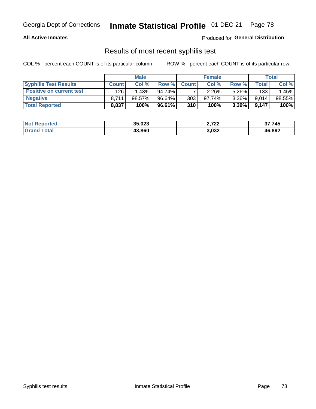#### **All Active Inmates**

Produced for **General Distribution**

### Results of most recent syphilis test

|                                 |              | <b>Male</b> |        |                  | <b>Female</b> |          |       | Total  |
|---------------------------------|--------------|-------------|--------|------------------|---------------|----------|-------|--------|
| <b>Syphilis Test Results</b>    | <b>Count</b> | Col%        | Row %  | <b>Count</b>     | Col %         | Row %    | Total | Col %  |
| <b>Positive on current test</b> | 126          | 1.43%       | 94.74% |                  | $2.26\%$      | $5.26\%$ | 133   | .45%   |
| <b>Negative</b>                 | 8.711        | $98.57\%$   | 96.64% | 303 <sub>1</sub> | $97.74\%$     | $3.36\%$ | 9,014 | 98.55% |
| <b>Total Reported</b>           | 8,837        | 100%        | 96.61% | 310              | 100%          | 3.39%    | 9.147 | 100%   |

| <b>Not Reported</b> | 35,023 | 2,722 | 37,745 |
|---------------------|--------|-------|--------|
| <b>Grand Total</b>  | 43,860 | 3,032 | 46,892 |